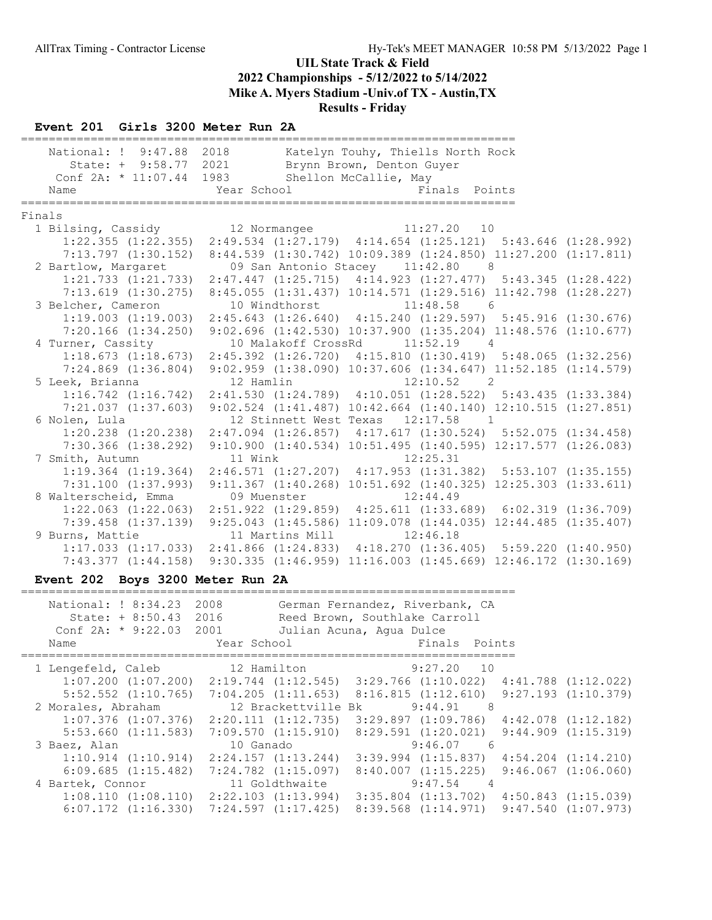#### Event 201 Girls 3200 Meter Run 2A

|        | National: ! 9:47.88 2018 Katelyn Touhy, Thiells North Rock                                      |             |                 | State: + 9:58.77 2021 Brynn Brown, Denton Guyer |          |                                                                 |  |
|--------|-------------------------------------------------------------------------------------------------|-------------|-----------------|-------------------------------------------------|----------|-----------------------------------------------------------------|--|
|        | Conf 2A: * 11:07.44 1983 Shellon McCallie, May                                                  |             |                 |                                                 |          |                                                                 |  |
|        | Name                                                                                            |             |                 | Year School <a> Finals Points</a>               |          |                                                                 |  |
|        |                                                                                                 |             |                 |                                                 |          |                                                                 |  |
| Finals |                                                                                                 |             |                 |                                                 |          |                                                                 |  |
|        | 1 Bilsing, Cassidy 12 Normangee 11:27.20 10                                                     |             |                 |                                                 |          |                                                                 |  |
|        | $1:22.355$ $(1:22.355)$ $2:49.534$ $(1:27.179)$ $4:14.654$ $(1:25.121)$ $5:43.646$ $(1:28.992)$ |             |                 |                                                 |          |                                                                 |  |
|        | 7:13.797 (1:30.152) 8:44.539 (1:30.742) 10:09.389 (1:24.850) 11:27.200 (1:17.811)               |             |                 |                                                 |          |                                                                 |  |
|        | 2 Bartlow, Margaret                                                                             |             |                 | 09 San Antonio Stacey 11:42.80 8                |          |                                                                 |  |
|        | 1:21.733 (1:21.733) 2:47.447 (1:25.715) 4:14.923 (1:27.477) 5:43.345 (1:28.422)                 |             |                 |                                                 |          |                                                                 |  |
|        | 7:13.619 (1:30.275) 8:45.055 (1:31.437) 10:14.571 (1:29.516) 11:42.798 (1:28.227)               |             |                 |                                                 |          |                                                                 |  |
|        | 3 Belcher, Cameron                                                                              |             |                 | 10 Windthorst 11:48.58 6                        |          |                                                                 |  |
|        | $1:19.003$ $(1:19.003)$ $2:45.643$ $(1:26.640)$ $4:15.240$ $(1:29.597)$ $5:45.916$ $(1:30.676)$ |             |                 |                                                 |          |                                                                 |  |
|        | 7:20.166 (1:34.250) 9:02.696 (1:42.530) 10:37.900 (1:35.204) 11:48.576 (1:10.677)               |             |                 |                                                 |          |                                                                 |  |
|        | 4 Turner, Cassity                                                                               |             |                 | 10 Malakoff CrossRd 11:52.19 4                  |          |                                                                 |  |
|        | $1:18.673$ $(1:18.673)$ $2:45.392$ $(1:26.720)$ $4:15.810$ $(1:30.419)$ $5:48.065$ $(1:32.256)$ |             |                 |                                                 |          |                                                                 |  |
|        | 7:24.869 (1:36.804) 9:02.959 (1:38.090) 10:37.606 (1:34.647) 11:52.185 (1:14.579)               |             |                 |                                                 |          |                                                                 |  |
|        | 5 Leek, Brianna                                                                                 | 12 Hamlin   |                 | $12:10.52$ 2                                    |          |                                                                 |  |
|        | $1:16.742$ $(1:16.742)$ $2:41.530$ $(1:24.789)$ $4:10.051$ $(1:28.522)$ $5:43.435$ $(1:33.384)$ |             |                 |                                                 |          |                                                                 |  |
|        | 7:21.037 (1:37.603) 9:02.524 (1:41.487) 10:42.664 (1:40.140) 12:10.515 (1:27.851)               |             |                 |                                                 |          |                                                                 |  |
|        | 6 Nolen, Lula                                                                                   |             |                 | 12 Stinnett West Texas 12:17.58 1               |          |                                                                 |  |
|        | $1:20.238$ $(1:20.238)$ $2:47.094$ $(1:26.857)$ $4:17.617$ $(1:30.524)$ $5:52.075$ $(1:34.458)$ |             |                 |                                                 |          |                                                                 |  |
|        | 7:30.366 (1:38.292) 9:10.900 (1:40.534) 10:51.495 (1:40.595) 12:17.577 (1:26.083)               |             |                 |                                                 |          |                                                                 |  |
|        | 7 Smith, Autumn                                                                                 |             |                 | 11 Wink 12:25.31                                |          |                                                                 |  |
|        | $1:19.364$ $(1:19.364)$ $2:46.571$ $(1:27.207)$ $4:17.953$ $(1:31.382)$ $5:53.107$ $(1:35.155)$ |             |                 |                                                 |          |                                                                 |  |
|        | 7:31.100(1:37.993)                                                                              |             |                 |                                                 |          | $9:11.367$ (1:40.268) 10:51.692 (1:40.325) 12:25.303 (1:33.611) |  |
|        | 8 Walterscheid, Emma                                                                            | 09 Muenster |                 | 12:44.49                                        |          |                                                                 |  |
|        | 1:22.063 (1:22.063) 2:51.922 (1:29.859) 4:25.611 (1:33.689) 6:02.319 (1:36.709)                 |             |                 |                                                 |          |                                                                 |  |
|        | 7:39.458 (1:37.139) 9:25.043 (1:45.586) 11:09.078 (1:44.035) 12:44.485 (1:35.407)               |             |                 |                                                 |          |                                                                 |  |
|        | 9 Burns, Mattie                                                                                 |             | 11 Martins Mill |                                                 | 12:46.18 |                                                                 |  |
|        | $1:17.033$ $(1:17.033)$ $2:41.866$ $(1:24.833)$ $4:18.270$ $(1:36.405)$ $5:59.220$ $(1:40.950)$ |             |                 |                                                 |          |                                                                 |  |
|        | 7:43.377 (1:44.158) 9:30.335 (1:46.959) 11:16.003 (1:45.669) 12:46.172 (1:30.169)               |             |                 |                                                 |          |                                                                 |  |

## Event 202 Boys 3200 Meter Run 2A

| National: ! 8:34.23<br>State: $+ 8:50.43$ 2016<br>Conf 2A: $*$ 9:22.03 2001<br>Name | 2008<br>Year School     | German Fernandez, Riverbank, CA<br>Reed Brown, Southlake Carroll<br>Julian Acuna, Aqua Dulce<br>Finals Points |                         |
|-------------------------------------------------------------------------------------|-------------------------|---------------------------------------------------------------------------------------------------------------|-------------------------|
|                                                                                     |                         |                                                                                                               |                         |
| 1 Lengefeld, Caleb                                                                  | 12 Hamilton             | 9:27.20 10                                                                                                    |                         |
|                                                                                     |                         | $1:07.200$ $(1:07.200)$ $2:19.744$ $(1:12.545)$ $3:29.766$ $(1:10.022)$ $4:41.788$ $(1:12.022)$               |                         |
| $5:52.552$ $(1:10.765)$                                                             |                         | $7:04.205$ $(1:11.653)$ $8:16.815$ $(1:12.610)$                                                               | $9:27.193$ $(1:10.379)$ |
| 2 Morales, Abraham                                                                  | 12 Brackettville Bk     | $9:44.91$ 8                                                                                                   |                         |
| $1:07.376$ $(1:07.376)$                                                             | 2:20.111(1:12.735)      | 3:29.897 (1:09.786)                                                                                           | $4:42.078$ $(1:12.182)$ |
| $5:53.660$ $(1:11.583)$                                                             | 7:09.570(1:15.910)      | $8:29.591$ $(1:20.021)$                                                                                       | $9:44.909$ $(1:15.319)$ |
| 3 Baez, Alan                                                                        | 10 Ganado               | $9:46.07$ 6                                                                                                   |                         |
| 1:10.914(1:10.914)                                                                  | 2:24.157(1:13.244)      | $3:39.994$ $(1:15.837)$                                                                                       | $4:54.204$ $(1:14.210)$ |
| 6:09.685(1:15.482)                                                                  | $7:24.782$ $(1:15.097)$ | $8:40.007$ $(1:15.225)$                                                                                       | $9:46.067$ $(1:06.060)$ |
| 4 Bartek, Connor                                                                    | 11 Goldthwaite          | $9:47.54$ 4                                                                                                   |                         |
| 1:08.110(1:08.110)                                                                  | $2:22.103$ $(1:13.994)$ | $3:35.804$ $(1:13.702)$                                                                                       | $4:50.843$ $(1:15.039)$ |
| $6:07.172$ $(1:16.330)$                                                             | 7:24.597 (1:17.425)     | $8:39.568$ $(1:14.971)$                                                                                       | $9:47.540$ $(1:07.973)$ |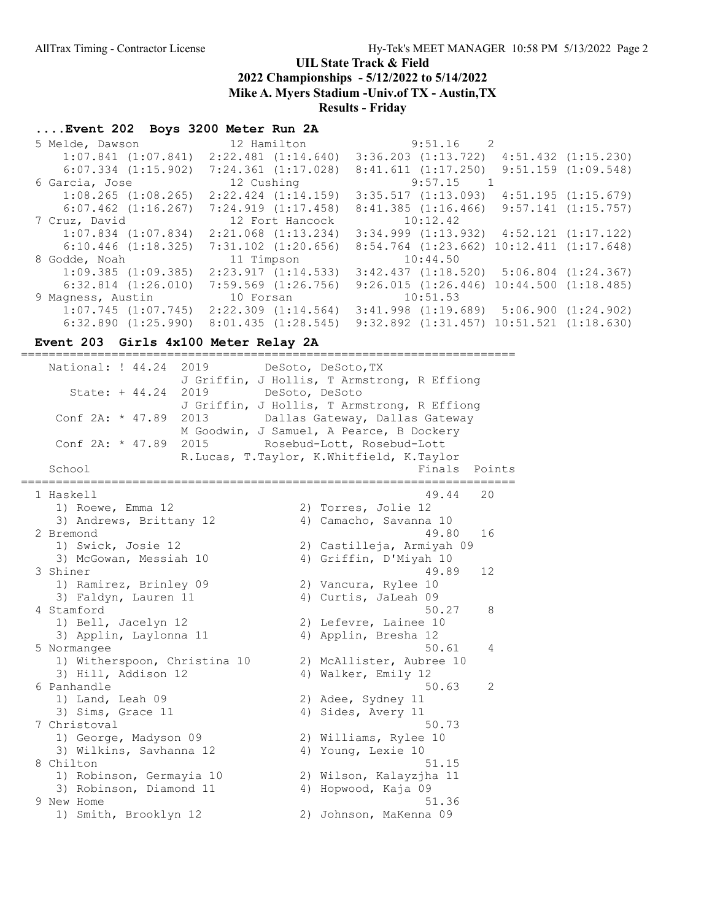# UIL State Track & Field

2022 Championships - 5/12/2022 to 5/14/2022

Mike A. Myers Stadium -Univ.of TX - Austin,TX

Results - Friday

# ....Event 202 Boys 3200 Meter Run 2A

| $3:36.203$ $(1:13.722)$<br>$2:22.481$ $(1:14.640)$<br>$4:51.432$ $(1:15.230)$<br>$1:07.841$ $(1:07.841)$<br>$9:51.159$ $(1:09.548)$<br>$6:07.334$ $(1:15.902)$<br>$7:24.361$ $(1:17.028)$<br>8:41.611(1:17.250)<br>$9:57.15$ 1<br>12 Cushing<br>6 Garcia, Jose<br>$2:22.424$ $(1:14.159)$<br>3:35.517(1:13.093)<br>$1:08.265$ $(1:08.265)$<br>4:51.195(1:15.679)<br>7:24.919(1:17.458)<br>8:41.385(1:16.466)<br>$9:57.141$ $(1:15.757)$<br>$6:07.462$ $(1:16.267)$<br>10:12.42<br>12 Fort Hancock<br>7 Cruz, David<br>$2:21.068$ $(1:13.234)$<br>$3:34.999$ $(1:13.932)$ $4:52.121$ $(1:17.122)$<br>$1:07.834$ $(1:07.834)$<br>$10:12.411$ $(1:17.648)$<br>$6:10.446$ $(1:18.325)$<br>$7:31.102$ $(1:20.656)$<br>$8:54.764$ $(1:23.662)$ |
|------------------------------------------------------------------------------------------------------------------------------------------------------------------------------------------------------------------------------------------------------------------------------------------------------------------------------------------------------------------------------------------------------------------------------------------------------------------------------------------------------------------------------------------------------------------------------------------------------------------------------------------------------------------------------------------------------------------------------------------|
|                                                                                                                                                                                                                                                                                                                                                                                                                                                                                                                                                                                                                                                                                                                                          |
|                                                                                                                                                                                                                                                                                                                                                                                                                                                                                                                                                                                                                                                                                                                                          |
|                                                                                                                                                                                                                                                                                                                                                                                                                                                                                                                                                                                                                                                                                                                                          |
|                                                                                                                                                                                                                                                                                                                                                                                                                                                                                                                                                                                                                                                                                                                                          |
|                                                                                                                                                                                                                                                                                                                                                                                                                                                                                                                                                                                                                                                                                                                                          |
|                                                                                                                                                                                                                                                                                                                                                                                                                                                                                                                                                                                                                                                                                                                                          |
|                                                                                                                                                                                                                                                                                                                                                                                                                                                                                                                                                                                                                                                                                                                                          |
|                                                                                                                                                                                                                                                                                                                                                                                                                                                                                                                                                                                                                                                                                                                                          |
| 10:44.50<br>11 Timpson<br>8 Godde, Noah                                                                                                                                                                                                                                                                                                                                                                                                                                                                                                                                                                                                                                                                                                  |
| $1:09.385$ $(1:09.385)$<br>2:23.917(1:14.533)<br>$3:42.437$ $(1:18.520)$ $5:06.804$ $(1:24.367)$                                                                                                                                                                                                                                                                                                                                                                                                                                                                                                                                                                                                                                         |
| $9:26.015$ $(1:26.446)$ $10:44.500$ $(1:18.485)$<br>$6:32.814$ $(1:26.010)$<br>$7:59.569$ $(1:26.756)$                                                                                                                                                                                                                                                                                                                                                                                                                                                                                                                                                                                                                                   |
| 10:51.53<br>9 Magness, Austin<br>10 Forsan                                                                                                                                                                                                                                                                                                                                                                                                                                                                                                                                                                                                                                                                                               |
| $1:07.745$ $(1:07.745)$<br>$2:22.309$ $(1:14.564)$<br>$3:41.998$ $(1:19.689)$ $5:06.900$ $(1:24.902)$                                                                                                                                                                                                                                                                                                                                                                                                                                                                                                                                                                                                                                    |
| $10:51.521$ $(1:18.630)$<br>$6:32.890$ $(1:25.990)$<br>8:01.435(1:28.545)<br>$9:32.892$ $(1:31.457)$                                                                                                                                                                                                                                                                                                                                                                                                                                                                                                                                                                                                                                     |

# Event 203 Girls 4x100 Meter Relay 2A

|                                       | $:====$                     |                     |                                                                            |        |
|---------------------------------------|-----------------------------|---------------------|----------------------------------------------------------------------------|--------|
| National: ! 44.24<br>State: $+ 44.24$ | 2019<br>2019 DeSoto, DeSoto |                     | DeSoto, DeSoto, TX<br>J Griffin, J Hollis, T Armstrong, R Effiong          |        |
|                                       |                             |                     | J Griffin, J Hollis, T Armstrong, R Effiong                                |        |
| Conf 2A: * 47.89                      | 2013                        |                     | Dallas Gateway, Dallas Gateway<br>M Goodwin, J Samuel, A Pearce, B Dockery |        |
| Conf 2A: * 47.89                      |                             |                     | 2015 Rosebud-Lott, Rosebud-Lott                                            |        |
|                                       |                             |                     | R.Lucas, T.Taylor, K.Whitfield, K.Taylor                                   |        |
| School                                |                             | =================== | Finals                                                                     | Points |
| .==========<br>1 Haskell              |                             |                     | 49.44                                                                      | 20     |
| 1) Roewe, Emma 12                     |                             |                     | 2) Torres, Jolie 12                                                        |        |
| 3) Andrews, Brittany 12               |                             |                     | 4) Camacho, Savanna 10                                                     |        |
| 2 Bremond                             |                             |                     | 49.80                                                                      | 16     |
| 1) Swick, Josie 12                    |                             |                     | 2) Castilleja, Armiyah 09                                                  |        |
| 3) McGowan, Messiah 10                |                             |                     | 4) Griffin, D'Miyah 10                                                     |        |
| 3 Shiner                              |                             |                     | 49.89                                                                      | 12     |
| 1) Ramirez, Brinley 09                |                             |                     | 2) Vancura, Rylee 10                                                       |        |
| 3) Faldyn, Lauren 11                  |                             |                     | 4) Curtis, JaLeah 09                                                       |        |
| 4 Stamford                            |                             |                     | 50.27                                                                      | 8      |
| 1) Bell, Jacelyn 12                   |                             |                     | 2) Lefevre, Lainee 10                                                      |        |
| 3) Applin, Laylonna 11<br>5 Normangee |                             |                     | 4) Applin, Bresha 12<br>50.61                                              | 4      |
| 1) Witherspoon, Christina 10          |                             |                     | 2) McAllister, Aubree 10                                                   |        |
| 3) Hill, Addison 12                   |                             |                     | 4) Walker, Emily 12                                                        |        |
| 6 Panhandle                           |                             |                     | 50.63                                                                      | 2      |
| 1) Land, Leah 09                      |                             |                     | 2) Adee, Sydney 11                                                         |        |
| 3) Sims, Grace 11                     |                             |                     | 4) Sides, Avery 11                                                         |        |
| 7 Christoval                          |                             |                     | 50.73                                                                      |        |
| 1) George, Madyson 09                 |                             |                     | 2) Williams, Rylee 10                                                      |        |
| 3) Wilkins, Savhanna 12               |                             |                     | 4) Young, Lexie 10                                                         |        |
| 8 Chilton                             |                             |                     | 51.15                                                                      |        |
| 1) Robinson, Germayia 10              |                             |                     | 2) Wilson, Kalayzjha 11                                                    |        |
| 3) Robinson, Diamond 11               |                             |                     | 4) Hopwood, Kaja 09                                                        |        |
| 9 New Home                            |                             |                     | 51.36                                                                      |        |
| 1) Smith, Brooklyn 12                 |                             |                     | 2) Johnson, MaKenna 09                                                     |        |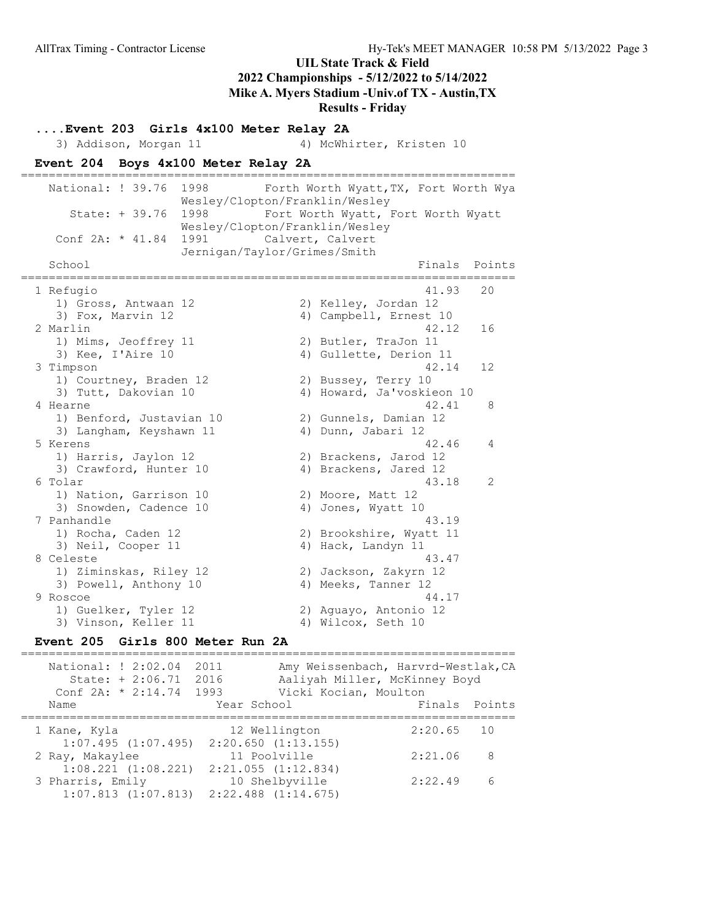Results - Friday

....Event 203 Girls 4x100 Meter Relay 2A 3) Addison, Morgan 11 4) McWhirter, Kristen 10 Event 204 Boys 4x100 Meter Relay 2A ======================================================================= National: ! 39.76 1998 Forth Worth Wyatt, TX, Fort Worth Wya Wesley/Clopton/Franklin/Wesley State: + 39.76 1998 Fort Worth Wyatt, Fort Worth Wyatt Wesley/Clopton/Franklin/Wesley Conf 2A: \* 41.84 1991 Calvert, Calvert Jernigan/Taylor/Grimes/Smith School **Finals Points** ======================================================================= 1 Refugio 41.93 20 1) Gross, Antwaan 12 2) Kelley, Jordan 12 3) Fox, Marvin 12 4) Campbell, Ernest 10 2 Marlin 42.12 16 1) Mims, Jeoffrey 11 2) Butler, TraJon 11 3) Mims, Jeoffrey 11 (2) Butler, TraJon 11<br>3) Kee, I'Aire 10 (4) Gullette, Derion 11<br>12.14 (4) 3 Timpson 42.14 12 1) Courtney, Braden 12 2) Bussey, Terry 10 3) Tutt, Dakovian 10 4) Howard, Ja'voskieon 10 4 Hearne 1990 and 1990 and 1990 and 1990 and 1990 and 1990 and 1990 and 1990 and 1990 and 1990 and 1990 and 19 1) Benford, Justavian 10 2) Gunnels, Damian 12 3) Langham, Keyshawn 11  $\qquad \qquad$  4) Dunn, Jabari 12 5 Kerens 42.46 4 1) Harris, Jaylon 12 2) Brackens, Jarod 12 3) Crawford, Hunter 10 4) Brackens, Jared 12 6 Tolar 43.18 2 1) Nation, Garrison 10 2) Moore, Matt 12 3) Snowden, Cadence 10 4) Jones, Wyatt 10 7 Panhandle 43.19 1) Rocha, Caden 12 2) Brookshire, Wyatt 11 3) Neil, Cooper 11 4) Hack, Landyn 11 8 Celeste 43.47 1) Ziminskas, Riley 12 2) Jackson, Zakyrn 12 3) Powell, Anthony 10 4) Meeks, Tanner 12 9 Roscoe 44.17 1) Guelker, Tyler 12 2) Aguayo, Antonio 12 3) Vinson, Keller 11 4) Wilcox, Seth 10

#### Event 205 Girls 800 Meter Run 2A

======================================================================= National: ! 2:02.04 2011 Amy Weissenbach, Harvrd-Westlak,CA State: + 2:06.71 2016 Aaliyah Miller, McKinney Boyd Conf 2A: \* 2:14.74 1993 Vicki Kocian, Moulton Name The Year School Team Points Points ======================================================================= 1 Kane, Kyla 12 Wellington 2:20.65 10 1:07.495 (1:07.495) 2:20.650 (1:13.155) 2 Ray, Makaylee 11 Poolville 2:21.06 8 1:08.221 (1:08.221) 2:21.055 (1:12.834) 3 Pharris, Emily 10 Shelbyville 2:22.49 6 1:07.813 (1:07.813) 2:22.488 (1:14.675)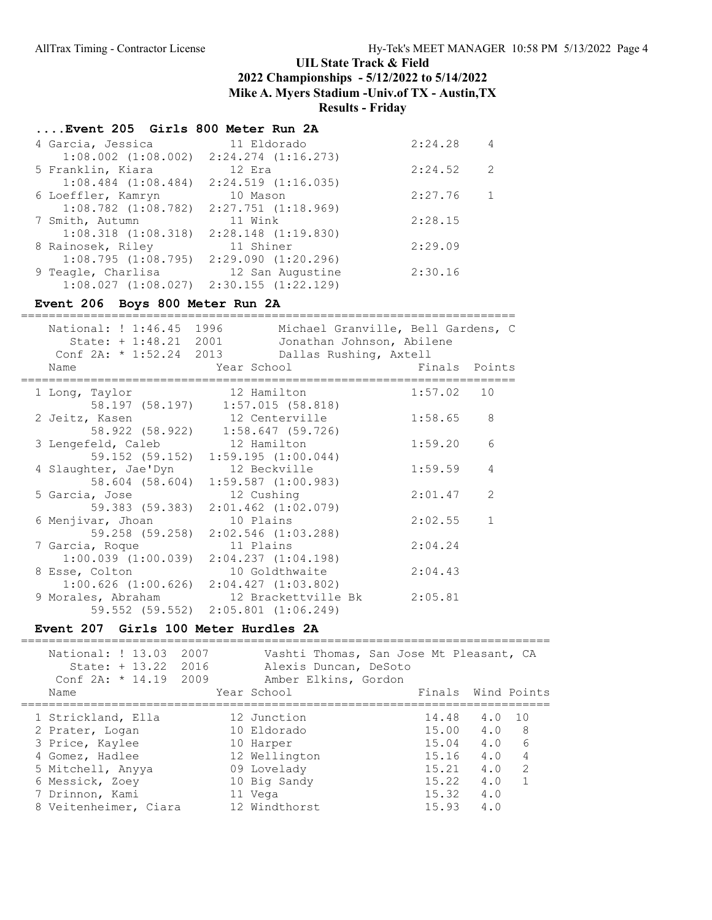## ....Event 205 Girls 800 Meter Run 2A

| 4 Garcia, Jessica       | 11 Eldorado                                     | 2:24.28 | 4            |
|-------------------------|-------------------------------------------------|---------|--------------|
|                         | $1:08.002$ $(1:08.002)$ $2:24.274$ $(1:16.273)$ |         |              |
| 5 Franklin, Kiara       | 12 Era                                          | 2:24.52 | 2            |
| $1:08.484$ $(1:08.484)$ | $2:24.519$ $(1:16.035)$                         |         |              |
| 6 Loeffler, Kamryn      | 10 Mason                                        | 2:27.76 | $\mathbf{1}$ |
| $1:08.782$ $(1:08.782)$ | 2:27.751 (1:18.969)                             |         |              |
| 7 Smith, Autumn         | 11 Wink                                         | 2:28.15 |              |
| $1:08.318$ $(1:08.318)$ | $2:28.148$ $(1:19.830)$                         |         |              |
| 8 Rainosek, Riley       | 11 Shiner                                       | 2:29.09 |              |
| 1:08.795(1:08.795)      | 2:29.090(1:20.296)                              |         |              |
| 9 Teagle, Charlisa      | 12 San Augustine                                | 2:30.16 |              |
| $1:08.027$ $(1:08.027)$ | 2:30.155 (1:22.129)                             |         |              |

# Event 206 Boys 800 Meter Run 2A

| National: ! 1:46.45 1996                                   | Michael Granville, Bell Gardens, C                                 |         |               |
|------------------------------------------------------------|--------------------------------------------------------------------|---------|---------------|
| State: + 1:48.21 2001<br>Conf $2A: * 1:52.24 2013$<br>Name | Jonathan Johnson, Abilene<br>Dallas Rushing, Axtell<br>Year School |         | Finals Points |
|                                                            |                                                                    |         |               |
| 1 Long, Taylor                                             | 12 Hamilton                                                        | 1:57.02 | 10            |
|                                                            | 58.197 (58.197) 1:57.015 (58.818)                                  |         |               |
| 2 Jeitz, Kasen                                             | 12 Centerville                                                     | 1:58.65 | 8             |
|                                                            | 58.922 (58.922) 1:58.647 (59.726)                                  |         |               |
| 3 Lengefeld, Caleb                                         | 12 Hamilton                                                        | 1:59.20 | 6             |
|                                                            | 59.152 (59.152) 1:59.195 (1:00.044)                                |         |               |
| 4 Slaughter, Jae'Dyn                                       | 12 Beckville                                                       | 1:59.59 | 4             |
| 58.604 (58.604)                                            | $1:59.587$ $(1:00.983)$                                            |         |               |
| 5 Garcia, Jose                                             | 12 Cushing                                                         | 2:01.47 | 2             |
| 59.383 (59.383)                                            | $2:01.462$ $(1:02.079)$                                            |         |               |
| 6 Menjivar, Jhoan                                          | 10 Plains                                                          | 2:02.55 |               |
| 59.258 (59.258)                                            | $2:02.546$ $(1:03.288)$                                            |         |               |
| 7 Garcia, Roque                                            | 11 Plains                                                          | 2:04.24 |               |
| $1:00.039$ $(1:00.039)$                                    | $2:04.237$ $(1:04.198)$                                            |         |               |
| 8 Esse, Colton                                             | 10 Goldthwaite                                                     | 2:04.43 |               |
| $1:00.626$ $(1:00.626)$                                    | 2:04.427(1:03.802)                                                 |         |               |
| 9 Morales, Abraham<br>59.552 (59.552)                      | 12 Brackettville Bk<br>$2:05.801$ $(1:06.249)$                     | 2:05.81 |               |
|                                                            |                                                                    |         |               |

### Event 207 Girls 100 Meter Hurdles 2A

| National: ! 13.03<br>State: + 13.22 2016<br>Conf $2A: * 14.19$ | 2007<br>2009 | Vashti Thomas, San Jose Mt Pleasant, CA<br>Alexis Duncan, DeSoto<br>Amber Elkins, Gordon |       |                        |
|----------------------------------------------------------------|--------------|------------------------------------------------------------------------------------------|-------|------------------------|
| Name                                                           |              | Year School                                                                              |       | Finals Wind Points     |
|                                                                |              |                                                                                          |       |                        |
| 1 Strickland, Ella                                             |              | 12 Junction                                                                              | 14.48 | 1 O<br>4.0             |
| 2 Prater, Logan                                                |              | 10 Eldorado                                                                              | 15.00 | 4.0<br>- 8             |
| 3 Price, Kaylee                                                |              | 10 Harper                                                                                | 15.04 | $6\overline{6}$<br>4.0 |
| 4 Gomez, Hadlee                                                |              | 12 Wellington                                                                            | 15.16 | 4<br>4.0               |
| 5 Mitchell, Anyya                                              |              | 09 Lovelady                                                                              | 15.21 | $\mathcal{P}$<br>4.0   |
| 6 Messick, Zoey                                                |              | 10 Big Sandy                                                                             | 15.22 | 4.0                    |
| 7 Drinnon, Kami                                                |              | 11 Vega                                                                                  | 15.32 | 4.0                    |
| 8 Veitenheimer, Ciara                                          |              | 12 Windthorst                                                                            | 15.93 | 4.0                    |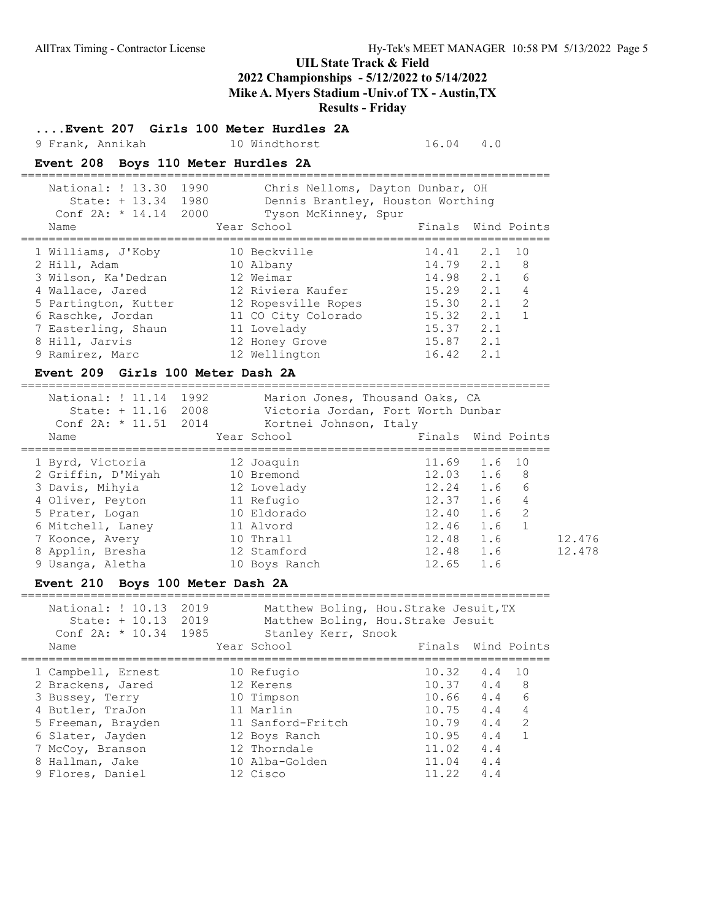# UIL State Track & Field 2022 Championships - 5/12/2022 to 5/14/2022

# Mike A. Myers Stadium -Univ.of TX - Austin,TX

Results - Friday

....Event 207 Girls 100 Meter Hurdles 2A

9 Frank, Annikah 10 Windthorst 16.04 4.0

#### Event 208 Boys 110 Meter Hurdles 2A

| National: ! 13.30<br>1990<br>1980<br>State: $+ 13.34$<br>Conf $2A: * 14.14$<br>2000<br>Name | Chris Nelloms, Dayton Dunbar, OH<br>Dennis Brantley, Houston Worthing<br>Tyson McKinney, Spur<br>Year School | Finals Wind Points |     |                |
|---------------------------------------------------------------------------------------------|--------------------------------------------------------------------------------------------------------------|--------------------|-----|----------------|
|                                                                                             |                                                                                                              |                    |     |                |
| 1 Williams, J'Koby                                                                          | 10 Beckville                                                                                                 | 14.41              | 2.1 | 10             |
| 2 Hill, Adam                                                                                | 10 Albany                                                                                                    | $14.79$ 2.1        |     | - 8            |
| 3 Wilson, Ka'Dedran                                                                         | 12 Weimar                                                                                                    | 14.98              | 2.1 | 6              |
| 4 Wallace, Jared                                                                            | 12 Riviera Kaufer                                                                                            | 15.29              | 2.1 | $\overline{4}$ |
| 5 Partington, Kutter                                                                        | 12 Ropesville Ropes                                                                                          | 15.30              | 2.1 | 2              |
| 6 Raschke, Jordan                                                                           | 11 CO City Colorado                                                                                          | 15.32              | 2.1 | $\overline{1}$ |
| 7 Easterling, Shaun                                                                         | 11 Lovelady                                                                                                  | 15.37              | 2.1 |                |
| 8 Hill, Jarvis                                                                              | 12 Honey Grove                                                                                               | 15.87              | 2.1 |                |
| 9 Ramirez, Marc                                                                             | 12 Wellington                                                                                                | 16.42              | 2.1 |                |
|                                                                                             |                                                                                                              |                    |     |                |

#### Event 209 Girls 100 Meter Dash 2A

============================================================================

| National: ! 11.14<br>State: $+ 11.16$<br>Conf $2A: * 11.51 2014$ | 1992<br>Marion Jones, Thousand Oaks, CA<br>2008<br>Victoria Jordan, Fort Worth Dunbar<br>Kortnei Johnson, Italy |             |                             |        |
|------------------------------------------------------------------|-----------------------------------------------------------------------------------------------------------------|-------------|-----------------------------|--------|
| Name                                                             | Year School                                                                                                     |             | Finals Wind Points          |        |
| 1 Byrd, Victoria                                                 | 12 Joaquin                                                                                                      |             | 11.69 1.6 10                |        |
| 2 Griffin, D'Miyah                                               | 10 Bremond                                                                                                      |             | $12.03$ $1.6$ 8             |        |
| 3 Davis, Mihyia                                                  | 12 Lovelady                                                                                                     |             | $12.24$ 1.6<br>6            |        |
| 4 Oliver, Peyton                                                 | 11 Refugio                                                                                                      |             | 12.37 1.6<br>$\overline{4}$ |        |
| 5 Prater, Logan                                                  | 10 Eldorado                                                                                                     | 12.40       | 1.6 2                       |        |
| 6 Mitchell, Laney                                                | 11 Alvord                                                                                                       | 12.46 1.6   |                             |        |
| 7 Koonce, Avery                                                  | 10 Thrall                                                                                                       | $12.48$ 1.6 |                             | 12.476 |
| 8 Applin, Bresha                                                 | 12 Stamford                                                                                                     | $12.48$ 1.6 |                             | 12.478 |
| 9 Usanga, Aletha                                                 | 10 Boys Ranch                                                                                                   | 12.65       | 1.6                         |        |

#### Event 210 Boys 100 Meter Dash 2A

============================================================================ National: ! 10.13 2019 Matthew Boling, Hou.Strake Jesuit, TX State: + 10.13 2019 Matthew Boling, Hou.Strake Jesuit Conf 2A: \* 10.34 1985 Stanley Kerr, Snook Name The Year School The Finals Wind Points ============================================================================ 1 Campbell, Ernest 10 Refugio 10.32 4.4 10 2 Brackens, Jared 12 Kerens 10.37 4.4 8 3 Bussey, Terry 10 Timpson 10.66 4.4 6 4 Butler, TraJon 11 Marlin 10.75 4.4 4 5 Freeman, Brayden 11 Sanford-Fritch 10.79 4.4 2 6 Slater, Jayden 12 Boys Ranch 10.95 4.4 1 7 McCoy, Branson 12 Thorndale 11.02 4.4 8 Hallman, Jake 10 Alba-Golden 11.04 4.4 9 Flores, Daniel 12 Cisco 11.22 4.4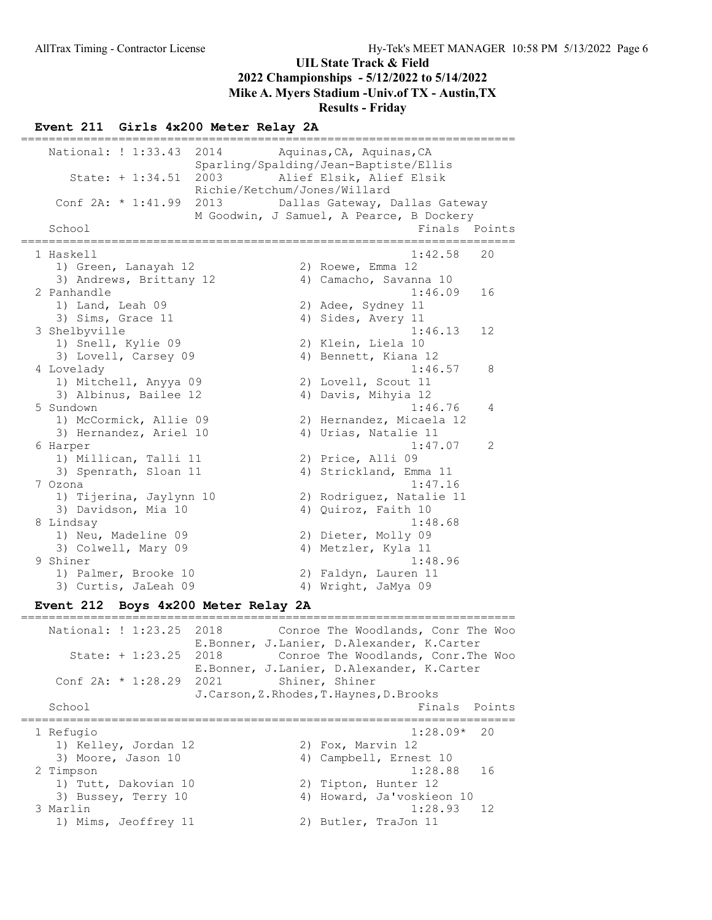Results - Friday

#### Event 211 Girls 4x200 Meter Relay 2A

======================================================================= National: ! 1:33.43 2014 Aquinas, CA, Aquinas, CA Sparling/Spalding/Jean-Baptiste/Ellis State: + 1:34.51 2003 Alief Elsik, Alief Elsik Richie/Ketchum/Jones/Willard Conf 2A: \* 1:41.99 2013 Dallas Gateway, Dallas Gateway M Goodwin, J Samuel, A Pearce, B Dockery<br>Finals E Finals Points ======================================================================= 1 Haskell 1:42.58 20 1) Green, Lanayah 12 2) Roewe, Emma 12 3) Andrews, Brittany 12 (4) Camacho, Savanna 10 2 Panhandle 1:46.09 16 1) Land, Leah 09 2) Adee, Sydney 11 3) Sims, Grace 11 4) Sides, Avery 11 3 Shelbyville 1:46.13 12 1) Snell, Kylie 09 2) Klein, Liela 10 3) Lovell, Carsey 09 (4) Bennett, Kiana 12 4 Lovelady 1:46.57 8 1) Mitchell, Anyya 09 2) Lovell, Scout 11 3) Albinus, Bailee 12 (4) Davis, Mihyia 12 5 Sundown 1:46.76 4 1) McCormick, Allie 09 2) Hernandez, Micaela 12 3) Hernandez, Ariel 10 (4) Urias, Natalie 11 6 Harper 1:47.07 2 1) Millican, Talli 11 2) Price, Alli 09 3) Spenrath, Sloan 11 4) Strickland, Emma 11 7 Ozona 1:47.16 1) Tijerina, Jaylynn 10 2) Rodriguez, Natalie 11 3) Davidson, Mia 10 4) Quiroz, Faith 10 8 Lindsay 1:48.68 1) Neu, Madeline 09 2) Dieter, Molly 09 3) Colwell, Mary 09 4) Metzler, Kyla 11 9 Shiner 1:48.96 1) Palmer, Brooke 10 2) Faldyn, Lauren 11 3) Curtis, JaLeah 09 4) Wright, JaMya 09

## Event 212 Boys 4x200 Meter Relay 2A

======================================================================= National: ! 1:23.25 2018 Conroe The Woodlands, Conr The Woo E.Bonner, J.Lanier, D.Alexander, K.Carter State: + 1:23.25 2018 Conroe The Woodlands, Conr.The Woo E.Bonner, J.Lanier, D.Alexander, K.Carter Conf 2A: \* 1:28.29 2021 Shiner, Shiner J.Carson,Z.Rhodes,T.Haynes,D.Brooks School **Finals Points** ======================================================================= 1 Refugio 1:28.09\* 20 1) Kelley, Jordan 12 2) Fox, Marvin 12 3) Moore, Jason 10 4) Campbell, Ernest 10 2 Timpson 1:28.88 16 1) Tutt, Dakovian 10 2) Tipton, Hunter 12 3) Bussey, Terry 10 4) Howard, Ja'voskieon 10 3 Marlin 1:28.93 12 1) Mims, Jeoffrey 11 2) Butler, TraJon 11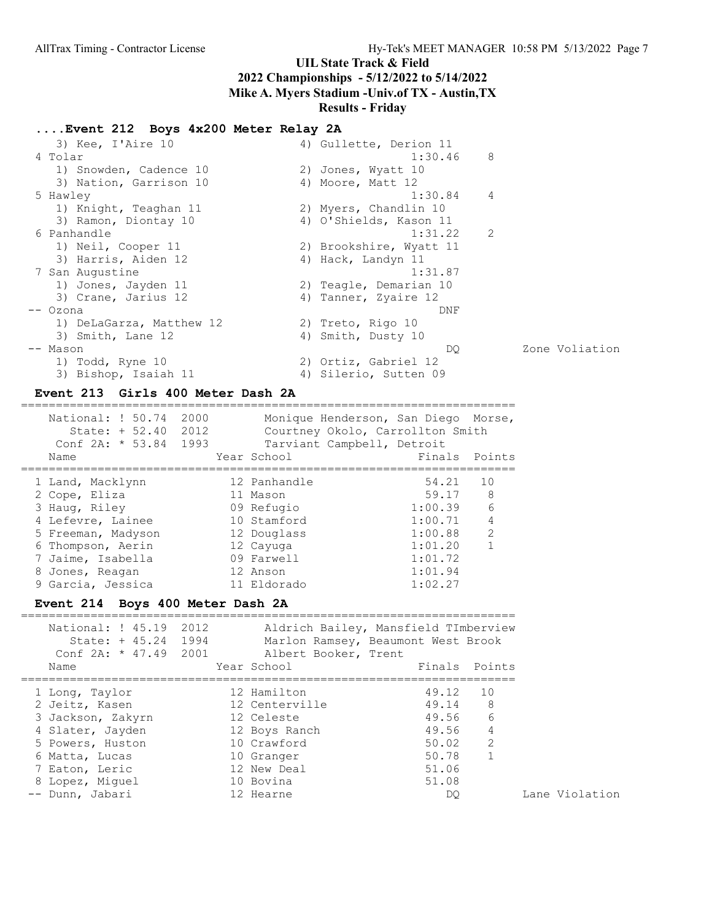## ....Event 212 Boys 4x200 Meter Relay 2A

| 3) Kee, I'Aire 10        | 4) Gullette, Derion 11  |     |                |
|--------------------------|-------------------------|-----|----------------|
| 4 Tolar                  | 1:30.46                 | - 8 |                |
| 1) Snowden, Cadence 10   | 2) Jones, Wyatt 10      |     |                |
| 3) Nation, Garrison 10   | 4) Moore, Matt 12       |     |                |
| 5 Hawley                 | 1:30.84                 | 4   |                |
| 1) Knight, Teaghan 11    | 2) Myers, Chandlin 10   |     |                |
| 3) Ramon, Diontay 10     | 4) O'Shields, Kason 11  |     |                |
| 6 Panhandle              | 1:31.22                 | 2   |                |
| 1) Neil, Cooper 11       | 2) Brookshire, Wyatt 11 |     |                |
| 3) Harris, Aiden 12      | 4) Hack, Landyn 11      |     |                |
| 7 San Augustine          | 1:31.87                 |     |                |
| 1) Jones, Jayden 11      | 2) Teagle, Demarian 10  |     |                |
| 3) Crane, Jarius 12      | 4) Tanner, Zyaire 12    |     |                |
| -- Ozona                 | DNF                     |     |                |
| 1) DeLaGarza, Matthew 12 | 2) Treto, Rigo 10       |     |                |
| 3) Smith, Lane 12        | 4) Smith, Dusty 10      |     |                |
| -- Mason                 | DO                      |     | Zone Voliation |
| 1) Todd, Ryne 10         | 2) Ortiz, Gabriel 12    |     |                |
| 3) Bishop, Isaiah 11     | 4) Silerio, Sutten 09   |     |                |
|                          |                         |     |                |

#### Event 213 Girls 400 Meter Dash 2A =======================================================================

| National: ! 50.74<br>State: $+ 52.40$<br>Conf $2A: * 53.84$<br>Name | 2000<br>2012<br>1993 | Monique Henderson, San Diego Morse,<br>Courtney Okolo, Carrollton Smith<br>Tarviant Campbell, Detroit<br>Year School | Finals  | Points         |
|---------------------------------------------------------------------|----------------------|----------------------------------------------------------------------------------------------------------------------|---------|----------------|
| 1 Land, Macklynn                                                    |                      | 12 Panhandle                                                                                                         | 54.21   | 10             |
| 2 Cope, Eliza                                                       |                      | 11 Mason                                                                                                             | 59.17   | -8             |
| 3 Haug, Riley                                                       |                      | 09 Refugio                                                                                                           | 1:00.39 | 6              |
| 4 Lefevre, Lainee                                                   |                      | 10 Stamford                                                                                                          | 1:00.71 | $\overline{4}$ |
| 5 Freeman, Madyson                                                  |                      | 12 Douglass                                                                                                          | 1:00.88 | 2              |
| 6 Thompson, Aerin                                                   |                      | 12 Cayuga                                                                                                            | 1:01.20 | 1              |
| 7 Jaime, Isabella                                                   |                      | 09 Farwell                                                                                                           | 1:01.72 |                |
| 8 Jones, Reagan                                                     |                      | 12 Anson                                                                                                             | 1:01.94 |                |
| 9 Garcia, Jessica                                                   |                      | 11 Eldorado                                                                                                          | 1:02.27 |                |

## Event 214 Boys 400 Meter Dash 2A

| National: ! 45.19 2012<br>State: $+ 45.24 1994$<br>Conf $2A: * 47.49 2001$<br>Name                                                                                   | Albert Booker, Trent<br>Year School                                                                                                | Aldrich Bailey, Mansfield TImberview<br>Marlon Ramsey, Beaumont West Brook<br>Finals Points |                                            |
|----------------------------------------------------------------------------------------------------------------------------------------------------------------------|------------------------------------------------------------------------------------------------------------------------------------|---------------------------------------------------------------------------------------------|--------------------------------------------|
| 1 Long, Taylor<br>2 Jeitz, Kasen<br>3 Jackson, Zakyrn<br>4 Slater, Jayden<br>5 Powers, Huston<br>6 Matta, Lucas<br>7 Eaton, Leric<br>8 Lopez, Miquel<br>Dunn, Jabari | 12 Hamilton<br>12 Centerville<br>12 Celeste<br>12 Boys Ranch<br>10 Crawford<br>10 Granger<br>12 New Deal<br>10 Bovina<br>12 Hearne | 49.12<br>49.14<br>49.56<br>49.56<br>50.02<br>50.78<br>51.06<br>51.08<br>DO                  | 10<br>- 8<br>6<br>$\overline{4}$<br>2<br>1 |

Lane Violation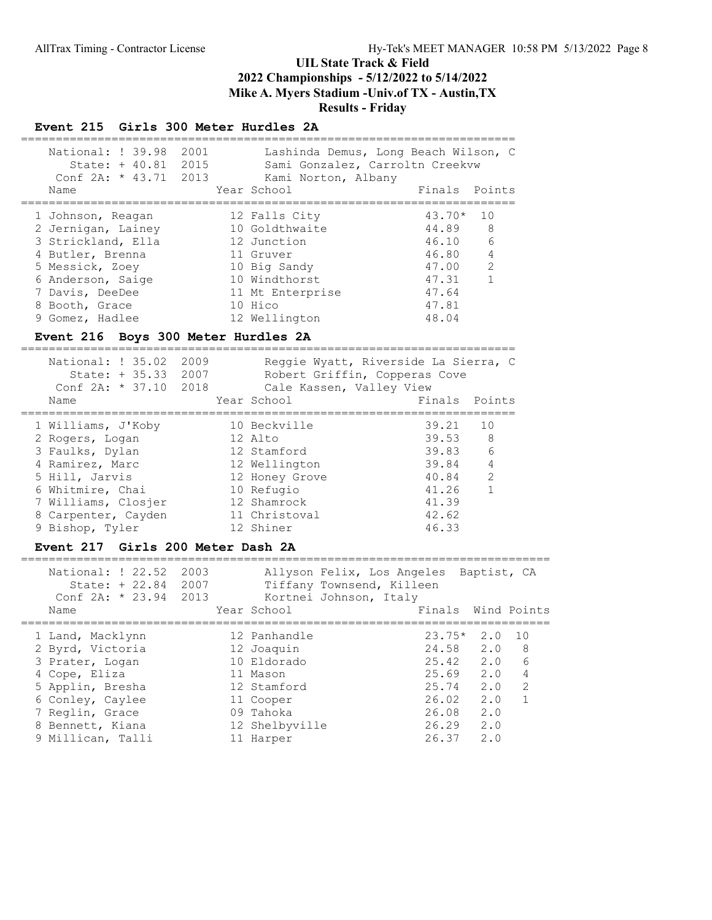=======================================================================

#### Event 215 Girls 300 Meter Hurdles 2A

| National: ! 39.98<br>State: $+40.81$ 2015<br>Conf $2A: * 43.71 2013$<br>Name | 2001 | Lashinda Demus, Long Beach Wilson, C<br>Sami Gonzalez, Carroltn Creekvw<br>Kami Norton, Albany<br>Year School | Finals Points                |                |
|------------------------------------------------------------------------------|------|---------------------------------------------------------------------------------------------------------------|------------------------------|----------------|
| 1 Johnson, Reagan<br>2 Jernigan, Lainey<br>3 Strickland, Ella                |      | 12 Falls City<br>10 Goldthwaite<br>12 Junction                                                                | $43.70*$<br>44.89 8<br>46.10 | 10<br>6        |
| 4 Butler, Brenna                                                             |      | 11 Gruver                                                                                                     | 46.80                        | $\overline{4}$ |
| 5 Messick, Zoev                                                              |      | 10 Big Sandy                                                                                                  | 47.00                        | 2              |
| 6 Anderson, Saige                                                            |      | 10 Windthorst                                                                                                 | 47.31                        | $\mathbf{1}$   |
| 7 Davis, DeeDee                                                              |      | 11 Mt Enterprise                                                                                              | 47.64                        |                |
| 8 Booth, Grace                                                               |      | 10 Hico                                                                                                       | 47.81                        |                |
| 9 Gomez, Hadlee                                                              |      | 12 Wellington                                                                                                 | 48.04                        |                |

### Event 216 Boys 300 Meter Hurdles 2A

| National: ! 35.02<br>State: + 35.33 2007<br>Conf $2A: * 37.10$ 2018 | 2009 | Cale Kassen, Valley View | Reggie Wyatt, Riverside La Sierra, C<br>Robert Griffin, Copperas Cove |                 |
|---------------------------------------------------------------------|------|--------------------------|-----------------------------------------------------------------------|-----------------|
| Name                                                                |      | Year School              | Finals                                                                | Points          |
| 1 Williams, J'Koby<br>2 Rogers, Logan                               |      | 10 Beckville<br>12 Alto  | 39.21<br>39.53 8                                                      | 10              |
| 3 Faulks, Dylan                                                     |      | 12 Stamford              | 39.83                                                                 | $6\overline{6}$ |
| 4 Ramirez, Marc                                                     |      | 12 Wellington            | 39.84                                                                 | $\overline{4}$  |
| 5 Hill, Jarvis                                                      |      | 12 Honey Grove           | 40.84                                                                 | 2               |
| 6 Whitmire, Chai                                                    |      | 10 Refugio               | 41.26                                                                 | $\mathbf{1}$    |
| 7 Williams, Closjer                                                 |      | 12 Shamrock              | 41.39                                                                 |                 |
| 8 Carpenter, Cayden                                                 |      | 11 Christoval            | 42.62                                                                 |                 |
| 9 Bishop, Tyler                                                     |      | 12 Shiner                | 46.33                                                                 |                 |

#### Event 217 Girls 200 Meter Dash 2A

============================================================================ National: ! 22.52 2003 Allyson Felix, Los Angeles Baptist, CA

| State: + 22.84<br>2007<br>Tiffany Townsend, Killeen<br>Conf 2A: * 23.94 2013<br>Kortnei Johnson, Italy<br>Year School<br>Finals<br>Name<br>$23.75*$<br>2.0<br>12 Panhandle<br>1 Land, Macklynn<br>24.58 2.0 | Allyson Felix, Los Angeles Baptist, CA |
|-------------------------------------------------------------------------------------------------------------------------------------------------------------------------------------------------------------|----------------------------------------|
|                                                                                                                                                                                                             |                                        |
|                                                                                                                                                                                                             |                                        |
|                                                                                                                                                                                                             | Wind Points                            |
|                                                                                                                                                                                                             |                                        |
|                                                                                                                                                                                                             | 10                                     |
| 2 Byrd, Victoria<br>12 Joaquin                                                                                                                                                                              | 8                                      |
| 2.0<br>25.42<br>10 Eldorado<br>3 Prater, Logan                                                                                                                                                              | 6                                      |
| 25.69<br>2.0<br>4 Cope, Eliza<br>11 Mason                                                                                                                                                                   | 4                                      |
| 2.0<br>25.74<br>5 Applin, Bresha<br>12 Stamford                                                                                                                                                             | 2                                      |
| 2.0<br>26.02<br>6 Conley, Caylee<br>11 Cooper                                                                                                                                                               |                                        |
| 2.0<br>7 Reglin, Grace<br>26.08<br>09 Tahoka                                                                                                                                                                |                                        |
| 2.0<br>26.29<br>12 Shelbyville<br>8 Bennett, Kiana                                                                                                                                                          |                                        |
| 26.37<br>9 Millican, Talli<br>2.0<br>11 Harper                                                                                                                                                              |                                        |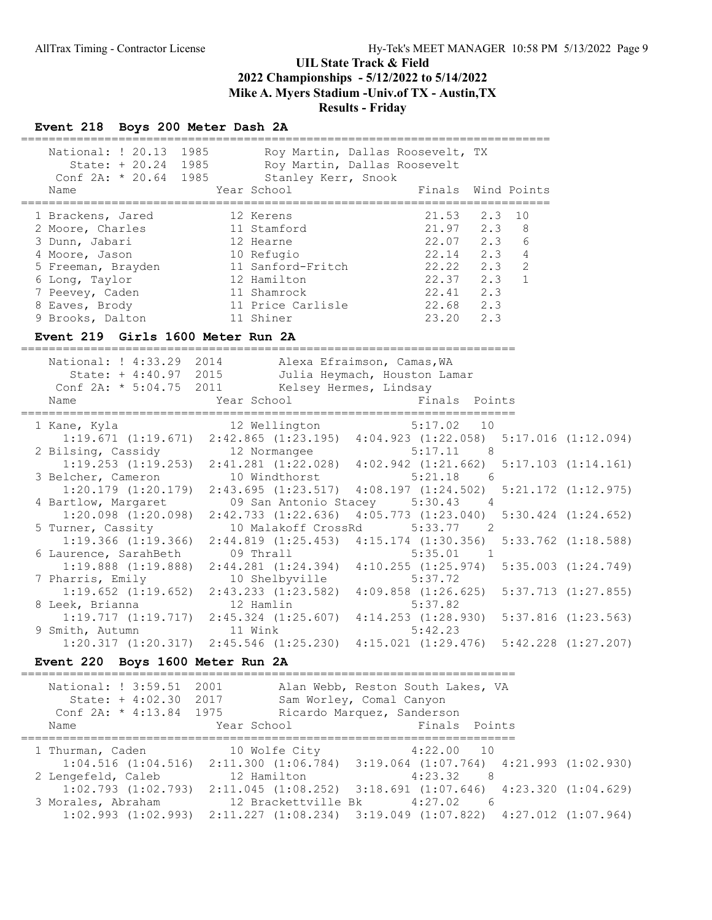#### Event 218 Boys 200 Meter Dash 2A

| National: ! 20.13<br>1985<br>State: $+20.24$ 1985 | Roy Martin, Dallas Roosevelt, TX<br>Roy Martin, Dallas Roosevelt |                               |
|---------------------------------------------------|------------------------------------------------------------------|-------------------------------|
| Conf $2A: * 20.64$ 1985<br>Name                   | Stanley Kerr, Snook<br>Year School                               | Finals Wind Points            |
| 1 Brackens, Jared                                 | 12 Kerens                                                        | 21.53<br>2.3 10               |
| 2 Moore, Charles                                  | 11 Stamford                                                      | 2.3<br>21.97<br>8             |
| 3 Dunn, Jabari                                    | 12 Hearne                                                        | 6<br>2.3<br>22.07             |
| 4 Moore, Jason                                    | 10 Refugio                                                       | 4<br>2 <sup>3</sup><br>22.14  |
| 5 Freeman, Brayden                                | 11 Sanford-Fritch                                                | $\mathcal{L}$<br>2.3<br>22.22 |
| 6 Long, Taylor                                    | 12 Hamilton                                                      | $\mathbf{1}$<br>22.37<br>2.3  |
| 7 Peevey, Caden                                   | 11 Shamrock                                                      | 2.3<br>22.41                  |
| 8 Eaves, Brody                                    | 11 Price Carlisle                                                | 2.3<br>22.68                  |
| 9 Brooks, Dalton                                  | 11 Shiner                                                        | 23.20<br>2.3                  |

#### Event 219 Girls 1600 Meter Run 2A

======================================================================= National: ! 4:33.29 2014 Alexa Efraimson, Camas,WA State: + 4:40.97 2015 Julia Heymach, Houston Lamar Conf 2A: \* 5:04.75 2011 Kelsey Hermes, Lindsay Name The Year School Team Points Points ======================================================================= 1 Kane, Kyla 12 Wellington 5:17.02 10 1:19.671 (1:19.671) 2:42.865 (1:23.195) 4:04.923 (1:22.058) 5:17.016 (1:12.094) 2 Bilsing, Cassidy 12 Normangee 5:17.11 8 1:19.253 (1:19.253) 2:41.281 (1:22.028) 4:02.942 (1:21.662) 5:17.103 (1:14.161) 3 Belcher, Cameron 10 Windthorst 5:21.18 6 1:20.179 (1:20.179) 2:43.695 (1:23.517) 4:08.197 (1:24.502) 5:21.172 (1:12.975) 4 Bartlow, Margaret 09 San Antonio Stacey 5:30.43 4 1:20.098 (1:20.098) 2:42.733 (1:22.636) 4:05.773 (1:23.040) 5:30.424 (1:24.652) 5 Turner, Cassity 10 Malakoff CrossRd 5:33.77 2 1:19.366 (1:19.366) 2:44.819 (1:25.453) 4:15.174 (1:30.356) 5:33.762 (1:18.588) 6 Laurence, SarahBeth  $09$  Thrall  $5:35.01$  1 1:19.888 (1:19.888) 2:44.281 (1:24.394) 4:10.255 (1:25.974) 5:35.003 (1:24.749) 7 Pharris, Emily 10 Shelbyville 5:37.72 1:19.652 (1:19.652) 2:43.233 (1:23.582) 4:09.858 (1:26.625) 5:37.713 (1:27.855) 8 Leek, Brianna 12 Hamlin 5:37.82 1:19.717 (1:19.717) 2:45.324 (1:25.607) 4:14.253 (1:28.930) 5:37.816 (1:23.563)<br>mith, Autumn 11 Wink 5:42.23 9 Smith, Autumn 11 Wink 5:42.23 1:20.317 (1:20.317) 2:45.546 (1:25.230) 4:15.021 (1:29.476) 5:42.228 (1:27.207)

#### Event 220 Boys 1600 Meter Run 2A

======================================================================= National: ! 3:59.51 2001 Alan Webb, Reston South Lakes, VA State: + 4:02.30 2017 Sam Worley, Comal Canyon Conf 2A: \* 4:13.84 1975 Ricardo Marquez, Sanderson Name The Year School Team Points Points ======================================================================= 1 Thurman, Caden 10 Wolfe City 4:22.00 10 1:04.516 (1:04.516) 2:11.300 (1:06.784) 3:19.064 (1:07.764) 4:21.993 (1:02.930) 2 Lengefeld, Caleb 12 Hamilton 4:23.32 8 1:02.793 (1:02.793) 2:11.045 (1:08.252) 3:18.691 (1:07.646) 4:23.320 (1:04.629) 3 Morales, Abraham 12 Brackettville Bk 4:27.02 6 1:02.993 (1:02.993) 2:11.227 (1:08.234) 3:19.049 (1:07.822) 4:27.012 (1:07.964)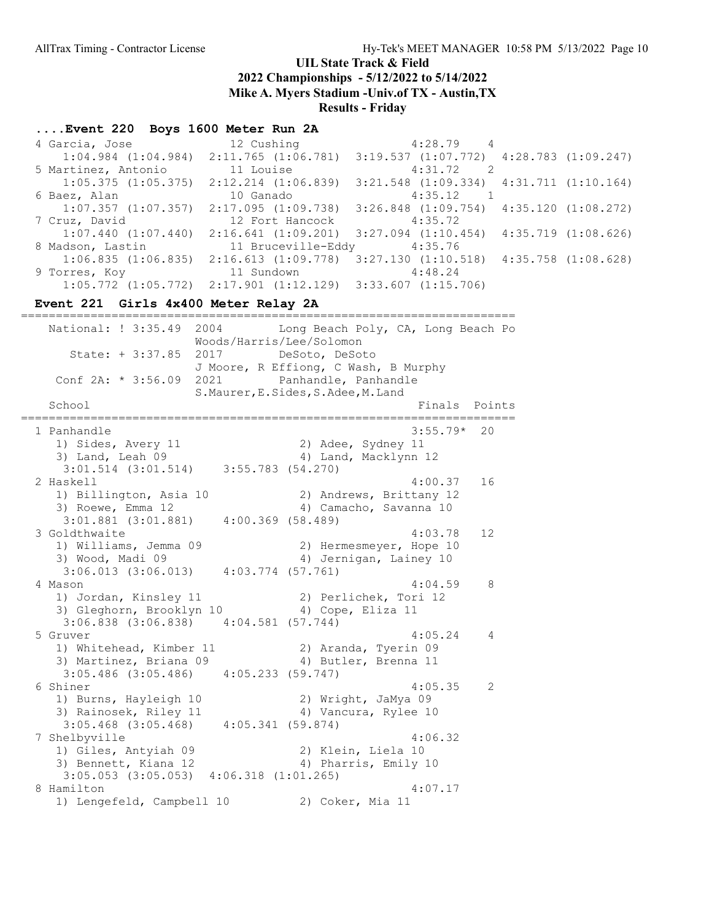### UIL State Track & Field

2022 Championships - 5/12/2022 to 5/14/2022

Mike A. Myers Stadium -Univ.of TX - Austin,TX

Results - Friday

#### ....Event 220 Boys 1600 Meter Run 2A

| 4 Garcia, Jose          | 12 Cushing              | $4:28.79$ 4                                     |                     |
|-------------------------|-------------------------|-------------------------------------------------|---------------------|
| $1:04.984$ $(1:04.984)$ | 2:11.765(1:06.781)      | $3:19.537$ $(1:07.772)$ $4:28.783$ $(1:09.247)$ |                     |
| 5 Martinez, Antonio     | 11 Louise               | 4:31.72<br>$\overline{2}$                       |                     |
| $1:05.375$ $(1:05.375)$ | 2:12.214 (1:06.839)     | $3:21.548$ $(1:09.334)$ $4:31.711$ $(1:10.164)$ |                     |
| 6 Baez, Alan            | 10 Ganado               | 4:35.12                                         |                     |
| $1:07.357$ $(1:07.357)$ | 2:17.095 (1:09.738)     | $3:26.848$ $(1:09.754)$ $4:35.120$ $(1:08.272)$ |                     |
| 7 Cruz, David           | 12 Fort Hancock         | 4:35.72                                         |                     |
| $1:07.440$ $(1:07.440)$ | $2:16.641$ $(1:09.201)$ | $3:27.094$ $(1:10.454)$ $4:35.719$ $(1:08.626)$ |                     |
| 8 Madson, Lastin        | 11 Bruceville-Eddy      | 4:35.76                                         |                     |
| 1:06.835(1:06.835)      | 2:16.613(1:09.778)      | 3:27.130 (1:10.518)                             | 4:35.758 (1:08.628) |
|                         |                         |                                                 |                     |
| 9 Torres, Koy           | 11 Sundown              | 4:48.24                                         |                     |

#### Event 221 Girls 4x400 Meter Relay 2A

======================================================================= National: ! 3:35.49 2004 Long Beach Poly, CA, Long Beach Po Woods/Harris/Lee/Solomon State: + 3:37.85 2017 DeSoto, DeSoto J Moore, R Effiong, C Wash, B Murphy Conf 2A: \* 3:56.09 2021 Panhandle, Panhandle S.Maurer,E.Sides,S.Adee,M.Land School **Finals** Points ======================================================================= 1 Panhandle 3:55.79\* 20 1) Sides, Avery 11 2) Adee, Sydney 11 3) Land, Leah 09 4) Land, Macklynn 12 3:01.514 (3:01.514) 3:55.783 (54.270) 2 Haskell 4:00.37 16 1) Billington, Asia 10 2) Andrews, Brittany 12 3) Roewe, Emma 12 4) Camacho, Savanna 10 3:01.881 (3:01.881) 4:00.369 (58.489) 3 Goldthwaite 4:03.78 12 1) Williams, Jemma 09 2) Hermesmeyer, Hope 10 3) Wood, Madi 09 12 4) Jernigan, Lainey 10 3:06.013 (3:06.013) 4:03.774 (57.761) 4 Mason 4:04.59 8<br>1) Jordan, Kinsley 11 2 2) Perlichek, Tori 12<br>3) Gleghorn, Brooklyn 10 4) Cope, Eliza 11 1) Jordan, Kinsley 11 2) Perlichek, Tori 12 3) Gleghorn, Brooklyn 10 (4) Cope, Eliza 11 3:06.838 (3:06.838) 4:04.581 (57.744) 5 Gruver 4:05.24 4 1) Whitehead, Kimber 11 32) Aranda, Tyerin 09 3) Martinez, Briana 09 4) Butler, Brenna 11 3:05.486 (3:05.486) 4:05.233 (59.747) 6 Shiner 4:05.35 2 1) Burns, Hayleigh 10 2) Wright, JaMya 09 3) Rainosek, Riley 11 4) Vancura, Rylee 10 3:05.468 (3:05.468) 4:05.341 (59.874) 7 Shelbyville 4:06.32 1) Giles, Antyiah 09 2) Klein, Liela 10 3) Bennett, Kiana 12 4) Pharris, Emily 10 3:05.053 (3:05.053) 4:06.318 (1:01.265) 8 Hamilton 4:07.17 1) Lengefeld, Campbell 10 2) Coker, Mia 11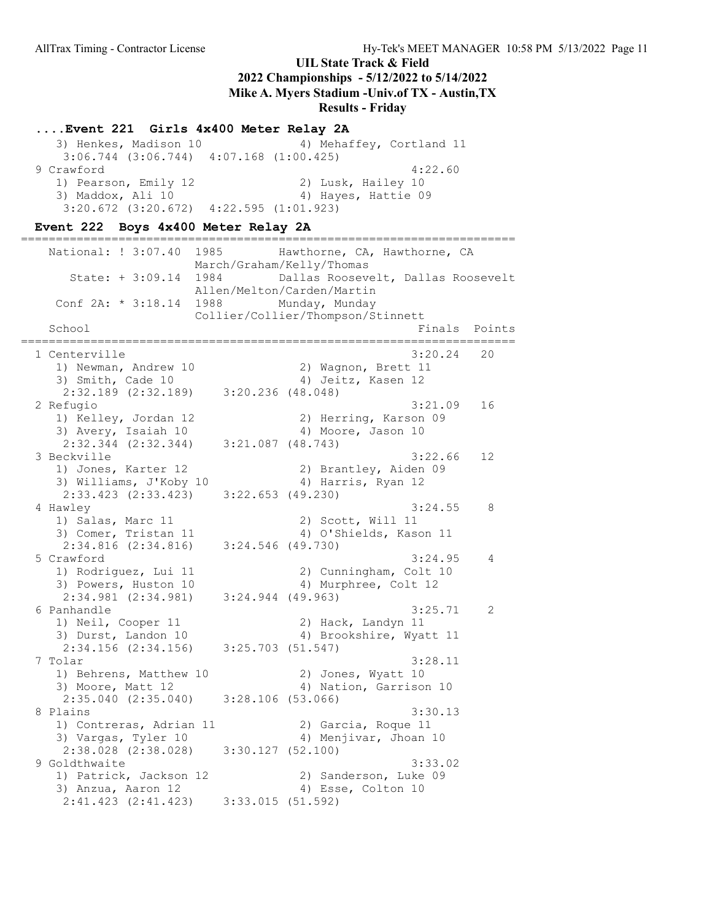### ....Event 221 Girls 4x400 Meter Relay 2A

3) Henkes, Madison 10 4) Mehaffey, Cortland 11 3:06.744 (3:06.744) 4:07.168 (1:00.425) 9 Crawford 4:22.60 1) Pearson, Emily 12 2) Lusk, Hailey 10<br>3) Maddox, Ali 10 3) Hayes, Hattie 09 3) Maddox, Ali 10 3:20.672 (3:20.672) 4:22.595 (1:01.923)

#### Event 222 Boys 4x400 Meter Relay 2A

======================================================================= National: ! 3:07.40 1985 Hawthorne, CA, Hawthorne, CA March/Graham/Kelly/Thomas State: + 3:09.14 1984 Dallas Roosevelt, Dallas Roosevelt Allen/Melton/Carden/Martin Conf 2A: \* 3:18.14 1988 Munday, Munday Collier/Collier/Thompson/Stinnett School **Finals** Points ======================================================================= 1 Centerville 3:20.24 20 1) Newman, Andrew 10 2) Wagnon, Brett 11 3) Smith, Cade 10 4) Jeitz, Kasen 12 2:32.189 (2:32.189) 3:20.236 (48.048) 2 Refugio 3:21.09 16 1) Kelley, Jordan 12 2) Herring, Karson 09 3) Avery, Isaiah 10 4) Moore, Jason 10 2:32.344 (2:32.344) 3:21.087 (48.743) 3 Beckville 3:22.66 12 1) Jones, Karter 12 (2) Brantley, Aiden 09<br>3) Williams, J'Koby 10 (2) 4) Harris, Ryan 12 3) Williams, J'Koby 10 2:33.423 (2:33.423) 3:22.653 (49.230) 4 Hawley 3:24.55 8 1) Salas, Marc 11 2) Scott, Will 11 3) Comer, Tristan 11 4) O'Shields, Kason 11 2:34.816 (2:34.816) 3:24.546 (49.730) 5 Crawford 3:24.95 4 1) Rodriguez, Lui 11 2) Cunningham, Colt 10 3) Powers, Huston 10 4) Murphree, Colt 12 2:34.981 (2:34.981) 3:24.944 (49.963) 6 Panhandle 3:25.71 2 1) Neil, Cooper 11 2) Hack, Landyn 11<br>3) Durst, Landon 10 3) Brookshire, Wyat 4) Brookshire, Wyatt 11 2:34.156 (2:34.156) 3:25.703 (51.547) 7 Tolar 3:28.11<br>1) Behrens, Matthew 10 2) Jones, Wyatt 10 1) Behrens, Matthew 10 3) Moore, Matt 12 4) Nation, Garrison 10 2:35.040 (2:35.040) 3:28.106 (53.066)<br>8 Plains 8 Plains 3:30.13 1) Contreras, Adrian 11 (2) Garcia, Roque 11 3) Vargas, Tyler 10 4) Menjivar, Jhoan 10 2:38.028 (2:38.028) 3:30.127 (52.100) 9 Goldthwaite 3:33.02 1) Patrick, Jackson 12 2) Sanderson, Luke 09 3) Anzua, Aaron 12 4) Esse, Colton 10 2:41.423 (2:41.423) 3:33.015 (51.592)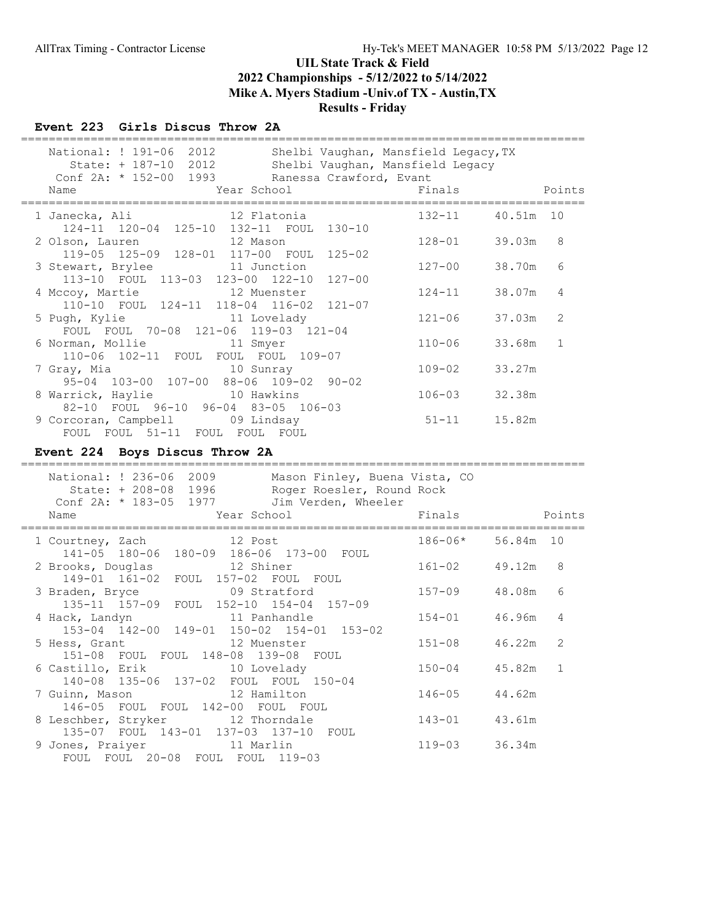#### Event 223 Girls Discus Throw 2A

| National: ! 191-06 2012<br>Shelbi Vaughan, Mansfield Legacy,TX<br>Shelbi Vaughan, Mansfield Legacy                    |             |           |              |
|-----------------------------------------------------------------------------------------------------------------------|-------------|-----------|--------------|
| State: + 187-10 2012                                                                                                  |             |           |              |
| Conf 2A: * 152-00 1993<br>Ranessa Crawford, Evant<br>Name                                                             | Finals      |           | Points       |
| Year School<br>========================<br>==================                                                         |             |           |              |
| 1 Janecka, Ali<br>12 Flatonia                                                                                         | $132 - 11$  | 40.51m    | 10           |
| 124-11 120-04 125-10 132-11 FOUL 130-10                                                                               |             |           |              |
| 2 Olson, Lauren<br>12 Mason                                                                                           | $128 - 01$  | 39.03m    | 8            |
| 119-05 125-09 128-01 117-00 FOUL 125-02                                                                               |             |           |              |
| 3 Stewart, Brylee<br>11 Junction                                                                                      | $127 - 00$  | 38.70m    | 6            |
| 113-10 FOUL 113-03 123-00 122-10<br>127-00                                                                            |             |           |              |
| 4 Mccoy, Martie<br>12 Muenster                                                                                        | $124 - 11$  | 38.07m    | 4            |
| 110-10 FOUL 124-11 118-04 116-02<br>$121 - 07$                                                                        |             |           |              |
| 5 Pugh, Kylie<br>11 Lovelady                                                                                          | $121 - 06$  | 37.03m    | 2            |
| FOUL FOUL 70-08 121-06 119-03 121-04                                                                                  |             |           |              |
| 6 Norman, Mollie<br>11 Smyer<br>110-06 102-11 FOUL FOUL FOUL 109-07                                                   | $110 - 06$  | 33.68m    | $\mathbf{1}$ |
| 10 Sunray                                                                                                             | $109 - 02$  | 33.27m    |              |
| 7 Gray, Mia<br>95-04 103-00 107-00 88-06 109-02 90-02                                                                 |             |           |              |
| 8 Warrick, Haylie 10 Hawkins                                                                                          | $106 - 03$  | 32.38m    |              |
| 82-10 FOUL 96-10 96-04 83-05 106-03                                                                                   |             |           |              |
| 9 Corcoran, Campbell 09 Lindsay                                                                                       | $51 - 11$   | 15.82m    |              |
| FOUL FOUL 51-11 FOUL FOUL FOUL                                                                                        |             |           |              |
| Event 224 Boys Discus Throw 2A                                                                                        |             |           |              |
|                                                                                                                       |             |           |              |
| National: ! 236-06 2009 Mason Finley, Buena Vista, CO                                                                 |             |           |              |
|                                                                                                                       |             |           |              |
|                                                                                                                       |             |           |              |
| State: + 208-08 1996 Roger Roesler, Round Rock<br>onf 2A: * 183-05 1977 Jim Verden, Wheeler<br>Conf 2A: * 183-05 1977 |             |           |              |
| Year School<br>Name                                                                                                   | Finals      |           | Points       |
| .===============                                                                                                      |             |           |              |
| 12 Post<br>1 Courtney, Zach                                                                                           | $186 - 06*$ | 56.84m 10 |              |
| 141-05 180-06 180-09 186-06 173-00 FOUL                                                                               |             |           |              |
| 2 Brooks, Douglas<br>12 Shiner                                                                                        | $161 - 02$  | 49.12m    | 8            |
| 149-01 161-02 FOUL 157-02 FOUL FOUL                                                                                   |             |           |              |
| 3 Braden, Bryce<br>09 Stratford                                                                                       | $157 - 09$  | 48.08m    | 6            |
| 135-11 157-09 FOUL 152-10 154-04 157-09                                                                               |             |           |              |
| 4 Hack, Landyn<br>11 Panhandle                                                                                        | $154 - 01$  | 46.96m    | 4            |
| 153-04 142-00 149-01 150-02 154-01 153-02                                                                             |             |           |              |
| 5 Hess, Grant<br>12 Muenster                                                                                          | $151 - 08$  | 46.22m    | 2            |
| 151-08 FOUL FOUL 148-08 139-08 FOUL<br>6 Castillo, Erik<br>10 Lovelady                                                | $150 - 04$  | 45.82m    | $\mathbf{1}$ |
| 140-08 135-06 137-02 FOUL FOUL 150-04                                                                                 |             |           |              |
| 12 Hamilton<br>7 Guinn, Mason                                                                                         | $146 - 05$  | 44.62m    |              |
| 146-05 FOUL FOUL 142-00 FOUL FOUL                                                                                     |             |           |              |
| 8 Leschber, Stryker<br>12 Thorndale<br>135-07 FOUL 143-01 137-03 137-10                                               | 143-01      | 43.61m    |              |

9 Jones, Praiyer 11 Marlin 119-03 36.34m

FOUL FOUL 20-08 FOUL FOUL 119-03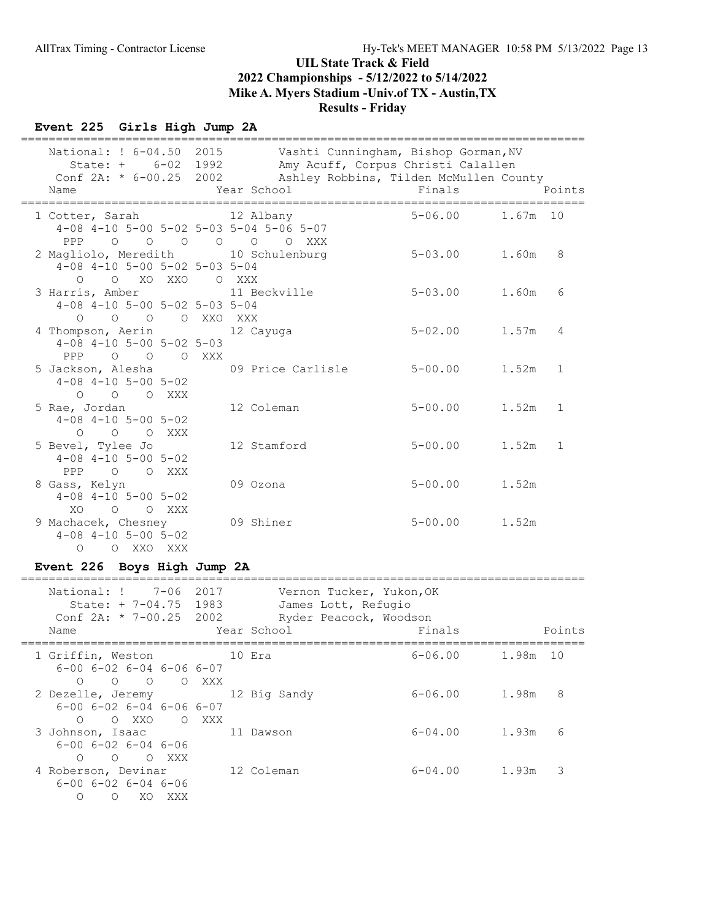## Event 225 Girls High Jump 2A

|  | National: ! 6-04.50 2015<br>State: + 6-02 1992<br>Name                                               | Conf 2A: * 6-00.25 2002 Ashley Robbins, Tilden McMullen County<br>Year School | Vashti Cunningham, Bishop Gorman, NV<br>Amy Acuff, Corpus Christi Calallen<br>Finals |       | Points       |
|--|------------------------------------------------------------------------------------------------------|-------------------------------------------------------------------------------|--------------------------------------------------------------------------------------|-------|--------------|
|  | 1 Cotter, Sarah 12 Albany<br>4-08 4-10 5-00 5-02 5-03 5-04 5-06 5-07<br>PPP 0 0 0 0 0 0 XXX          |                                                                               | $5 - 06.00$ 1.67m 10                                                                 |       |              |
|  | 2 Magliolo, Meredith 10 Schulenburg<br>$4-08$ $4-10$ $5-00$ $5-02$ $5-03$ $5-04$<br>O O XO XXO O XXX |                                                                               | $5 - 03.00$ 1.60m                                                                    |       | 8            |
|  | 3 Harris, Amber 11 Beckville<br>$4-08$ $4-10$ $5-00$ $5-02$ $5-03$ $5-04$<br>O O O O XXO XXX         |                                                                               | $5 - 03.00$                                                                          | 1.60m | 6            |
|  | 4 Thompson, Aerin<br>$4-08$ $4-10$ $5-00$ $5-02$ $5-03$<br>PPP 0 0 0 XXX                             | 12 Cayuga                                                                     | $5 - 02.00$                                                                          | 1.57m | 4            |
|  | 5 Jackson, Alesha (19 Price Carlisle<br>$4-08$ $4-10$ $5-00$ $5-02$<br>$O$ $O$ $O$ $XXX$             |                                                                               | $5 - 00.00$                                                                          | 1.52m | $\mathbf{1}$ |
|  | 5 Rae, Jordan<br>$4-08$ $4-10$ $5-00$ $5-02$<br>O O O XXX                                            | 12 Coleman                                                                    | $5 - 00.00$ 1.52m                                                                    |       | $\mathbf{1}$ |
|  | 5 Bevel, Tylee Jo<br>$4-08$ $4-10$ $5-00$ $5-02$<br>PPP 0 0 XXX                                      | 12 Stamford                                                                   | $5 - 00.00$                                                                          | 1.52m | 1            |
|  | 8 Gass, Kelyn<br>$4-08$ $4-10$ $5-00$ $5-02$<br>O O XXX<br>XO                                        | 09 Ozona                                                                      | $5 - 00.00$                                                                          | 1.52m |              |
|  | 9 Machacek, Chesney<br>$4-08$ $4-10$ $5-00$ $5-02$<br>O O XXO XXX                                    | 09 Shiner                                                                     | $5 - 00.00$                                                                          | 1.52m |              |

# Event 226 Boys High Jump 2A

| National: ! 7-06 2017<br>State: $+ 7-04.75$ 1983<br>Conf $2A: * 7-00.25$ 2002<br>Name | Vernon Tucker, Yukon, OK<br>James Lott, Refugio<br>Ryder Peacock, Woodson<br>Year School | Finals            | Points     |
|---------------------------------------------------------------------------------------|------------------------------------------------------------------------------------------|-------------------|------------|
| 1 Griffin, Weston                                                                     | and 10 Era                                                                               | $6 - 06.00$       | 1.98m 10   |
| $6 - 00$ $6 - 02$ $6 - 04$ $6 - 06$ $6 - 07$                                          |                                                                                          |                   |            |
| O O O XXX<br>$\bigcirc$                                                               |                                                                                          |                   |            |
| 2 Dezelle, Jeremy 12 Big Sandy                                                        |                                                                                          | 6-06.00           | 8<br>1.98m |
| $6-00$ $6-02$ $6-04$ $6-06$ $6-07$                                                    |                                                                                          |                   |            |
| O OXXO OXXX                                                                           |                                                                                          |                   |            |
| 3 Johnson, Isaac                                                                      | 11 Dawson                                                                                | $6 - 04.00$ 1.93m | 6          |
| $6 - 00$ $6 - 02$ $6 - 04$ $6 - 06$                                                   |                                                                                          |                   |            |
| O OXXX                                                                                |                                                                                          |                   |            |
| 4 Roberson, Devinar                                                                   | 12 Coleman                                                                               | $6 - 04.00$       | 3<br>1.93m |
| $6 - 00$ $6 - 02$ $6 - 04$ $6 - 06$                                                   |                                                                                          |                   |            |
| XO XXX<br>$\Omega$                                                                    |                                                                                          |                   |            |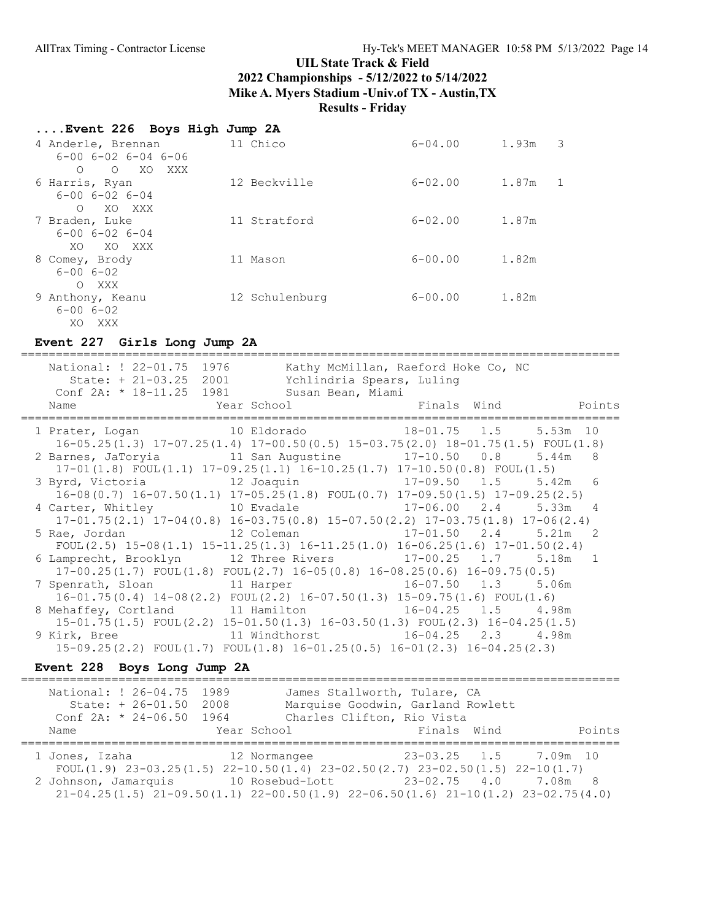#### ....Event 226 Boys High Jump 2A

| 4 Anderle, Brennan<br>$6 - 00$ $6 - 02$ $6 - 04$ $6 - 06$<br>$\circ$<br>XO.<br>XXX<br>$\bigcirc$ | 11 Chico       | $6 - 04.00$ | 1.93m<br>3            |
|--------------------------------------------------------------------------------------------------|----------------|-------------|-----------------------|
| 6 Harris, Ryan<br>$6 - 00$ $6 - 02$ $6 - 04$                                                     | 12 Beckville   | $6 - 02.00$ | 1.87m<br>$\mathbf{1}$ |
| XO XXX<br>$\bigcirc$<br>7 Braden, Luke<br>$6 - 00$ $6 - 02$ $6 - 04$<br>XO XXX<br>XO.            | 11 Stratford   | $6 - 02.00$ | 1.87m                 |
| 8 Comey, Brody<br>$6 - 006 - 02$<br>XXX<br>$\bigcirc$                                            | 11 Mason       | $6 - 00.00$ | 1.82m                 |
| 9 Anthony, Keanu<br>$6 - 006 - 02$<br>XO XXX                                                     | 12 Schulenburg | $6 - 00.00$ | 1.82m                 |

### Event 227 Girls Long Jump 2A

====================================================================================== National: ! 22-01.75 1976 Kathy McMillan, Raeford Hoke Co, NC State: + 21-03.25 2001 Ychlindria Spears, Luling Conf 2A: \* 18-11.25 1981 Susan Bean, Miami Name Year School Finals Wind Points ====================================================================================== 1 Prater, Logan 10 Eldorado 18-01.75 1.5 5.53m 10 16-05.25(1.3) 17-07.25(1.4) 17-00.50(0.5) 15-03.75(2.0) 18-01.75(1.5) FOUL(1.8) 2 Barnes, JaToryia 11 San Augustine 17-10.50 0.8 5.44m 8 17-01(1.8) FOUL(1.1) 17-09.25(1.1) 16-10.25(1.7) 17-10.50(0.8) FOUL(1.5) 3 Byrd, Victoria 12 Joaquin 17-09.50 1.5 5.42m 6 16-08(0.7) 16-07.50(1.1) 17-05.25(1.8) FOUL(0.7) 17-09.50(1.5) 17-09.25(2.5) 4 Carter, Whitley 10 Evadale 17-06.00 2.4 5.33m 4 17-01.75(2.1) 17-04(0.8) 16-03.75(0.8) 15-07.50(2.2) 17-03.75(1.8) 17-06(2.4) 5 Rae, Jordan 12 Coleman 17-01.50 2.4 5.21m 2 FOUL(2.5) 15-08(1.1) 15-11.25(1.3) 16-11.25(1.0) 16-06.25(1.6) 17-01.50(2.4) 6 Lamprecht, Brooklyn 12 Three Rivers 17-00.25 1.7 5.18m 1 17-00.25(1.7) FOUL(1.8) FOUL(2.7) 16-05(0.8) 16-08.25(0.6) 16-09.75(0.5) 7 Spenrath, Sloan 11 Harper 16-07.50 1.3 5.06m 16-01.75(0.4) 14-08(2.2) FOUL(2.2) 16-07.50(1.3) 15-09.75(1.6) FOUL(1.6) 8 Mehaffey, Cortland 11 Hamilton 16-04.25 1.5 4.98m 15-01.75(1.5) FOUL(2.2) 15-01.50(1.3) 16-03.50(1.3) FOUL(2.3) 16-04.25(1.5) 9 Kirk, Bree 11 Windthorst 16-04.25 2.3 4.98m 15-09.25(2.2) FOUL(1.7) FOUL(1.8) 16-01.25(0.5) 16-01(2.3) 16-04.25(2.3)

#### Event 228 Boys Long Jump 2A

| National: ! 26-04.75 1989<br>State: + 26-01.50 2008<br>Conf $2A: * 24-06.50 1964$ | James Stallworth, Tulare, CA<br>Charles Clifton, Rio Vista                                                                                                                                                                                                                              | Marquise Goodwin, Garland Rowlett |        |
|-----------------------------------------------------------------------------------|-----------------------------------------------------------------------------------------------------------------------------------------------------------------------------------------------------------------------------------------------------------------------------------------|-----------------------------------|--------|
| Name                                                                              | Year School                                                                                                                                                                                                                                                                             | Finals Wind                       | Points |
| 2 Johnson, Jamarquis                                                              | 1 Jones, Izaha               12 Normangee               23-03.25   1.5     7.09m   10<br>FOUL $(1.9)$ 23-03.25 $(1.5)$ 22-10.50 $(1.4)$ 23-02.50 $(2.7)$ 23-02.50 $(1.5)$ 22-10 $(1.7)$<br>$21-04.25(1.5)$ $21-09.50(1.1)$ $22-00.50(1.9)$ $22-06.50(1.6)$ $21-10(1.2)$ $23-02.75(4.0)$ |                                   |        |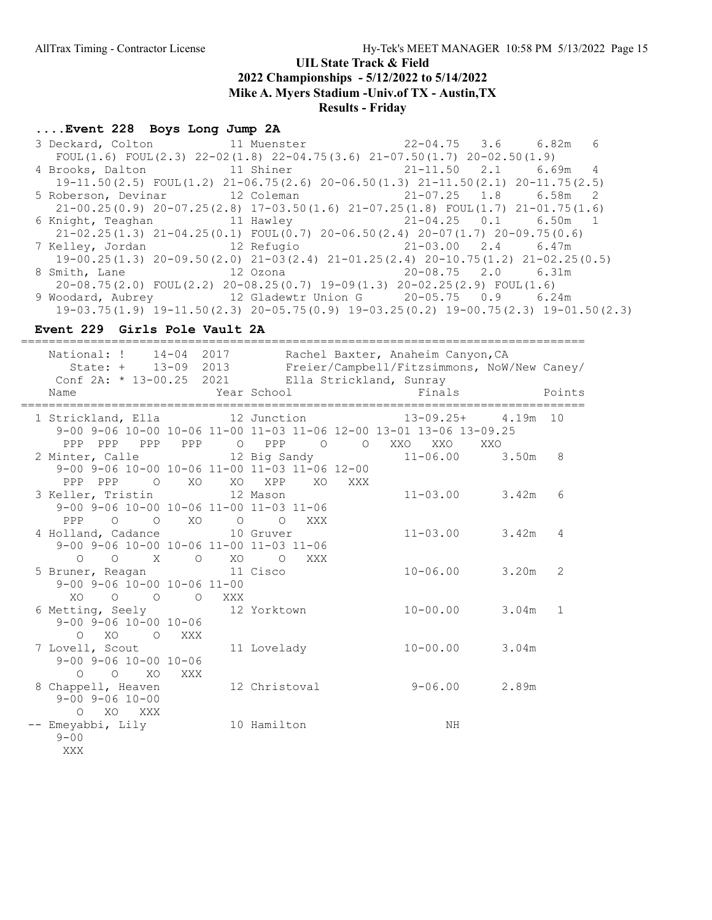# ....Event 228 Boys Long Jump 2A

| 3 Deckard, Colton 11 Muenster 22-04.75 3.6 6.82m                                                |  | 6 |
|-------------------------------------------------------------------------------------------------|--|---|
| FOUL $(1.6)$ FOUL $(2.3)$ 22-02 $(1.8)$ 22-04.75 $(3.6)$ 21-07.50 $(1.7)$ 20-02.50 $(1.9)$      |  |   |
| 4 Brooks, Dalton 11 Shiner 11 21-11.50 2.1 6.69m 4                                              |  |   |
| $19-11.50(2.5)$ FOUL $(1.2)$ $21-06.75(2.6)$ $20-06.50(1.3)$ $21-11.50(2.1)$ $20-11.75(2.5)$    |  |   |
| 5 Roberson, Devinar 12 Coleman 12 21-07.25 1.8 6.58m 2                                          |  |   |
| $21-00.25(0.9)$ $20-07.25(2.8)$ $17-03.50(1.6)$ $21-07.25(1.8)$ FOUL $(1.7)$ $21-01.75(1.6)$    |  |   |
| 6 Knight, Teaghan 11 Hawley 11 Hawley 21-04.25 0.1 6.50m 1                                      |  |   |
| $21-02.25(1.3)$ $21-04.25(0.1)$ FOUL $(0.7)$ $20-06.50(2.4)$ $20-07(1.7)$ $20-09.75(0.6)$       |  |   |
| 7 Kelley, Jordan             12 Refugio                   21-03.00   2.4     6.47m              |  |   |
| $19-00.25(1.3)$ $20-09.50(2.0)$ $21-03(2.4)$ $21-01.25(2.4)$ $20-10.75(1.2)$ $21-02.25(0.5)$    |  |   |
| 8 Smith, Lane 12 Ozona 20-08.75 2.0 6.31m                                                       |  |   |
| $20-08.75(2.0)$ FOUL $(2.2)$ $20-08.25(0.7)$ $19-09(1.3)$ $20-02.25(2.9)$ FOUL $(1.6)$          |  |   |
| 9 Woodard, Aubrey 12 Gladewtr Union G 20-05.75 0.9 6.24m                                        |  |   |
| $19-03.75(1.9)$ $19-11.50(2.3)$ $20-05.75(0.9)$ $19-03.25(0.2)$ $19-00.75(2.3)$ $19-01.50(2.3)$ |  |   |

### Event 229 Girls Pole Vault 2A

| National: ! 14-04 2017 Rachel Baxter, Anaheim Canyon, CA                                                                                                     | ==========           |     |             |         |        | State: + 13-09 2013 Freier/Campbell/Fitzsimmons, NoW/New Caney/ |       |                 |
|--------------------------------------------------------------------------------------------------------------------------------------------------------------|----------------------|-----|-------------|---------|--------|-----------------------------------------------------------------|-------|-----------------|
| Conf 2A: * 13-00.25 2021 Ella Strickland, Sunray<br>Name                                                                                                     | Year School          |     |             |         |        | Finals                                                          |       | Points          |
| 1 Strickland, Ella 12 Junction 13-09.25+ 4.19m 10<br>9-00 9-06 10-00 10-06 11-00 11-03 11-06 12-00 13-01 13-06 13-09.25<br>PPP PPP PPP PPP O PPP O O XXO XXO |                      |     |             |         |        |                                                                 | XXO   |                 |
| 2 Minter, Calle 12 Big Sandy<br>9-00 9-06 10-00 10-06 11-00 11-03 11-06 12-00<br>PPP PPP 0 XO XO XPP                                                         |                      |     |             |         | XO XXX | $11 - 06.00$ 3.50m                                              |       | 8               |
| 3 Keller, Tristin 12 Mason<br>9-00 9-06 10-00 10-06 11-00 11-03 11-06                                                                                        |                      |     |             |         |        | $11 - 03.00$ 3.42m                                              |       | $6\overline{6}$ |
| PPP 0 0 XO<br>4 Holland, Cadance 10 Gruver<br>9-00 9-06 10-00 10-06 11-00 11-03 11-06                                                                        |                      |     |             | O O XXX |        | $11 - 03.00$ 3.42m                                              |       | 4               |
| $O$ $O$ $X$ $O$ $XO$ $O$<br>5 Bruner, Reagan 11 Cisco<br>$9 - 00$ $9 - 06$ $10 - 00$ $10 - 06$ $11 - 00$                                                     |                      |     |             | XXX     |        | $10 - 06.00$ 3.20m                                              |       | 2               |
| $XO$ 0 0 0<br>6 Metting, Seely 12 Yorktown<br>$9 - 00$ $9 - 06$ $10 - 00$ $10 - 06$                                                                          |                      | XXX |             |         |        | $10 - 00.00$                                                    | 3.04m | $\mathbf{1}$    |
| O XO<br>7 Lovell, Scout<br>$9 - 00$ $9 - 06$ $10 - 00$ $10 - 06$                                                                                             | O XXX                |     | 11 Lovelady |         |        | $10 - 00.00$                                                    | 3.04m |                 |
| $O$ $O$ $XO$<br>8 Chappell, Heaven<br>$9 - 00$ $9 - 06$ $10 - 00$                                                                                            | XXX<br>12 Christoval |     |             |         |        | $9 - 06.00$                                                     | 2.89m |                 |
| O XO XXX<br>-- Emeyabbi, Lily<br>$9 - 00$<br>XXX                                                                                                             |                      |     | 10 Hamilton |         |        | ΝH                                                              |       |                 |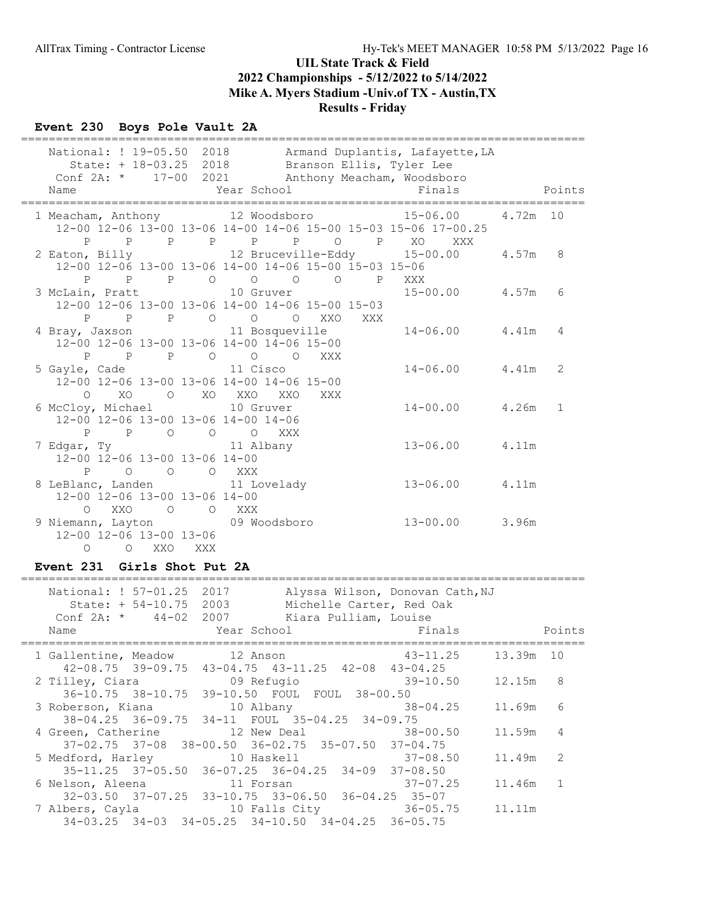## Event 230 Boys Pole Vault 2A

| National: ! 19-05.50 2018 Armand Duplantis, Lafayette, LA<br>State: + 18-03.25 2018 Branson Ellis, Tyler Lee<br>Conf 2A: * 17-00 2021 Anthony Meacham, Woodsboro |     |             |                      |          |              |
|------------------------------------------------------------------------------------------------------------------------------------------------------------------|-----|-------------|----------------------|----------|--------------|
| Name                                                                                                                                                             |     | Year School | Finals               |          | Points       |
| 1 Meacham, Anthony 12 Woodsboro 15-06.00<br>12-00 12-06 13-00 13-06 14-00 14-06 15-00 15-03 15-06 17-00.25<br>P P P P P P P P XO XXX                             |     |             |                      | 4.72m 10 |              |
| 2 Eaton, Billy 12 Bruceville-Eddy 15-00.00<br>12-00 12-06 13-00 13-06 14-00 14-06 15-00 15-03 15-06<br>P P P O O O O P XXX                                       |     |             |                      | 4.57m    | 8            |
| 3 McLain, Pratt $10$ Gruver $15-00.00$ $4.57m$<br>12-00 12-06 13-00 13-06 14-00 14-06 15-00 15-03                                                                |     |             |                      |          | 6            |
| P P P O O O XXO XXX<br>4 Bray, Jaxson 11 Bosqueville<br>12-00 12-06 13-00 13-06 14-00 14-06 15-00<br>P P P O O O XXX                                             |     |             | $14 - 06.00$ 4.41m   |          | 4            |
| 5 Gayle, Cade 11 Cisco<br>12-00 12-06 13-00 13-06 14-00 14-06 15-00<br>$O$ XO<br>O XO XXO                                                                        |     | XXO<br>XXX  | $14 - 06.00$ 4.41m   |          | 2            |
| 6 McCloy, Michael 10 Gruver<br>12-00 12-06 13-00 13-06 14-00 14-06<br>P P O O O XXX                                                                              |     |             | $14 - 00.00$ $4.26m$ |          | $\mathbf{1}$ |
| 7 Edgar, Ty 11 Albany<br>12-00 12-06 13-00 13-06 14-00<br>O O XXX<br>$P \qquad \qquad$<br>$\Omega$                                                               |     |             | $13 - 06.00$ 4.11m   |          |              |
| 8 LeBlanc, Landen 11 Lovelady<br>12-00 12-06 13-00 13-06 14-00<br>$O$ XXO<br>O O XXX                                                                             |     |             | $13-06.00$ 4.11m     |          |              |
| 9 Niemann, Layton 09 Woodsboro<br>12-00 12-06 13-00 13-06<br>$\circ$ $\circ$<br>XXO                                                                              | XXX |             | $13 - 00.00$ 3.96m   |          |              |

### Event 231 Girls Shot Put 2A

| National: ! 57-01.25 2017<br>Name | State: + 54-10.75 2003 | Conf 2A: * 44-02 2007 Kiara Pulliam, Louise<br>Year School Theory | Alyssa Wilson, Donovan Cath, NJ<br>Michelle Carter, Red Oak | Finals    | Points         |
|-----------------------------------|------------------------|-------------------------------------------------------------------|-------------------------------------------------------------|-----------|----------------|
|                                   |                        |                                                                   |                                                             |           |                |
| 1 Gallentine, Meadow 12 Anson     |                        | $42-08.75$ $39-09.75$ $43-04.75$ $43-11.25$ $42-08$ $43-04.25$    | $43 - 11.25$                                                | 13.39m 10 |                |
| 2 Tilley, Ciara 69 Refugio        |                        |                                                                   | $39 - 10.50$                                                | 12.15m 8  |                |
|                                   |                        | 36-10.75 38-10.75 39-10.50 FOUL FOUL 38-00.50                     |                                                             |           |                |
|                                   |                        | 3 Roberson, Kiana 10 Albany 10 38-04.25                           |                                                             | 11.69m    | 6              |
|                                   |                        | 38-04.25 36-09.75 34-11 FOUL 35-04.25 34-09.75                    |                                                             |           |                |
|                                   |                        | 4 Green, Catherine 12 New Deal 38-00.50                           |                                                             | 11.59m    | $\overline{4}$ |
|                                   |                        | $37-02.75$ $37-08$ $38-00.50$ $36-02.75$ $35-07.50$ $37-04.75$    |                                                             |           |                |
|                                   |                        | 5 Medford, Harley 10 Haskell 37-08.50                             |                                                             | 11.49m    | 2              |
|                                   |                        | $35-11.25$ $37-05.50$ $36-07.25$ $36-04.25$ $34-09$ $37-08.50$    |                                                             |           |                |
|                                   |                        | 6 Nelson, Aleena and 11 Forsan and 37-07.25                       |                                                             | 11.46m 1  |                |
|                                   |                        | $32-03.50$ $37-07.25$ $33-10.75$ $33-06.50$ $36-04.25$ $35-07$    |                                                             |           |                |
|                                   |                        | 7 Albers, Cayla (10 Falls City 36-05.75                           |                                                             | 11.11m    |                |
|                                   |                        | $34-03.25$ $34-03$ $34-05.25$ $34-10.50$ $34-04.25$ $36-05.75$    |                                                             |           |                |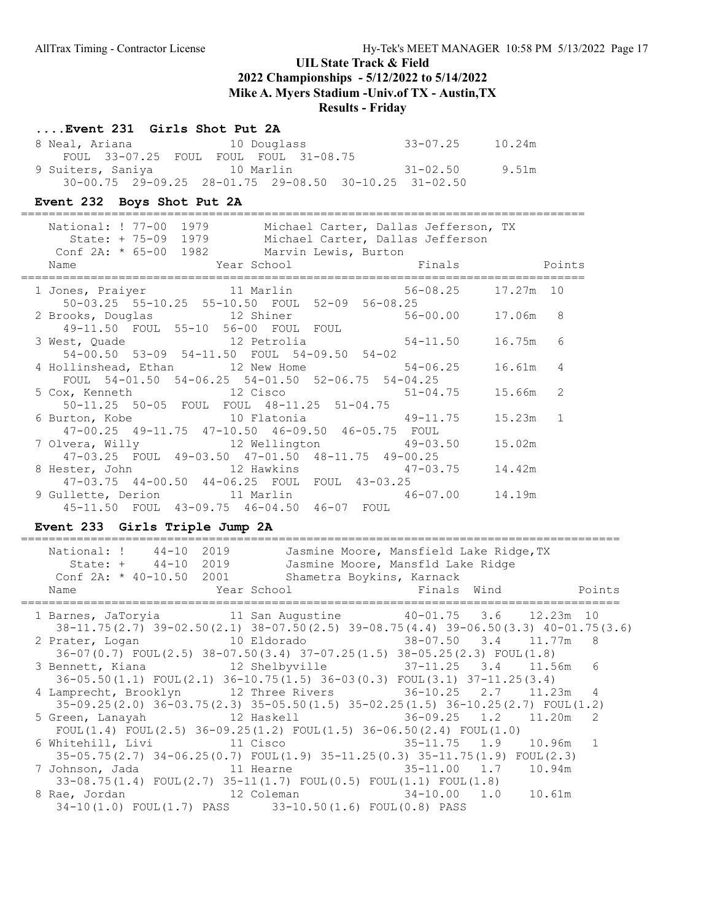### Results - Friday

#### ....Event 231 Girls Shot Put 2A

| 8 Neal, Ariana    | 10 Douglass                                                       | 33-07.25 | 10.24m |
|-------------------|-------------------------------------------------------------------|----------|--------|
|                   | FOUL 33-07.25 FOUL FOUL FOUL 31-08.75                             |          |        |
| 9 Suiters, Saniya | 10 Marlin                                                         | 31-02.50 | 9.51m  |
|                   | $30-00.75$ $29-09.25$ $28-01.75$ $29-08.50$ $30-10.25$ $31-02.50$ |          |        |

#### Event 232 Boys Shot Put 2A

================================================================================= National: ! 77-00 1979 Michael Carter, Dallas Jefferson, TX State: + 75-09 1979 Michael Carter, Dallas Jefferson Conf 2A: \* 65-00 1982 Marvin Lewis, Burton Name  $Year School$  Finals Points ================================================================================= 1 Jones, Praiyer 11 Marlin 56-08.25 17.27m 10 50-03.25 55-10.25 55-10.50 FOUL 52-09 56-08.25 2 Brooks, Douglas 12 Shiner 56-00.00 17.06m 8 49-11.50 FOUL 55-10 56-00 FOUL FOUL 3 West, Quade 12 Petrolia 54-11.50 16.75m 6 54-00.50 53-09 54-11.50 FOUL 54-09.50 54-02 4 Hollinshead, Ethan 12 New Home 54-06.25 16.61m 4 FOUL 54-01.50 54-06.25 54-01.50 52-06.75 54-04.25<br>2 Cisco 51-04.75 51-04.75 5 Cox, Kenneth 12 Cisco 51-04.75 15.66m 2 50-11.25 50-05 FOUL FOUL 48-11.25 51-04.75 6 Burton, Kobe 10 Flatonia 49-11.75 15.23m 1 47-00.25 49-11.75 47-10.50 46-09.50 46-05.75 FOUL 7 Olvera, Willy 12 Wellington 49-03.50 15.02m 47-03.25 FOUL 49-03.50 47-01.50 48-11.75 49-00.25 8 Hester, John 12 Hawkins 47-03.75 14.42m 47-03.75 44-00.50 44-06.25 FOUL FOUL 43-03.25 9 Gullette, Derion 11 Marlin 46-07.00 14.19m 45-11.50 FOUL 43-09.75 46-04.50 46-07 FOUL

#### Event 233 Girls Triple Jump 2A

| National: ! 44-10 2019<br>Jasmine Moore, Mansfield Lake Ridge, TX                                  |  |        |
|----------------------------------------------------------------------------------------------------|--|--------|
| State: + 44-10 2019<br>Jasmine Moore, Mansfld Lake Ridge                                           |  |        |
| Conf 2A: * 40-10.50 2001 Shametra Boykins, Karnack                                                 |  |        |
| Name                                                                                               |  | Points |
|                                                                                                    |  |        |
| 1 Barnes, JaToryia 11 San Augustine 40-01.75 3.6 12.23m 10                                         |  |        |
| 38-11.75(2.7) 39-02.50(2.1) 38-07.50(2.5) 39-08.75(4.4) 39-06.50(3.3) 40-01.75(3.6)                |  |        |
| 2 Prater, Logan 10 Eldorado 18-07.50 3.4 11.77m 8                                                  |  |        |
| $36-07(0.7)$ FOUL $(2.5)$ $38-07.50(3.4)$ $37-07.25(1.5)$ $38-05.25(2.3)$ FOUL $(1.8)$             |  |        |
| 3 Bennett, Kiana (12 Shelbyville (37-11.25 3.4 11.56m 6)                                           |  |        |
| $36-05.50(1.1)$ FOUL $(2.1)$ $36-10.75(1.5)$ $36-03(0.3)$ FOUL $(3.1)$ $37-11.25(3.4)$             |  |        |
| 4 Lamprecht, Brooklyn 12 Three Rivers 36-10.25 2.7 11.23m 4                                        |  |        |
| 35-09.25(2.0) 36-03.75(2.3) 35-05.50(1.5) 35-02.25(1.5) 36-10.25(2.7) FOUL(1.2)                    |  |        |
| 5 Green, Lanayah $12$ Haskell $36-09.25$ 1.2 $11.20$ m 2                                           |  |        |
|                                                                                                    |  |        |
| FOUL(1.4) FOUL(2.5) $36-09.25(1.2)$ FOUL(1.5) $36-06.50(2.4)$ FOUL(1.0)                            |  |        |
| 6 Whitehill, Livi 			 11 Cisco 				 35-11.75 		 1.9 		 10.96m 	 1                                  |  |        |
| $35-05.75(2.7)$ $34-06.25(0.7)$ $F0UL(1.9)$ $35-11.25(0.3)$ $35-11.75(1.9)$ $F0UL(2.3)$            |  |        |
|                                                                                                    |  |        |
| $33-08.75(1.4)$ FOUL $(2.7)$ $35-11(1.7)$ FOUL $(0.5)$ FOUL $(1.1)$ FOUL $(1.8)$                   |  |        |
| 8 Rae, Jordan                       12 Coleman                         34-10.00     1.0     10.61m |  |        |
| 34-10(1.0) FOUL(1.7) PASS 33-10.50(1.6) FOUL(0.8) PASS                                             |  |        |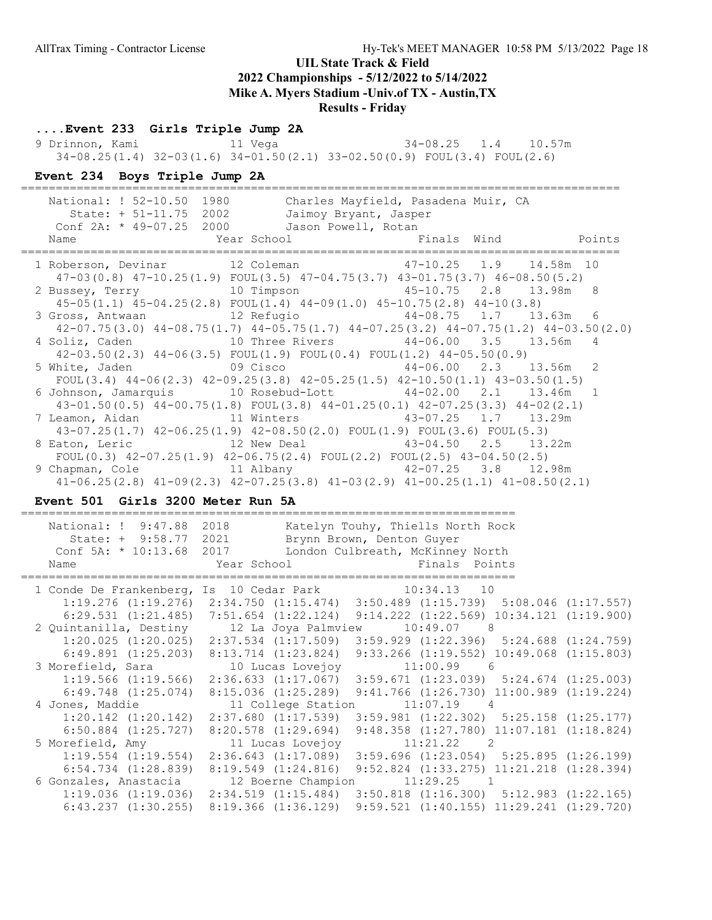## Results - Friday

## ....Event 233 Girls Triple Jump 2A

9 Drinnon, Kami 11 Vega 34-08.25 1.4 10.57m 34-08.25(1.4) 32-03(1.6) 34-01.50(2.1) 33-02.50(0.9) FOUL(3.4) FOUL(2.6)

### Event 234 Boys Triple Jump 2A

| National: ! 52-10.50 1980<br>State: + 51-11.75 2002<br>Conf 2A: * 49-07.25 2000 Jason Powell, Rotan<br>Name | Charles Mayfield, Pasadena Muir, CA<br>Jaimoy Bryant, Jasper |  |  |
|-------------------------------------------------------------------------------------------------------------|--------------------------------------------------------------|--|--|
| 1 Roberson, Devinar 12 Coleman 17-10.25 1.9 14.58m 10                                                       |                                                              |  |  |
| $47-03(0.8)$ $47-10.25(1.9)$ $FOUL(3.5)$ $47-04.75(3.7)$ $43-01.75(3.7)$ $46-08.50(5.2)$                    |                                                              |  |  |
| 2 Bussey, Terry 10 Timpson 45-10.75 2.8 13.98m 8                                                            |                                                              |  |  |
| $45-05(1.1)$ $45-04.25(2.8)$ FOUL $(1.4)$ $44-09(1.0)$ $45-10.75(2.8)$ $44-10(3.8)$                         |                                                              |  |  |
| 3 Gross, Antwaan 12 Refugio 144-08.75 1.7 13.63m 6                                                          |                                                              |  |  |
| $42-07.75(3.0)$ $44-08.75(1.7)$ $44-05.75(1.7)$ $44-07.25(3.2)$ $44-07.75(1.2)$ $44-03.50(2.0)$             |                                                              |  |  |
| 4 Soliz, Caden 10 Three Rivers 44-06.00 3.5 13.56m 4                                                        |                                                              |  |  |
| $42-03.50(2.3)$ $44-06(3.5)$ FOUL $(1.9)$ FOUL $(0.4)$ FOUL $(1.2)$ $44-05.50(0.9)$                         |                                                              |  |  |
| 5 White, Jaden 69 Cisco 344-06.00 2.3 13.56m 2                                                              |                                                              |  |  |
| FOUL $(3.4)$ 44-06 $(2.3)$ 42-09.25 $(3.8)$ 42-05.25 $(1.5)$ 42-10.50 $(1.1)$ 43-03.50 $(1.5)$              |                                                              |  |  |
| 6 Johnson, Jamarquis 10 Rosebud-Lott 44-02.00 2.1 13.46m 1                                                  |                                                              |  |  |
| 43-01.50(0.5) 44-00.75(1.8) FOUL(3.8) 44-01.25(0.1) 42-07.25(3.3) 44-02(2.1)                                |                                                              |  |  |
| 7 Leamon, Aidan 11 Winters 43-07.25 1.7 13.29m                                                              |                                                              |  |  |
| $43-07.25(1.7)$ $42-06.25(1.9)$ $42-08.50(2.0)$ FOUL $(1.9)$ FOUL $(3.6)$ FOUL $(5.3)$                      |                                                              |  |  |
| 8 Eaton, Leric 12 New Deal 43-04.50 2.5 13.22m                                                              |                                                              |  |  |
| FOUL $(0.3)$ 42-07.25 $(1.9)$ 42-06.75 $(2.4)$ FOUL $(2.2)$ FOUL $(2.5)$ 43-04.50 $(2.5)$                   |                                                              |  |  |
| 9 Chapman, Cole 11 Albany 12.98m                                                                            |                                                              |  |  |
| $41-06.25(2.8)$ $41-09(2.3)$ $42-07.25(3.8)$ $41-03(2.9)$ $41-00.25(1.1)$ $41-08.50(2.1)$                   |                                                              |  |  |

### Event 501 Girls 3200 Meter Run 5A

| National: ! 9:47.88<br>State: + 9:58.77 2021<br>Conf 5A: * 10:13.68 2017<br>Name | 2018                    | Katelyn Touhy, Thiells North Rock<br>Brynn Brown, Denton Guyer<br>London Culbreath, McKinney North<br>Year School is a series of the Finals Points |  |
|----------------------------------------------------------------------------------|-------------------------|----------------------------------------------------------------------------------------------------------------------------------------------------|--|
| 1 Conde De Frankenberg, Is 10 Cedar Park 10:34.13 10                             |                         |                                                                                                                                                    |  |
|                                                                                  |                         | $1:19.276$ $(1:19.276)$ $2:34.750$ $(1:15.474)$ $3:50.489$ $(1:15.739)$ $5:08.046$ $(1:17.557)$                                                    |  |
|                                                                                  |                         | $6:29.531$ (1:21.485) 7:51.654 (1:22.124) 9:14.222 (1:22.569) 10:34.121 (1:19.900)                                                                 |  |
| 2 Quintanilla, Destiny 12 La Joya Palmview                                       |                         | 10:49.07 8                                                                                                                                         |  |
|                                                                                  |                         | 1:20.025 (1:20.025) 2:37.534 (1:17.509) 3:59.929 (1:22.396) 5:24.688 (1:24.759)                                                                    |  |
|                                                                                  |                         | 6:49.891 (1:25.203) 8:13.714 (1:23.824) 9:33.266 (1:19.552) 10:49.068 (1:15.803)                                                                   |  |
|                                                                                  |                         |                                                                                                                                                    |  |
|                                                                                  |                         | $1:19.566$ (1:19.566) $2:36.633$ (1:17.067) $3:59.671$ (1:23.039) $5:24.674$ (1:25.003)                                                            |  |
|                                                                                  |                         | $6:49.748$ $(1:25.074)$ $8:15.036$ $(1:25.289)$ $9:41.766$ $(1:26.730)$ $11:00.989$ $(1:19.224)$                                                   |  |
| 4 Jones, Maddie                                                                  | 11 College Station      | $11:07.19$ 4                                                                                                                                       |  |
|                                                                                  |                         | $1:20.142$ $(1:20.142)$ $2:37.680$ $(1:17.539)$ $3:59.981$ $(1:22.302)$ $5:25.158$ $(1:25.177)$                                                    |  |
| $6:50.884$ $(1:25.727)$                                                          | $8:20.578$ $(1:29.694)$ | $9:48.358$ $(1:27.780)$ $11:07.181$ $(1:18.824)$                                                                                                   |  |
| 5 Morefield, Amy 11 Lucas Lovejoy 11:21.22 2                                     |                         |                                                                                                                                                    |  |
|                                                                                  |                         | $1:19.554$ $(1:19.554)$ $2:36.643$ $(1:17.089)$ $3:59.696$ $(1:23.054)$ $5:25.895$ $(1:26.199)$                                                    |  |
| $6:54.734$ $(1:28.839)$                                                          |                         | 8:19.549 (1:24.816) 9:52.824 (1:33.275) 11:21.218 (1:28.394)                                                                                       |  |
| 6 Gonzales, Anastacia 12 Boerne Champion                                         |                         | $11:29.25$ 1                                                                                                                                       |  |
|                                                                                  |                         | $1:19.036$ $(1:19.036)$ $2:34.519$ $(1:15.484)$ $3:50.818$ $(1:16.300)$ $5:12.983$ $(1:22.165)$                                                    |  |
| $6:43.237$ $(1:30.255)$                                                          | $8:19.366$ $(1:36.129)$ | $9:59.521$ $(1:40.155)$ $11:29.241$ $(1:29.720)$                                                                                                   |  |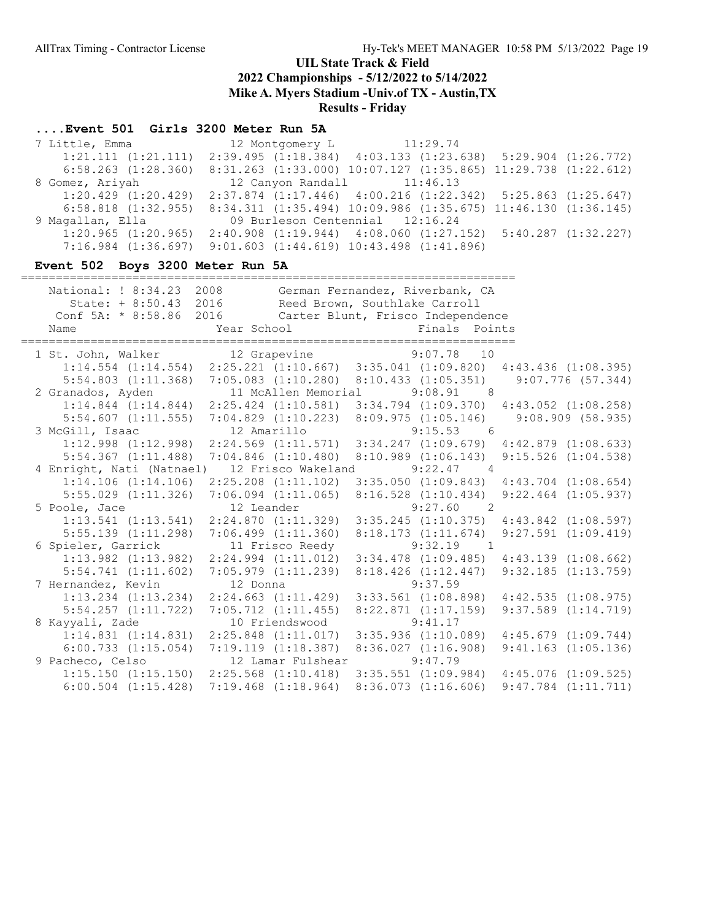#### ....Event 501 Girls 3200 Meter Run 5A

7 Little, Emma 12 Montgomery L 11:29.74 1:21.111 (1:21.111) 2:39.495 (1:18.384) 4:03.133 (1:23.638) 5:29.904 (1:26.772) 6:58.263 (1:28.360) 8:31.263 (1:33.000) 10:07.127 (1:35.865) 11:29.738 (1:22.612) 8 Gomez, Ariyah 12 Canyon Randall 11:46.13 1:20.429 (1:20.429) 2:37.874 (1:17.446) 4:00.216 (1:22.342) 5:25.863 (1:25.647) 6:58.818 (1:32.955) 8:34.311 (1:35.494) 10:09.986 (1:35.675) 11:46.130 (1:36.145) 9 Magallan, Ella 09 Burleson Centennial 12:16.24 1:20.965 (1:20.965) 2:40.908 (1:19.944) 4:08.060 (1:27.152) 5:40.287 (1:32.227) 7:16.984 (1:36.697) 9:01.603 (1:44.619) 10:43.498 (1:41.896)

#### Event 502 Boys 3200 Meter Run 5A

| National: ! 8:34.23 2008 German Fernandez, Riverbank, CA<br>State: + 8:50.43 2016 Reed Brown, Southlake Carroll |                     |                 |                                                 |                         |
|-----------------------------------------------------------------------------------------------------------------|---------------------|-----------------|-------------------------------------------------|-------------------------|
| Conf 5A: * 8:58.86 2016 Carter Blunt, Frisco Independence                                                       |                     |                 |                                                 |                         |
| Name                                                                                                            | Year School         |                 | Finals Points                                   |                         |
| 1 St. John, Walker 12 Grapevine 9:07.78 10                                                                      |                     |                 |                                                 |                         |
| $1:14.554$ $(1:14.554)$ $2:25.221$ $(1:10.667)$ $3:35.041$ $(1:09.820)$ $4:43.436$ $(1:08.395)$                 |                     |                 |                                                 |                         |
| 5:54.803 (1:11.368) 7:05.083 (1:10.280) 8:10.433 (1:05.351) 9:07.776 (57.344)                                   |                     |                 |                                                 |                         |
| 2 Granados, Ayden                                                                                               | 11 McAllen Memorial |                 | $9:08.91$ 8                                     |                         |
| $1:14.844$ $(1:14.844)$ $2:25.424$ $(1:10.581)$ $3:34.794$ $(1:09.370)$ $4:43.052$ $(1:08.258)$                 |                     |                 |                                                 |                         |
| 5:54.607 (1:11.555) 7:04.829 (1:10.223) 8:09.975 (1:05.146) 9:08.909 (58.935)                                   |                     |                 |                                                 |                         |
| 3 McGill, Isaac 12 Amarillo                                                                                     |                     |                 | $9:15.53$ 6                                     |                         |
| $1:12.998$ $(1:12.998)$ $2:24.569$ $(1:11.571)$ $3:34.247$ $(1:09.679)$ $4:42.879$ $(1:08.633)$                 |                     |                 |                                                 |                         |
| 5:54.367 (1:11.488) 7:04.846 (1:10.480) 8:10.989 (1:06.143) 9:15.526 (1:04.538)                                 |                     |                 |                                                 |                         |
| 4 Enright, Nati (Natnael) 12 Frisco Wakeland 9:22.47 4                                                          |                     |                 |                                                 |                         |
| $1:14.106$ $(1:14.106)$ $2:25.208$ $(1:11.102)$ $3:35.050$ $(1:09.843)$ $4:43.704$ $(1:08.654)$                 |                     |                 |                                                 |                         |
| 5:55.029 (1:11.326) 7:06.094 (1:11.065) 8:16.528 (1:10.434) 9:22.464 (1:05.937)                                 |                     |                 |                                                 |                         |
| 5 Poole, Jace 12 Leander 9:27.60 2                                                                              |                     |                 |                                                 |                         |
| $1:13.541$ $(1:13.541)$ $2:24.870$ $(1:11.329)$ $3:35.245$ $(1:10.375)$ $4:43.842$ $(1:08.597)$                 |                     |                 |                                                 |                         |
| $5:55.139$ $(1:11.298)$ $7:06.499$ $(1:11.360)$                                                                 |                     |                 | $8:18.173$ $(1:11.674)$ $9:27.591$ $(1:09.419)$ |                         |
| 6 Spieler, Garrick                                                                                              |                     | 11 Frisco Reedy | $9:32.19$ 1                                     |                         |
| 1:13.982 (1:13.982) 2:24.994 (1:11.012) 3:34.478 (1:09.485) 4:43.139 (1:08.662)                                 |                     |                 |                                                 |                         |
| 5:54.741 (1:11.602) 7:05.979 (1:11.239) 8:18.426 (1:12.447) 9:32.185 (1:13.759)                                 |                     |                 |                                                 |                         |
| 7 Hernandez, Kevin                                                                                              | 12 Donna            |                 | 9:37.59                                         |                         |
| 1:13.234 (1:13.234) 2:24.663 (1:11.429) 3:33.561 (1:08.898) 4:42.535 (1:08.975)                                 |                     |                 |                                                 |                         |
| $5:54.257$ $(1:11.722)$ $7:05.712$ $(1:11.455)$                                                                 |                     |                 | 8:22.871(1:17.159)                              | $9:37.589$ $(1:14.719)$ |
| 8 Kayyali, Zade                                                                                                 |                     | 10 Friendswood  | 9:41.17                                         |                         |
| $1:14.831$ $(1:14.831)$ $2:25.848$ $(1:11.017)$ $3:35.936$ $(1:10.089)$                                         |                     |                 |                                                 | $4:45.679$ $(1:09.744)$ |
| $6:00.733$ $(1:15.054)$ $7:19.119$ $(1:18.387)$ $8:36.027$ $(1:16.908)$                                         |                     |                 |                                                 | $9:41.163$ $(1:05.136)$ |
| 9 Pacheco, Celso 12 Lamar Fulshear                                                                              |                     |                 | 9:47.79                                         |                         |
| $1:15.150$ $(1:15.150)$ $2:25.568$ $(1:10.418)$ $3:35.551$ $(1:09.984)$ $4:45.076$ $(1:09.525)$                 |                     |                 |                                                 |                         |
| $6:00.504$ $(1:15.428)$ $7:19.468$ $(1:18.964)$ $8:36.073$ $(1:16.606)$ $9:47.784$ $(1:11.711)$                 |                     |                 |                                                 |                         |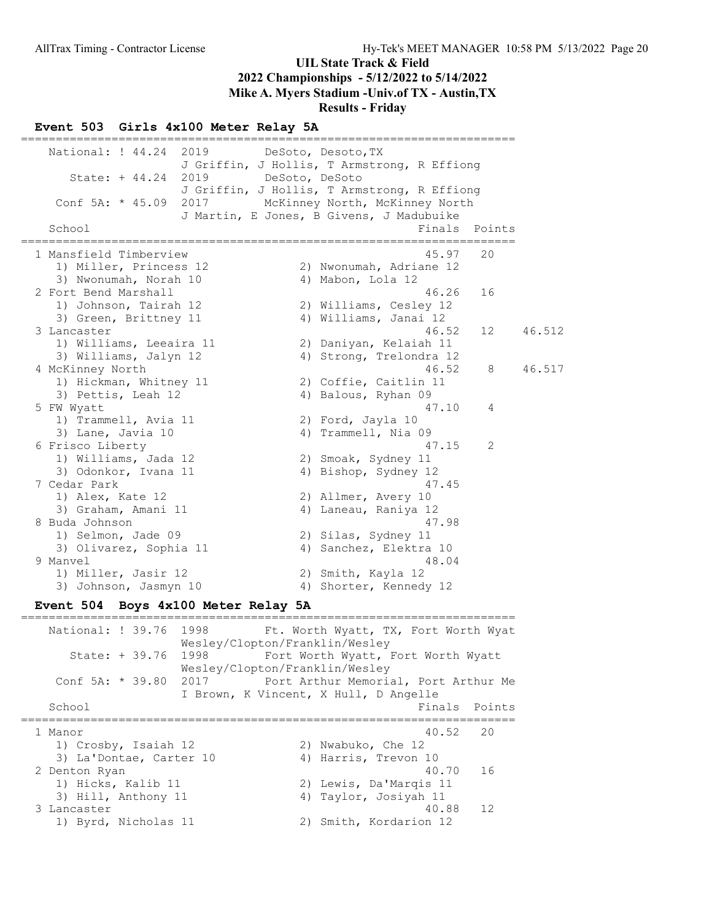#### UIL State Track & Field 2022 Championships - 5/12/2022 to 5/14/2022

## Mike A. Myers Stadium -Univ.of TX - Austin,TX

Results - Friday

#### Event 503 Girls 4x100 Meter Relay 5A

======================================================================= National: ! 44.24 2019 DeSoto, Desoto, TX J Griffin, J Hollis, T Armstrong, R Effiong State: + 44.24 2019 DeSoto, DeSoto J Griffin, J Hollis, T Armstrong, R Effiong Conf 5A: \* 45.09 2017 McKinney North, McKinney North J Martin, E Jones, B Givens, J Madubuike<br>Finals Finals Points ======================================================================= 1 Mansfield Timberview 45.97 20 1) Miller, Princess 12 2) Nwonumah, Adriane 12 3) Nwonumah, Norah 10 4) Mabon, Lola 12 2 Fort Bend Marshall 46.26 16 1) Johnson, Tairah 12 2) Williams, Cesley 12 3) Green, Brittney 11 4) Williams, Janai 12 3 Lancaster 46.52 12 46.512 1) Williams, Leeaira 11 2) Daniyan, Kelaiah 11 3) Williams, Jalyn 12 4) Strong, Trelondra 12 4 McKinney North 46.52 8 46.517 1) Hickman, Whitney 11 2) Coffie, Caitlin 11 3) Pettis, Leah 12 (4) Balous, Ryhan 09 5 FW Wyatt 47.10 4 1) Trammell, Avia 11 and 2) Ford, Jayla 10 3) Lane, Javia 10 4) Trammell, Nia 09 6 Frisco Liberty 47.15 2 1) Williams, Jada 12 2) Smoak, Sydney 11 3) Odonkor, Ivana 11 4) Bishop, Sydney 12 7 Cedar Park 47.45 1) Alex, Kate 12 2) Allmer, Avery 10 3) Graham, Amani 11 11 4) Laneau, Raniya 12 8 Buda Johnson 47.98 1) Selmon, Jade 09 2) Silas, Sydney 11 3) Olivarez, Sophia 11 4) Sanchez, Elektra 10 9 Manvel 48.04 1) Miller, Jasir 12 2) Smith, Kayla 12 3) Johnson, Jasmyn 10 4) Shorter, Kennedy 12

## Event 504 Boys 4x100 Meter Relay 5A

======================================================================= National: ! 39.76 1998 Ft. Worth Wyatt, TX, Fort Worth Wyat Wesley/Clopton/Franklin/Wesley State: + 39.76 1998 Fort Worth Wyatt, Fort Worth Wyatt Wesley/Clopton/Franklin/Wesley Conf 5A: \* 39.80 2017 Port Arthur Memorial, Port Arthur Me I Brown, K Vincent, X Hull, D Angelle School **Finals Points** ======================================================================= 1 Manor 40.52 20 1) Crosby, Isaiah 12 2) Nwabuko, Che 12 3) La'Dontae, Carter 10 (4) Harris, Trevon 10 2 Denton Ryan 40.70 16 1) Hicks, Kalib 11 2) Lewis, Da'Marqis 11 3) Hill, Anthony 11 4) Taylor, Josiyah 11 3 Lancaster 40.88 12 1) Byrd, Nicholas 11 2) Smith, Kordarion 12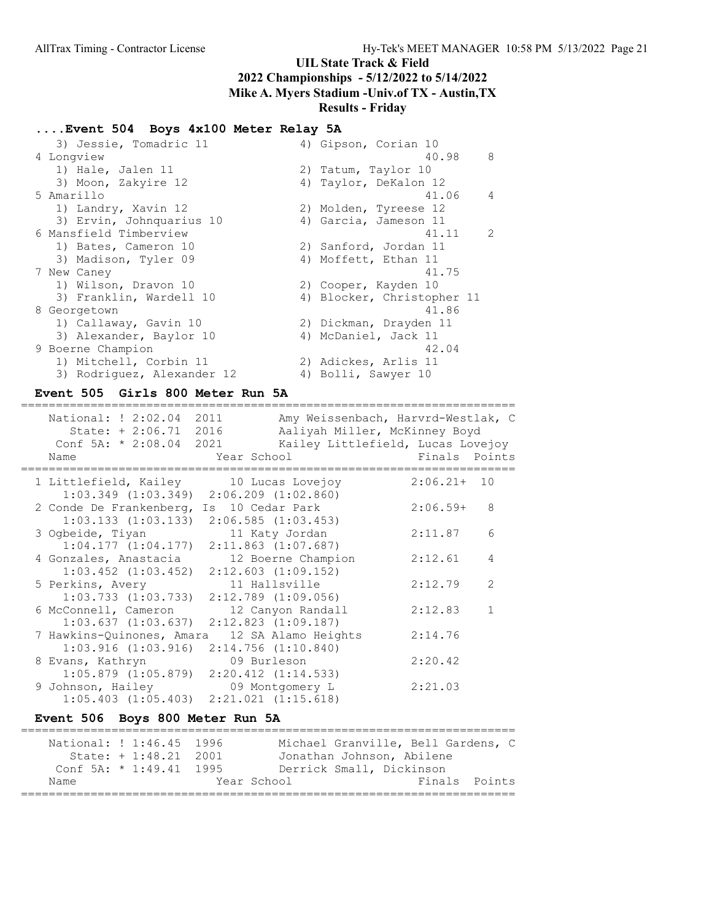## ....Event 504 Boys 4x100 Meter Relay 5A

| 3) Jessie, Tomadric 11     | 4) Gipson, Corian 10       |
|----------------------------|----------------------------|
| 4 Longview                 | 40.98<br>8                 |
| 1) Hale, Jalen 11          | 2) Tatum, Taylor 10        |
| 3) Moon, Zakyire 12        | 4) Taylor, DeKalon 12      |
| 5 Amarillo                 | 41.06<br>4                 |
| 1) Landry, Xavin 12        | 2) Molden, Tyreese 12      |
| 3) Ervin, Johnquarius 10   | 4) Garcia, Jameson 11      |
| 6 Mansfield Timberview     | $\mathcal{L}$<br>41.11     |
| 1) Bates, Cameron 10       | 2) Sanford, Jordan 11      |
| 3) Madison, Tyler 09       | 4) Moffett, Ethan 11       |
| 7 New Caney                | 41.75                      |
| 1) Wilson, Dravon 10       | 2) Cooper, Kayden 10       |
| 3) Franklin, Wardell 10    | 4) Blocker, Christopher 11 |
| 8 Georgetown               | 41.86                      |
| 1) Callaway, Gavin 10      | 2) Dickman, Drayden 11     |
| 3) Alexander, Baylor 10    | 4) McDaniel, Jack 11       |
| 9 Boerne Champion          | 42.04                      |
| 1) Mitchell, Corbin 11     | 2) Adickes, Arlis 11       |
| 3) Rodriquez, Alexander 12 | 4) Bolli, Sawyer 10        |

### Event 505 Girls 800 Meter Run 5A

| National: ! 2:02.04 2011<br>State: + 2:06.71 2016<br>Conf 5A: $* 2:08.04 2021$<br>Name    | Year School                        | Amy Weissenbach, Harvrd-Westlak, C<br>Aaliyah Miller, McKinney Boyd<br>Kailey Littlefield, Lucas Lovejoy | Finals Points |   |
|-------------------------------------------------------------------------------------------|------------------------------------|----------------------------------------------------------------------------------------------------------|---------------|---|
| 1 Littlefield, Kailey 10 Lucas Lovejoy<br>$1:03.349$ $(1:03.349)$ $2:06.209$ $(1:02.860)$ |                                    |                                                                                                          | $2:06.21+10$  |   |
| 2 Conde De Frankenberg,<br>$1:03.133$ $(1:03.133)$ $2:06.585$ $(1:03.453)$                | Is 10 Cedar Park                   |                                                                                                          | $2:06.59+$    | 8 |
| 3 Ogbeide, Tiyan<br>1:04.177(1:04.177)                                                    | $2:11.863$ $(1:07.687)$            | 11 Katy Jordan                                                                                           | 2:11.87       | 6 |
| 4 Gonzales, Anastacia<br>$1:03.452$ $(1:03.452)$                                          |                                    | 12 Boerne Champion<br>$2:12.603$ $(1:09.152)$                                                            | 2:12.61       | 4 |
| 5 Perkins, Avery<br>$1:03.733$ $(1:03.733)$                                               |                                    | 11 Hallsville<br>$2:12.789$ $(1:09.056)$                                                                 | 2:12.79       | 2 |
| 6 McConnell, Cameron<br>$1:03.637$ $(1:03.637)$                                           |                                    | 12 Canyon Randall<br>$2:12.823$ $(1:09.187)$                                                             | 2:12.83       |   |
| 7 Hawkins-Quinones, Amara<br>$1:03.916$ $(1:03.916)$                                      |                                    | 12 SA Alamo Heights<br>$2:14.756$ $(1:10.840)$                                                           | 2:14.76       |   |
| 8 Evans, Kathryn<br>$1:05.879$ $(1:05.879)$                                               | 09 Burleson<br>2:20.412 (1:14.533) |                                                                                                          | 2:20.42       |   |
| 9 Johnson, Hailey<br>$1:05.403$ $(1:05.403)$ $2:21.021$ $(1:15.618)$                      |                                    | 09 Montgomery L                                                                                          | 2:21.03       |   |

## Event 506 Boys 800 Meter Run 5A

| National: ! 1:46.45 1996  |                        |             | Michael Granville, Bell Gardens, C |  |               |  |
|---------------------------|------------------------|-------------|------------------------------------|--|---------------|--|
|                           | State: $+1:48.21$ 2001 |             | Jonathan Johnson, Abilene          |  |               |  |
| Conf 5A: $*$ 1:49.41 1995 |                        |             | Derrick Small, Dickinson           |  |               |  |
| Name                      |                        | Year School |                                    |  | Finals Points |  |
|                           |                        |             |                                    |  |               |  |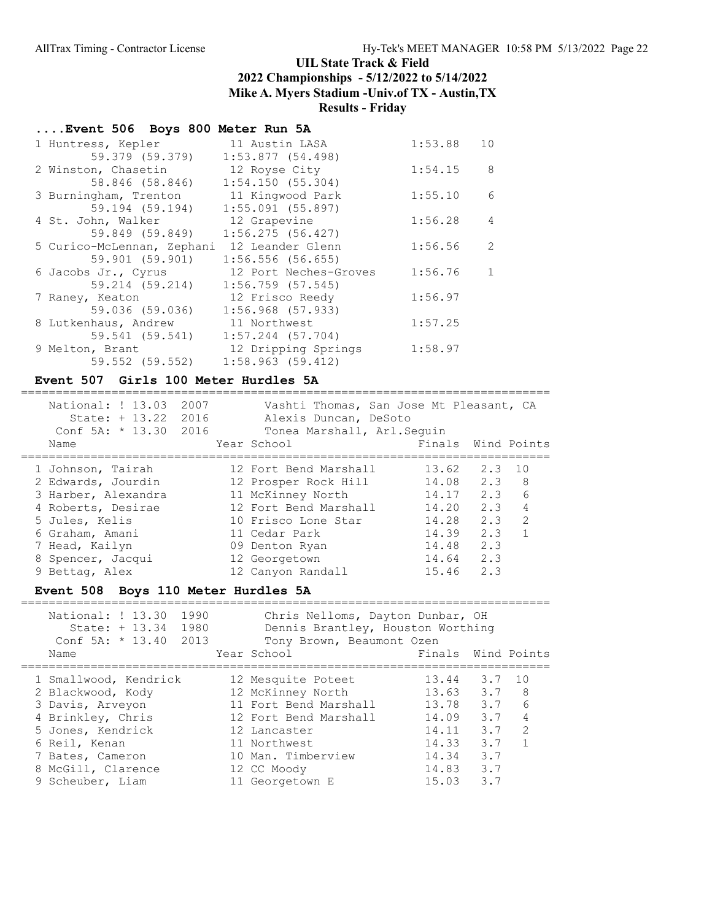# ....Event 506 Boys 800 Meter Run 5A

| 1 Huntress, Kepler         | 11 Austin LASA        | 1:53.88 | 10             |
|----------------------------|-----------------------|---------|----------------|
| 59.379 (59.379)            | 1:53.877(54.498)      |         |                |
| 2 Winston, Chasetin        | 12 Royse City         | 1:54.15 | 8              |
| 58.846 (58.846)            | 1:54.150(55.304)      |         |                |
| 3 Burningham, Trenton      | 11 Kingwood Park      | 1:55.10 | 6              |
| 59.194 (59.194)            | $1:55.091$ (55.897)   |         |                |
| 4 St. John, Walker         | 12 Grapevine          | 1:56.28 | $\overline{4}$ |
| 59.849 (59.849)            | $1:56.275$ (56.427)   |         |                |
| 5 Curico-McLennan, Zephani | 12 Leander Glenn      | 1:56.56 | 2              |
| 59.901 (59.901)            | $1:56.556$ (56.655)   |         |                |
| 6 Jacobs Jr., Cyrus        | 12 Port Neches-Groves | 1:56.76 | 1              |
| 59.214 (59.214)            | $1:56.759$ (57.545)   |         |                |
| 7 Raney, Keaton            | 12 Frisco Reedy       | 1:56.97 |                |
| 59.036 (59.036)            | $1:56.968$ (57.933)   |         |                |
| 8 Lutkenhaus, Andrew       | 11 Northwest          | 1:57.25 |                |
| 59.541 (59.541)            | $1:57.244$ (57.704)   |         |                |
| 9 Melton, Brant            | 12 Dripping Springs   | 1:58.97 |                |
| 59.552 (59.552)            | $1:58.963$ (59.412)   |         |                |

#### Event 507 Girls 100 Meter Hurdles 5A

| National: ! 13.03<br>State: + 13.22 2016<br>Conf 5A: $*$ 13.30 2016<br>Name                                                        | 2007 | Vashti Thomas, San Jose Mt Pleasant, CA<br>Alexis Duncan, DeSoto<br>Tonea Marshall, Arl. Sequin<br>Year School | Finals Wind Points |              |   |
|------------------------------------------------------------------------------------------------------------------------------------|------|----------------------------------------------------------------------------------------------------------------|--------------------|--------------|---|
|                                                                                                                                    |      |                                                                                                                |                    |              |   |
| 1 Johnson, Tairah                                                                                                                  |      | 12 Fort Bend Marshall                                                                                          |                    | 13.62 2.3 10 |   |
| 2 Edwards, Jourdin                                                                                                                 |      | 12 Prosper Rock Hill                                                                                           |                    | 14.08 2.3 8  |   |
| 3 Harber, Alexandra                                                                                                                |      | 11 McKinney North                                                                                              |                    | $14.17$ 2.3  | 6 |
| 4 Roberts, Desirae                                                                                                                 |      | 12 Fort Bend Marshall                                                                                          |                    | 14.20 2.3 4  |   |
| 5 Jules, Kelis                                                                                                                     |      | 10 Frisco Lone Star                                                                                            | 14.28              | $2.3$ 2      |   |
| 6 Graham, Amani                                                                                                                    |      | 11 Cedar Park                                                                                                  | 14.39              | 2.3 1        |   |
| 7 Head, Kailyn                                                                                                                     |      | 09 Denton Ryan                                                                                                 | 14.48              | 2.3          |   |
| 8 Spencer, Jacqui                                                                                                                  |      | 12 Georgetown                                                                                                  | $14.64$ 2.3        |              |   |
| 9 Bettag, Alex                                                                                                                     |      | 12 Canyon Randall                                                                                              | 15.46              | 2.3          |   |
| $E_{\text{mean}}$ $\pm$ $E \wedge 0$ $D_{\text{error}}$ $11 \wedge M_{\text{error}}$ $H_{\text{rand}}$ $I_{\text{new}}$ $E \wedge$ |      |                                                                                                                |                    |              |   |

### Event 508 Boys 110 Meter Hurdles 5A

| National: ! 13.30<br>1990<br>1980<br>$State: + 13.34$<br>Conf $5A: * 13.40$<br>2013 | Chris Nelloms, Dayton Dunbar, OH<br>Dennis Brantley, Houston Worthing<br>Tony Brown, Beaumont Ozen |                    |     |                 |
|-------------------------------------------------------------------------------------|----------------------------------------------------------------------------------------------------|--------------------|-----|-----------------|
| Name                                                                                | Year School                                                                                        | Finals Wind Points |     |                 |
|                                                                                     |                                                                                                    |                    |     |                 |
| 1 Smallwood, Kendrick                                                               | 12 Mesquite Poteet                                                                                 | 13.44              | 3.7 | 10              |
| 2 Blackwood, Kody                                                                   | 12 McKinney North                                                                                  | $13.63$ $3.7$ 8    |     |                 |
| 3 Davis, Arveyon                                                                    | 11 Fort Bend Marshall                                                                              | 13.78              | 3.7 | $6\overline{6}$ |
| 4 Brinkley, Chris                                                                   | 12 Fort Bend Marshall                                                                              | 14.09              | 3.7 | $\overline{4}$  |
| 5 Jones, Kendrick                                                                   | 12 Lancaster                                                                                       | 14.11              | 3.7 | $\overline{2}$  |
| 6 Reil, Kenan                                                                       | 11 Northwest                                                                                       | 14.33              | 3.7 |                 |
| 7 Bates, Cameron                                                                    | 10 Man. Timberview                                                                                 | 14.34              | 3.7 |                 |
| 8 McGill, Clarence                                                                  | 12 CC Moody                                                                                        | 14.83              | 3.7 |                 |
| 9 Scheuber, Liam                                                                    | 11 Georgetown E                                                                                    | 15.03              | 3.7 |                 |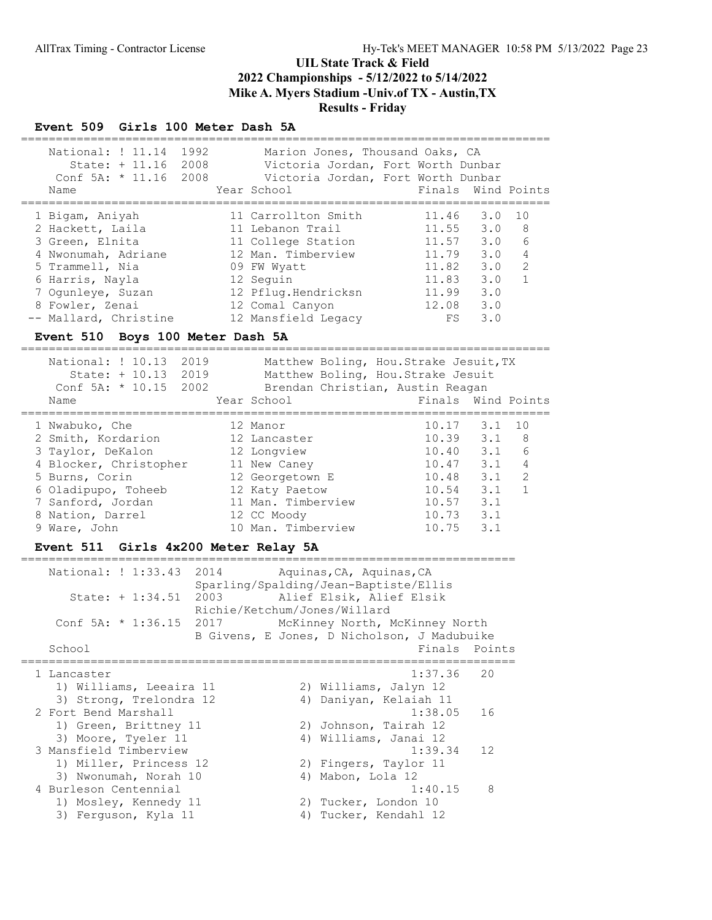# Event 509 Girls 100 Meter Dash 5A

| 1992<br>National: ! 11.14<br>State: + 11.16 2008<br>Conf 5A: $* 11.16 2008$<br>Name                                                                                                  |  | Marion Jones, Thousand Oaks, CA<br>Year School                                                                                                                                   | Victoria Jordan, Fort Worth Dunbar<br>Victoria Jordan, Fort Worth Dunbar<br>Finals Wind Points                                   |                        |  |  |
|--------------------------------------------------------------------------------------------------------------------------------------------------------------------------------------|--|----------------------------------------------------------------------------------------------------------------------------------------------------------------------------------|----------------------------------------------------------------------------------------------------------------------------------|------------------------|--|--|
| 1 Bigam, Aniyah<br>2 Hackett, Laila<br>3 Green, Elnita<br>4 Nwonumah, Adriane<br>5 Trammell, Nia<br>6 Harris, Nayla<br>7 Oqunleye, Suzan<br>8 Fowler, Zenai<br>-- Mallard, Christine |  | 11 Carrollton Smith<br>11 Lebanon Trail<br>11 College Station<br>12 Man. Timberview<br>09 FW Wyatt<br>12 Seguin<br>12 Pflug.Hendricksn<br>12 Comal Canyon<br>12 Mansfield Legacy | $11.46$ 3.0<br>1 O<br>$11.55$ 3.0 8<br>11.57 3.0 6<br>11.79 3.0<br>11.82 3.0<br>11.83 3.0<br>3.0<br>11.99<br>12.08 3.0<br>FS 3.0 | 4<br>2<br>$\mathbf{1}$ |  |  |
| Event 510 Boys 100 Meter Dash 5A<br>National: ! 10.13 2019<br>Matthew Boling, Hou. Strake Jesuit, TX                                                                                 |  |                                                                                                                                                                                  |                                                                                                                                  |                        |  |  |
| State: + 10.13 2019<br>Conf 5A: * 10.15 2002<br>Name                                                                                                                                 |  | Brendan Christian, Austin Reagan<br>Year School                                                                                                                                  | Matthew Boling, Hou. Strake Jesuit<br>Finals Wind Points                                                                         |                        |  |  |
| 1 Nwabuko, Che<br>2 Smith, Kordarion<br>3 Taylor, DeKalon                                                                                                                            |  | 12 Manor<br>12 Lancaster<br>12 Longview                                                                                                                                          | $10.17$ $3.1$<br>10<br>$10.39$ $3.1$ 8<br>10.40 3.1                                                                              | 6                      |  |  |

| C Taylor, Denaton      | TY PONDATEM        | 10. TU            | U J.⊥ U |   |
|------------------------|--------------------|-------------------|---------|---|
| 4 Blocker, Christopher | 11 New Caney       | $10.47$ $3.1$ $4$ |         |   |
| 5 Burns, Corin         | 12 Georgetown E    | 10.48             | 3.1     | 2 |
| 6 Oladipupo, Toheeb    | 12 Katy Paetow     | 10.54             | 3.1 1   |   |
| 7 Sanford, Jordan      | 11 Man. Timberview | $10.57$ 3.1       |         |   |
| 8 Nation, Darrel       | 12 CC Moody        | $10.73$ $3.1$     |         |   |
| 9 Ware, John           | 10 Man. Timberview | $10.75$ 3.1       |         |   |
|                        |                    |                   |         |   |

### Event 511 Girls 4x200 Meter Relay 5A

| National: ! 1:33.43       | 2014 |    | Aquinas, CA, Aquinas, CA<br>Sparling/Spalding/Jean-Baptiste/Ellis             |  |
|---------------------------|------|----|-------------------------------------------------------------------------------|--|
| State: + 1:34.51          | 2003 |    | Alief Elsik, Alief Elsik<br>Richie/Ketchum/Jones/Willard                      |  |
| Conf 5A: $*$ 1:36.15 2017 |      |    | McKinney North, McKinney North<br>B Givens, E Jones, D Nicholson, J Madubuike |  |
| School                    |      |    | Finals Points                                                                 |  |
| 1 Lancaster               |      |    | 1:37.36<br>20                                                                 |  |
| 1) Williams, Leeaira 11   |      |    | 2) Williams, Jalyn 12                                                         |  |
| 3) Strong, Trelondra 12   |      |    | 4) Daniyan, Kelaiah 11                                                        |  |
| 2 Fort Bend Marshall      |      |    | 1:38.05<br>16                                                                 |  |
| 1) Green, Brittney 11     |      |    | 2) Johnson, Tairah 12                                                         |  |
| 3) Moore, Tyeler 11       |      |    | 4) Williams, Janai 12                                                         |  |
| 3 Mansfield Timberview    |      |    | 1:39.34<br>12                                                                 |  |
| 1) Miller, Princess 12    |      |    | 2) Fingers, Taylor 11                                                         |  |
| 3) Nwonumah, Norah 10     |      | 4) | Mabon, Lola 12                                                                |  |
| 4 Burleson Centennial     |      |    | 8<br>1:40.15                                                                  |  |
| 1) Mosley, Kennedy 11     |      |    | 2) Tucker, London 10                                                          |  |
| 3) Ferquson, Kyla 11      |      | 4) | Tucker, Kendahl 12                                                            |  |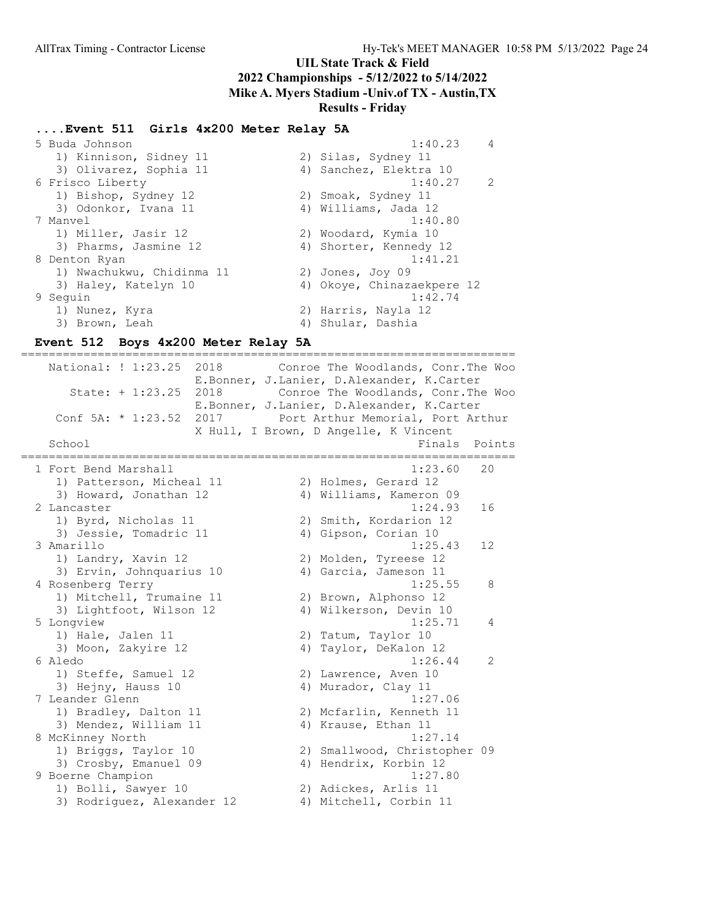## Results - Friday

## ....Event 511 Girls 4x200 Meter Relay 5A

 5 Buda Johnson 1:40.23 4 1) Kinnison, Sidney 11 2) Silas, Sydney 11 3) Olivarez, Sophia 11 4) Sanchez, Elektra 10 6 Frisco Liberty 1:40.27 2 1) Bishop, Sydney 12 2) Smoak, Sydney 11 3) Odonkor, Ivana 11 4) Williams, Jada 12 7 Manvel 1:40.80 1) Miller, Jasir 12 2) Woodard, Kymia 10 3) Pharms, Jasmine 12 4) Shorter, Kennedy 12 8 Denton Ryan 1:41.21 1) Nwachukwu, Chidinma 11 2) Jones, Joy 09 3) Haley, Katelyn 10 4) Okoye, Chinazaekpere 12 9 Seguin 1:42.74 1) Nunez, Kyra 2) Harris, Nayla 12 3) Brown, Leah 1988 (2008) 4) Shular, Dashia

#### Event 512 Boys 4x200 Meter Relay 5A

======================================================================= National: ! 1:23.25 2018 Conroe The Woodlands, Conr.The Woo E.Bonner, J.Lanier, D.Alexander, K.Carter State: + 1:23.25 2018 Conroe The Woodlands, Conr.The Woo E.Bonner, J.Lanier, D.Alexander, K.Carter Conf 5A: \* 1:23.52 2017 Port Arthur Memorial, Port Arthur X Hull, I Brown, D Angelle, K Vincent School **Finals** Points ======================================================================= 1 Fort Bend Marshall 1:23.60 20 1) Patterson, Micheal 11 2) Holmes, Gerard 12 3) Howard, Jonathan 12 4) Williams, Kameron 09 2 Lancaster 1:24.93 16 1) Byrd, Nicholas 11 2) Smith, Kordarion 12 3) Jessie, Tomadric 11 (4) Gipson, Corian 10 3 Amarillo 1:25.43 12 1) Landry, Xavin 12 2) Molden, Tyreese 12 3) Ervin, Johnquarius 10 4) Garcia, Jameson 11 4 Rosenberg Terry 1:25.55 8 1) Mitchell, Trumaine 11 2) Brown, Alphonso 12 3) Lightfoot, Wilson 12 4) Wilkerson, Devin 10 5 Longview 1:25.71 4 1) Hale, Jalen 11 2) Tatum, Taylor 10 3) Moon, Zakyire 12 4) Taylor, DeKalon 12 6 Aledo 1:26.44 2 1) Steffe, Samuel 12 2) Lawrence, Aven 10 3) Hejny, Hauss 10 4) Murador, Clay 11 7 Leander Glenn 1:27.06 1) Bradley, Dalton 11 2) Mcfarlin, Kenneth 11 3) Mendez, William 11 4) Krause, Ethan 11 8 McKinney North 1:27.14 1) Briggs, Taylor 10 2) Smallwood, Christopher 09 3) Crosby, Emanuel 09 4) Hendrix, Korbin 12 9 Boerne Champion 1:27.80 1) Bolli, Sawyer 10 2) Adickes, Arlis 11 3) Rodriguez, Alexander 12 4) Mitchell, Corbin 11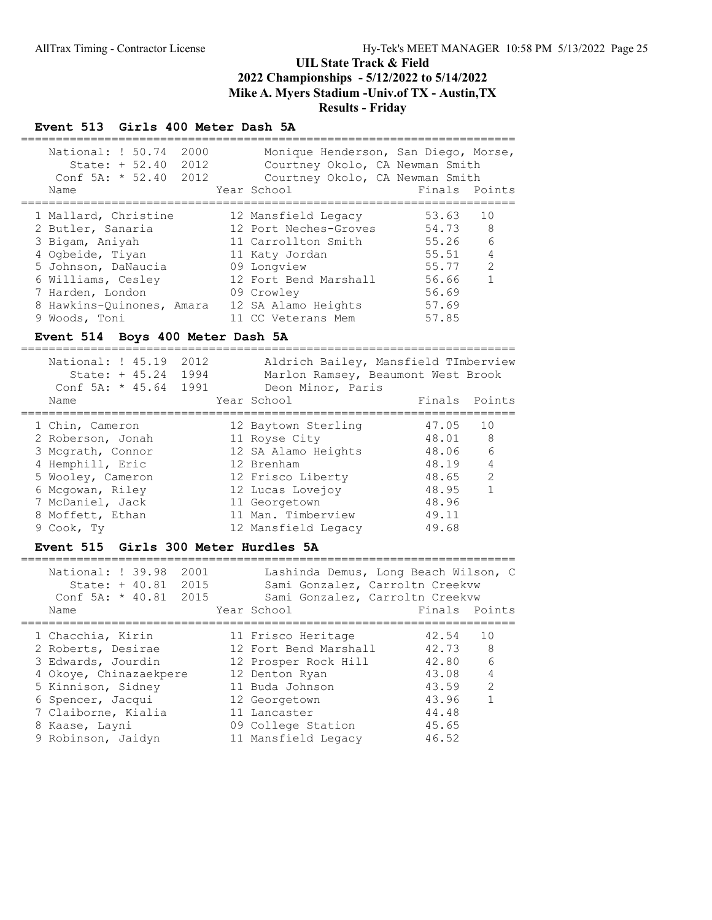#### Event 513 Girls 400 Meter Dash 5A

| National: ! 50.74<br>2000<br>State: + 52.40 2012<br>Conf 5A: $*$ 52.40 2012<br>Name | Monique Henderson, San Diego, Morse,<br>Courtney Okolo, CA Newman Smith<br>Courtney Okolo, CA Newman Smith<br>Year School | Finals Points |                |
|-------------------------------------------------------------------------------------|---------------------------------------------------------------------------------------------------------------------------|---------------|----------------|
| 1 Mallard, Christine                                                                | 12 Mansfield Legacy                                                                                                       | 53.63         | 10             |
|                                                                                     |                                                                                                                           |               |                |
| 2 Butler, Sanaria                                                                   | 12 Port Neches-Groves                                                                                                     | 54.73 8       |                |
| 3 Bigam, Aniyah                                                                     | 11 Carrollton Smith                                                                                                       | 55.26         | 6              |
| 4 Ogbeide, Tiyan                                                                    | 11 Katy Jordan                                                                                                            | 55.51         | $\overline{4}$ |
| 5 Johnson, DaNaucia                                                                 | 09 Longview                                                                                                               | 55.77         | 2              |
| 6 Williams, Cesley                                                                  | 12 Fort Bend Marshall                                                                                                     | 56.66         | $\overline{1}$ |
| 7 Harden, London                                                                    | 09 Crowley                                                                                                                | 56.69         |                |
| 8 Hawkins-Ouinones, Amara                                                           | 12 SA Alamo Heights                                                                                                       | 57.69         |                |
| 9 Woods, Toni                                                                       | 11 CC Veterans Mem                                                                                                        | 57.85         |                |

#### Event 514 Boys 400 Meter Dash 5A

======================================================================= National: ! 45.19 2012 Aldrich Bailey, Mansfield TImberview State: + 45.24 1994 Marlon Ramsey, Beaumont West Brook Conf 5A: \* 45.64 1991 Deon Minor, Paris Name Year School Finals Points ======================================================================= 1 Chin, Cameron 12 Baytown Sterling 47.05 10 2 Roberson, Jonah 11 Royse City 48.01 8 3 Mcgrath, Connor 12 SA Alamo Heights 48.06 6 4 Hemphill, Eric 12 Brenham 48.19 4 5 Wooley, Cameron 12 Frisco Liberty 48.65 2 6 Mcgowan, Riley 12 Lucas Lovejoy 48.95 1 7 McDaniel, Jack 11 Georgetown 48.96 8 Moffett, Ethan 11 Man. Timberview 49.11 9 Cook, Ty 12 Mansfield Legacy 49.68

### Event 515 Girls 300 Meter Hurdles 5A

| National: ! 39.98<br>2001<br>2015<br>State: + 40.81<br>Conf $5A: * 40.81$<br>2015<br>Name                                                                                   | Lashinda Demus, Long Beach Wilson, C<br>Sami Gonzalez, Carroltn Creekvw<br>Sami Gonzalez, Carroltn Creekvw<br>Year School                                       | Finals Points                                                        |                                                       |
|-----------------------------------------------------------------------------------------------------------------------------------------------------------------------------|-----------------------------------------------------------------------------------------------------------------------------------------------------------------|----------------------------------------------------------------------|-------------------------------------------------------|
| 1 Chacchia, Kirin<br>2 Roberts, Desirae<br>3 Edwards, Jourdin<br>4 Okove, Chinazaekpere<br>5 Kinnison, Sidney<br>6 Spencer, Jacqui<br>7 Claiborne, Kialia<br>8 Kaase, Layni | 11 Frisco Heritage<br>12 Fort Bend Marshall<br>12 Prosper Rock Hill<br>12 Denton Ryan<br>11 Buda Johnson<br>12 Georgetown<br>11 Lancaster<br>09 College Station | 42.54<br>42.73<br>42.80<br>43.08<br>43.59<br>43.96<br>44.48<br>45.65 | 10<br>- 8<br>6<br>$\overline{4}$<br>2<br>$\mathbf{1}$ |
| 9 Robinson, Jaidyn                                                                                                                                                          | 11 Mansfield Legacy                                                                                                                                             | 46.52                                                                |                                                       |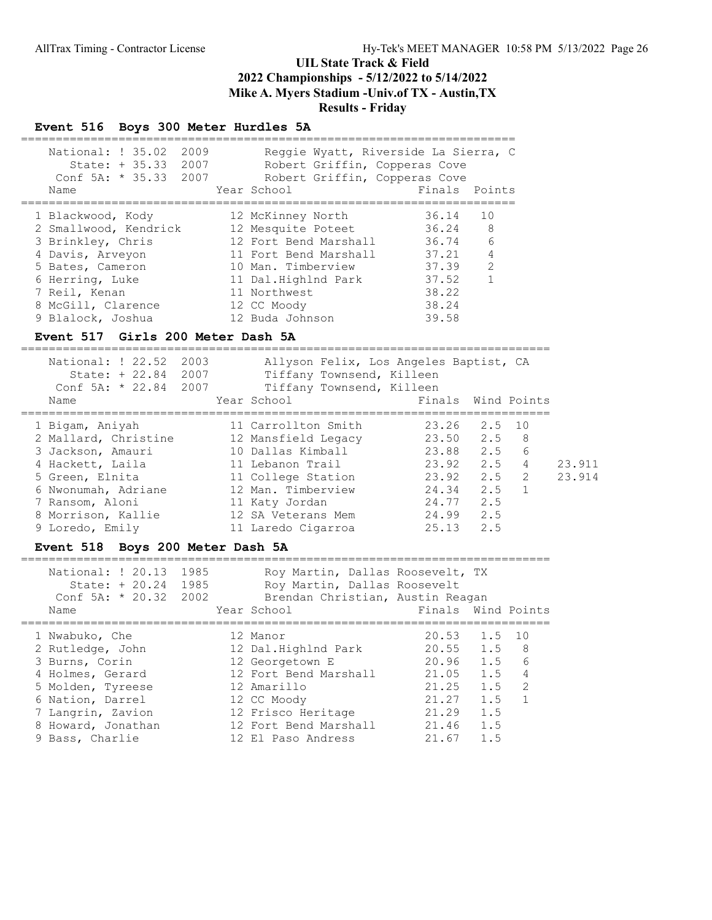#### Event 516 Boys 300 Meter Hurdles 5A

| National: ! 35.02<br>2009<br>State: $+35.33$ 2007<br>Conf 5A: $*$ 35.33 2007<br>Name | Reggie Wyatt, Riverside La Sierra, C<br>Robert Griffin, Copperas Cove<br>Robert Griffin, Copperas Cove<br>Year School | Finals Points |                |
|--------------------------------------------------------------------------------------|-----------------------------------------------------------------------------------------------------------------------|---------------|----------------|
| 1 Blackwood, Kody                                                                    | 12 McKinney North                                                                                                     | 36.14         | 10             |
| 2 Smallwood, Kendrick                                                                | 12 Mesquite Poteet                                                                                                    | 36.24         | - 8            |
| 3 Brinkley, Chris                                                                    | 12 Fort Bend Marshall                                                                                                 | 36.74         | 6              |
| 4 Davis, Arveyon                                                                     | 11 Fort Bend Marshall                                                                                                 | 37.21         | 4              |
| 5 Bates, Cameron                                                                     | 10 Man. Timberview                                                                                                    | 37.39         | $\overline{2}$ |
| 6 Herring, Luke                                                                      | 11 Dal.Highlnd Park                                                                                                   | 37.52         | 1              |
| 7 Reil, Kenan                                                                        | 11 Northwest                                                                                                          | 38.22         |                |
| 8 McGill, Clarence                                                                   | 12 CC Moody                                                                                                           | 38.24         |                |
| 9 Blalock, Joshua                                                                    | 12 Buda Johnson                                                                                                       | 39.58         |                |

#### Event 517 Girls 200 Meter Dash 5A

============================================================================ National: ! 22.52 2003 Allyson Felix, Los Angeles Baptist, CA State: + 22.84 2007 Tiffany Townsend, Killeen Conf 5A: \* 22.84 2007 Tiffany Townsend, Killeen Name Year School Finals Wind Points ============================================================================ 1 Bigam, Aniyah 11 Carrollton Smith 23.26 2.5 10 2 Mallard, Christine 12 Mansfield Legacy 23.50 2.5 8 3 Jackson, Amauri 10 Dallas Kimball 23.88 2.5 6 4 Hackett, Laila 11 Lebanon Trail 23.92 2.5 4 23.911 5 Green, Elnita 11 College Station 23.92 2.5 2 23.914 6 Nwonumah, Adriane 12 Man. Timberview 24.34 2.5 1 7 Ransom, Aloni 11 Katy Jordan 24.77 2.5 8 Morrison, Kallie 12 SA Veterans Mem 24.99 2.5 9 Loredo, Emily 11 Laredo Cigarroa 25.13 2.5

#### Event 518 Boys 200 Meter Dash 5A

============================================================================ National: ! 20.13 1985 Roy Martin, Dallas Roosevelt, TX State: + 20.24 1985 Roy Martin, Dallas Roosevelt Conf 5A: \* 20.32 2002 Brendan Christian, Austin Reagan Name The Year School Team Points Wind Points ============================================================================ 1 Nwabuko, Che 12 Manor 20.53 1.5 10 2 Rutledge, John 12 Dal.Highlnd Park 20.55 1.5 8 3 Burns, Corin 12 Georgetown E 20.96 1.5 6 4 Holmes, Gerard 12 Fort Bend Marshall 21.05 1.5 4 5 Molden, Tyreese 12 Amarillo 21.25 1.5 2 6 Nation, Darrel 12 CC Moody 21.27 1.5 1 7 Langrin, Zavion 12 Frisco Heritage 21.29 1.5 8 Howard, Jonathan 12 Fort Bend Marshall 21.46 1.5 9 Bass, Charlie 12 El Paso Andress 21.67 1.5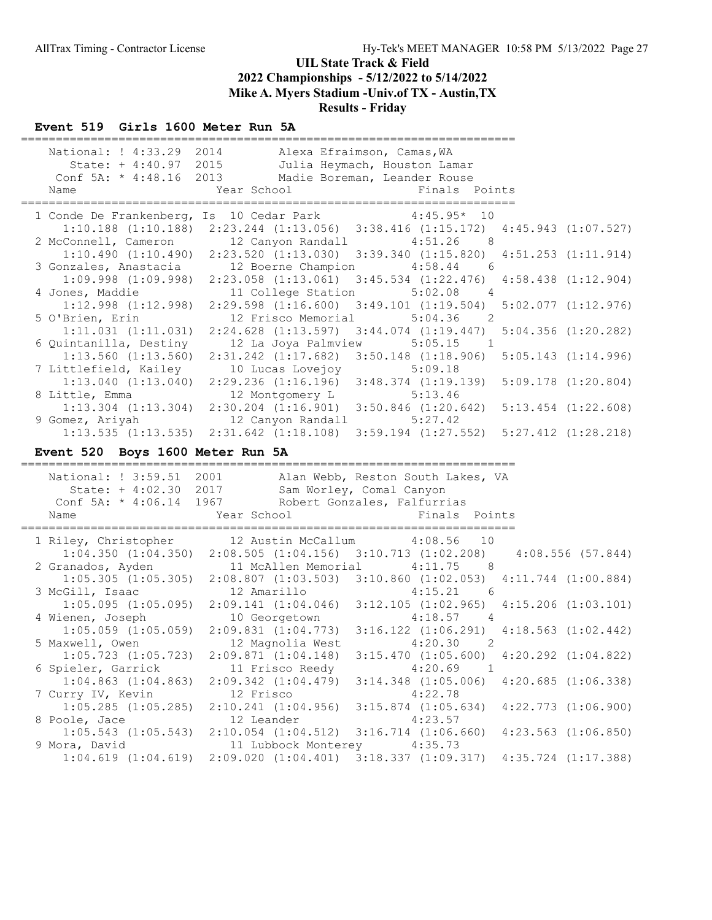# Event 519 Girls 1600 Meter Run 5A

| 1 Conde De Frankenberg, Is 10 Cedar Park 4:45.95* 10<br>$1:10.188$ $(1:10.188)$ $2:23.244$ $(1:13.056)$ $3:38.416$ $(1:15.172)$ $4:45.943$ $(1:07.527)$<br>2 McConnell, Cameron 12 Canyon Randall 4:51.26<br>8 <sup>8</sup><br>1:10.490(1:10.490)<br>$2:23.520$ (1:13.030) 3:39.340 (1:15.820) 4:51.253 (1:11.914)<br>3 Gonzales, Anastacia 12 Boerne Champion 4:58.44<br>6<br>2:23.058 (1:13.061) 3:45.534 (1:22.476) 4:58.438 (1:12.904)<br>$1:09.998$ $(1:09.998)$<br>4 Jones, Maddie<br>5:02.08<br>11 College Station<br>$\overline{4}$<br>$1:12.998$ $(1:12.998)$<br>$2:29.598$ $(1:16.600)$ $3:49.101$ $(1:19.504)$<br>$5:02.077$ $(1:12.976)$<br>5 O'Brien, Erin<br>12 Frisco Memorial<br>5:04.36<br>$\overline{2}$<br>$1:11.031$ $(1:11.031)$<br>$2:24.628$ $(1:13.597)$ $3:44.074$ $(1:19.447)$<br>$5:04.356$ $(1:20.282)$<br>6 Quintanilla, Destiny<br>12 La Joya Palmview<br>5:05.15<br>$\overline{1}$<br>$1:13.560$ $(1:13.560)$<br>$2:31.242$ $(1:17.682)$ $3:50.148$ $(1:18.906)$<br>$5:05.143$ $(1:14.996)$<br>7 Littlefield, Kailey<br>10 Lucas Lovejoy<br>5:09.18<br>$2:29.236$ $(1:16.196)$ $3:48.374$ $(1:19.139)$<br>1:13.040(1:13.040)<br>8 Little, Emma<br>12 Montgomery L<br>5:13.46<br>$2:30.204$ $(1:16.901)$ $3:50.846$ $(1:20.642)$<br>$1:13.304$ $(1:13.304)$<br>9 Gomez, Ariyah<br>12 Canyon Randall 5:27.42<br>1:13.535 (1:13.535) 2:31.642 (1:18.108) 3:59.194 (1:27.552) 5:27.412 (1:28.218)<br>Event 520 Boys 1600 Meter Run 5A<br>National: ! 3:59.51 2001 Alan Webb, Reston South Lakes, VA<br>State: + 4:02.30 2017 Sam Worley, Comal Canyon<br>Conf 5A: * 4:06.14 1967 Robert Gonzales, Falfurrias<br>Year School<br>Finals Points<br>Name<br>1 Riley, Christopher 12 Austin McCallum 4:08.56<br>10<br>1:04.350 (1:04.350) 2:08.505 (1:04.156) 3:10.713 (1:02.208) 4:08.556 (57.844)<br>2 Granados, Ayden<br>11 McAllen Memorial<br>4:11.75<br>8 <sup>8</sup><br>1:05.305 (1:05.305) 2:08.807 (1:03.503) 3:10.860 (1:02.053) 4:11.744 (1:00.884)<br>3 McGill, Isaac<br>$4:15.21$ 6<br>12 Amarillo<br>$1:05.095$ $(1:05.095)$ $2:09.141$ $(1:04.046)$ $3:12.105$ $(1:02.965)$ $4:15.206$ $(1:03.101)$ | Conf 5A: $*$ 4:48.16 2013<br>Name        | National: ! 4:33.29 2014 Alexa Efraimson, Camas, WA<br>State: + 4:40.97 2015 Julia Heymach, Houston Lamar<br>Year School | Madie Boreman, Leander Rouse<br>Finals Points | =====================   |
|-------------------------------------------------------------------------------------------------------------------------------------------------------------------------------------------------------------------------------------------------------------------------------------------------------------------------------------------------------------------------------------------------------------------------------------------------------------------------------------------------------------------------------------------------------------------------------------------------------------------------------------------------------------------------------------------------------------------------------------------------------------------------------------------------------------------------------------------------------------------------------------------------------------------------------------------------------------------------------------------------------------------------------------------------------------------------------------------------------------------------------------------------------------------------------------------------------------------------------------------------------------------------------------------------------------------------------------------------------------------------------------------------------------------------------------------------------------------------------------------------------------------------------------------------------------------------------------------------------------------------------------------------------------------------------------------------------------------------------------------------------------------------------------------------------------------------------------------------------------------------------------------------------------------------------------------------------------------------------------------------------------------------------------------------------------------------------------------------------------------------------------------|------------------------------------------|--------------------------------------------------------------------------------------------------------------------------|-----------------------------------------------|-------------------------|
|                                                                                                                                                                                                                                                                                                                                                                                                                                                                                                                                                                                                                                                                                                                                                                                                                                                                                                                                                                                                                                                                                                                                                                                                                                                                                                                                                                                                                                                                                                                                                                                                                                                                                                                                                                                                                                                                                                                                                                                                                                                                                                                                           |                                          |                                                                                                                          |                                               |                         |
|                                                                                                                                                                                                                                                                                                                                                                                                                                                                                                                                                                                                                                                                                                                                                                                                                                                                                                                                                                                                                                                                                                                                                                                                                                                                                                                                                                                                                                                                                                                                                                                                                                                                                                                                                                                                                                                                                                                                                                                                                                                                                                                                           |                                          |                                                                                                                          |                                               |                         |
|                                                                                                                                                                                                                                                                                                                                                                                                                                                                                                                                                                                                                                                                                                                                                                                                                                                                                                                                                                                                                                                                                                                                                                                                                                                                                                                                                                                                                                                                                                                                                                                                                                                                                                                                                                                                                                                                                                                                                                                                                                                                                                                                           |                                          |                                                                                                                          |                                               |                         |
|                                                                                                                                                                                                                                                                                                                                                                                                                                                                                                                                                                                                                                                                                                                                                                                                                                                                                                                                                                                                                                                                                                                                                                                                                                                                                                                                                                                                                                                                                                                                                                                                                                                                                                                                                                                                                                                                                                                                                                                                                                                                                                                                           |                                          |                                                                                                                          |                                               |                         |
|                                                                                                                                                                                                                                                                                                                                                                                                                                                                                                                                                                                                                                                                                                                                                                                                                                                                                                                                                                                                                                                                                                                                                                                                                                                                                                                                                                                                                                                                                                                                                                                                                                                                                                                                                                                                                                                                                                                                                                                                                                                                                                                                           |                                          |                                                                                                                          |                                               |                         |
|                                                                                                                                                                                                                                                                                                                                                                                                                                                                                                                                                                                                                                                                                                                                                                                                                                                                                                                                                                                                                                                                                                                                                                                                                                                                                                                                                                                                                                                                                                                                                                                                                                                                                                                                                                                                                                                                                                                                                                                                                                                                                                                                           |                                          |                                                                                                                          |                                               |                         |
|                                                                                                                                                                                                                                                                                                                                                                                                                                                                                                                                                                                                                                                                                                                                                                                                                                                                                                                                                                                                                                                                                                                                                                                                                                                                                                                                                                                                                                                                                                                                                                                                                                                                                                                                                                                                                                                                                                                                                                                                                                                                                                                                           |                                          |                                                                                                                          |                                               |                         |
|                                                                                                                                                                                                                                                                                                                                                                                                                                                                                                                                                                                                                                                                                                                                                                                                                                                                                                                                                                                                                                                                                                                                                                                                                                                                                                                                                                                                                                                                                                                                                                                                                                                                                                                                                                                                                                                                                                                                                                                                                                                                                                                                           |                                          |                                                                                                                          |                                               | $5:09.178$ $(1:20.804)$ |
|                                                                                                                                                                                                                                                                                                                                                                                                                                                                                                                                                                                                                                                                                                                                                                                                                                                                                                                                                                                                                                                                                                                                                                                                                                                                                                                                                                                                                                                                                                                                                                                                                                                                                                                                                                                                                                                                                                                                                                                                                                                                                                                                           |                                          |                                                                                                                          |                                               | $5:13.454$ $(1:22.608)$ |
|                                                                                                                                                                                                                                                                                                                                                                                                                                                                                                                                                                                                                                                                                                                                                                                                                                                                                                                                                                                                                                                                                                                                                                                                                                                                                                                                                                                                                                                                                                                                                                                                                                                                                                                                                                                                                                                                                                                                                                                                                                                                                                                                           |                                          |                                                                                                                          |                                               |                         |
|                                                                                                                                                                                                                                                                                                                                                                                                                                                                                                                                                                                                                                                                                                                                                                                                                                                                                                                                                                                                                                                                                                                                                                                                                                                                                                                                                                                                                                                                                                                                                                                                                                                                                                                                                                                                                                                                                                                                                                                                                                                                                                                                           |                                          |                                                                                                                          |                                               |                         |
|                                                                                                                                                                                                                                                                                                                                                                                                                                                                                                                                                                                                                                                                                                                                                                                                                                                                                                                                                                                                                                                                                                                                                                                                                                                                                                                                                                                                                                                                                                                                                                                                                                                                                                                                                                                                                                                                                                                                                                                                                                                                                                                                           |                                          |                                                                                                                          |                                               |                         |
|                                                                                                                                                                                                                                                                                                                                                                                                                                                                                                                                                                                                                                                                                                                                                                                                                                                                                                                                                                                                                                                                                                                                                                                                                                                                                                                                                                                                                                                                                                                                                                                                                                                                                                                                                                                                                                                                                                                                                                                                                                                                                                                                           |                                          |                                                                                                                          |                                               |                         |
|                                                                                                                                                                                                                                                                                                                                                                                                                                                                                                                                                                                                                                                                                                                                                                                                                                                                                                                                                                                                                                                                                                                                                                                                                                                                                                                                                                                                                                                                                                                                                                                                                                                                                                                                                                                                                                                                                                                                                                                                                                                                                                                                           |                                          |                                                                                                                          |                                               |                         |
|                                                                                                                                                                                                                                                                                                                                                                                                                                                                                                                                                                                                                                                                                                                                                                                                                                                                                                                                                                                                                                                                                                                                                                                                                                                                                                                                                                                                                                                                                                                                                                                                                                                                                                                                                                                                                                                                                                                                                                                                                                                                                                                                           |                                          |                                                                                                                          |                                               |                         |
|                                                                                                                                                                                                                                                                                                                                                                                                                                                                                                                                                                                                                                                                                                                                                                                                                                                                                                                                                                                                                                                                                                                                                                                                                                                                                                                                                                                                                                                                                                                                                                                                                                                                                                                                                                                                                                                                                                                                                                                                                                                                                                                                           |                                          |                                                                                                                          |                                               |                         |
| 4 Wienen, Joseph<br>10 Georgetown<br>$4:18.57$ 4<br>$1:05.059$ $(1:05.059)$ $2:09.831$ $(1:04.773)$ $3:16.122$ $(1:06.291)$ $4:18.563$ $(1:02.442)$                                                                                                                                                                                                                                                                                                                                                                                                                                                                                                                                                                                                                                                                                                                                                                                                                                                                                                                                                                                                                                                                                                                                                                                                                                                                                                                                                                                                                                                                                                                                                                                                                                                                                                                                                                                                                                                                                                                                                                                       |                                          |                                                                                                                          |                                               |                         |
| 5 Maxwell, Owen<br>12 Magnolia West<br>4:20.30<br>$\overline{\phantom{a}}$                                                                                                                                                                                                                                                                                                                                                                                                                                                                                                                                                                                                                                                                                                                                                                                                                                                                                                                                                                                                                                                                                                                                                                                                                                                                                                                                                                                                                                                                                                                                                                                                                                                                                                                                                                                                                                                                                                                                                                                                                                                                |                                          |                                                                                                                          |                                               |                         |
| $2:09.871$ $(1:04.148)$ $3:15.470$ $(1:05.600)$ $4:20.292$ $(1:04.822)$<br>6 Spieler, Garrick<br>11 Frisco Reedy<br>4:20.69<br>$\overline{1}$                                                                                                                                                                                                                                                                                                                                                                                                                                                                                                                                                                                                                                                                                                                                                                                                                                                                                                                                                                                                                                                                                                                                                                                                                                                                                                                                                                                                                                                                                                                                                                                                                                                                                                                                                                                                                                                                                                                                                                                             |                                          |                                                                                                                          |                                               |                         |
| $1:04.863$ $(1:04.863)$<br>$2:09.342$ $(1:04.479)$<br>$3:14.348$ $(1:05.006)$                                                                                                                                                                                                                                                                                                                                                                                                                                                                                                                                                                                                                                                                                                                                                                                                                                                                                                                                                                                                                                                                                                                                                                                                                                                                                                                                                                                                                                                                                                                                                                                                                                                                                                                                                                                                                                                                                                                                                                                                                                                             | $1:05.723$ $(1:05.723)$                  |                                                                                                                          |                                               |                         |
| $1:05.285$ $(1:05.285)$<br>$2:10.241$ $(1:04.956)$<br>$3:15.874$ $(1:05.634)$                                                                                                                                                                                                                                                                                                                                                                                                                                                                                                                                                                                                                                                                                                                                                                                                                                                                                                                                                                                                                                                                                                                                                                                                                                                                                                                                                                                                                                                                                                                                                                                                                                                                                                                                                                                                                                                                                                                                                                                                                                                             |                                          |                                                                                                                          |                                               | $4:20.685$ $(1:06.338)$ |
| $2:10.054$ $(1:04.512)$<br>$3:16.714$ $(1:06.660)$                                                                                                                                                                                                                                                                                                                                                                                                                                                                                                                                                                                                                                                                                                                                                                                                                                                                                                                                                                                                                                                                                                                                                                                                                                                                                                                                                                                                                                                                                                                                                                                                                                                                                                                                                                                                                                                                                                                                                                                                                                                                                        | 7 Curry IV, Kevin                        | 12 Frisco                                                                                                                | 4:22.78                                       | $4:22.773$ $(1:06.900)$ |
| 9 Mora, David<br>11 Lubbock Monterey<br>4:35.73                                                                                                                                                                                                                                                                                                                                                                                                                                                                                                                                                                                                                                                                                                                                                                                                                                                                                                                                                                                                                                                                                                                                                                                                                                                                                                                                                                                                                                                                                                                                                                                                                                                                                                                                                                                                                                                                                                                                                                                                                                                                                           | 8 Poole, Jace<br>$1:05.543$ $(1:05.543)$ | 12 Leander                                                                                                               | 4:23.57                                       | $4:23.563$ $(1:06.850)$ |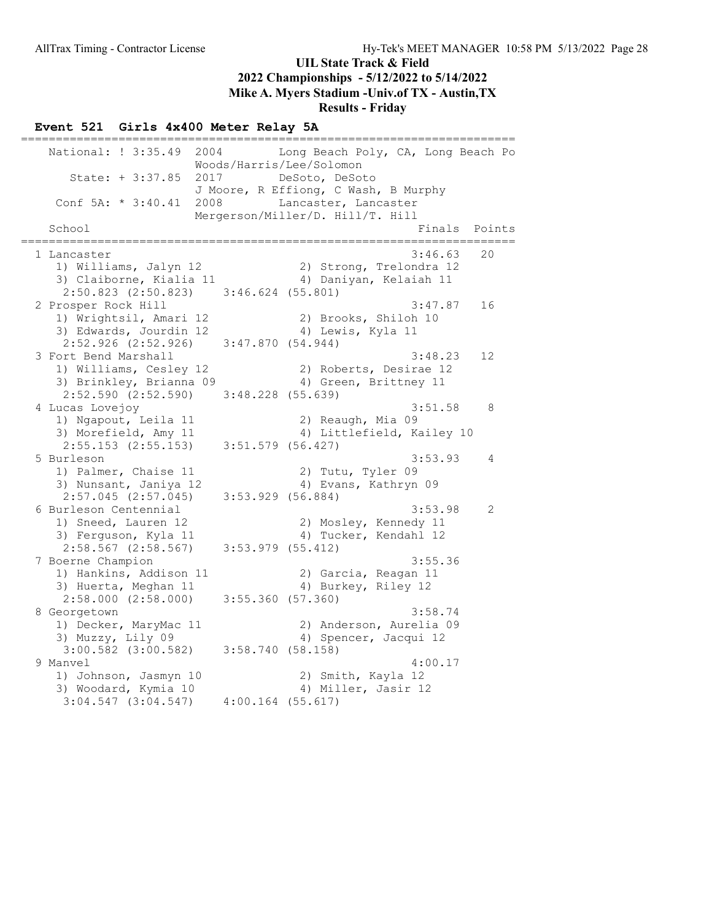## Results - Friday

#### Event 521 Girls 4x400 Meter Relay 5A

======================================================================= National: ! 3:35.49 2004 Long Beach Poly, CA, Long Beach Po Woods/Harris/Lee/Solomon State: + 3:37.85 2017 DeSoto, DeSoto J Moore, R Effiong, C Wash, B Murphy Conf  $5A: * 3:40.41$  2008 Lancaster, Lancaster Mergerson/Miller/D. Hill/T. Hill<br>I Finals Points ======================================================================= 1 Lancaster 3:46.63 20 1) Williams, Jalyn 12 2) Strong, Trelondra 12 3) Claiborne, Kialia 11  $\hskip10mm$  4) Daniyan, Kelaiah 11 2:50.823 (2:50.823) 3:46.624 (55.801)<br>2 Prosper Rock Hill 2 Prosper Rock Hill 3:47.87 16 1) Wrightsil, Amari 12 2) Brooks, Shiloh 10 3) Edwards, Jourdin 12 (4) Lewis, Kyla 11 2:52.926 (2:52.926) 3:47.870 (54.944) 3 Fort Bend Marshall 3:48.23 12 1) Williams, Cesley 12 2) Roberts, Desirae 12 3) Brinkley, Brianna 09 4) Green, Brittney 11 2:52.590 (2:52.590) 3:48.228 (55.639) 4 Lucas Lovejoy 3:51.58 8 1) Ngapout, Leila 11 2) Reaugh, Mia 09 3) Morefield, Amy 11 4) Littlefield, Kailey 10 2:55.153 (2:55.153) 3:51.579 (56.427) 5 Burleson 3:53.93 4 1) Palmer, Chaise 11 2) Tutu, Tyler 09 3) Nunsant, Janiya 12 4) Evans, Kathryn 09 2:57.045 (2:57.045) 3:53.929 (56.884) 6 Burleson Centennial 3:53.98 2 1) Sneed, Lauren 12 2) Mosley, Kennedy 11 3) Ferguson, Kyla 11  $\qquad \qquad \qquad$  4) Tucker, Kendahl 12 2:58.567 (2:58.567) 3:53.979 (55.412) 7 Boerne Champion 3:55.36 1) Hankins, Addison 11 2) Garcia, Reagan 11 3) Huerta, Meghan 11 4) Burkey, Riley 12 2:58.000 (2:58.000) 3:55.360 (57.360) 8 Georgetown 3:58.74 1) Decker, MaryMac 11 2) Anderson, Aurelia 09 3) Muzzy, Lily 09 4) Spencer, Jacqui 12 3:00.582 (3:00.582) 3:58.740 (58.158) 9 Manvel 4:00.17 1) Johnson, Jasmyn 10 2) Smith, Kayla 12 3) Woodard, Kymia 10 4) Miller, Jasir 12 3:04.547 (3:04.547) 4:00.164 (55.617)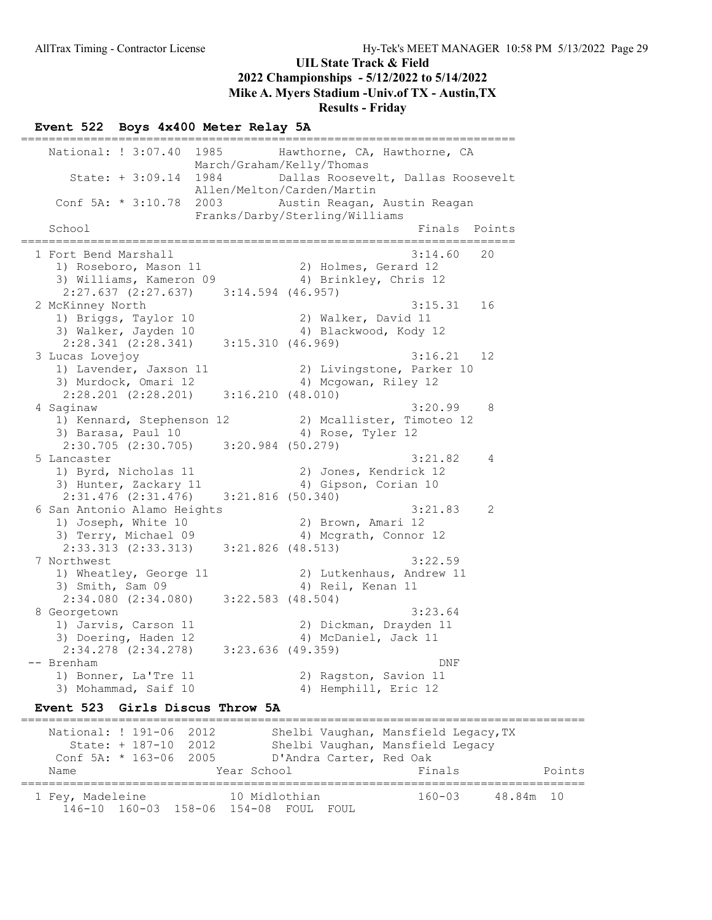## Results - Friday

#### Event 522 Boys 4x400 Meter Relay 5A =======================================================================

National: ! 3:07.40 1985 Hawthorne, CA, Hawthorne, CA March/Graham/Kelly/Thomas State: + 3:09.14 1984 Dallas Roosevelt, Dallas Roosevelt Allen/Melton/Carden/Martin Conf 5A: \* 3:10.78 2003 Austin Reagan, Austin Reagan Franks/Darby/Sterling/Williams Finals Points ======================================================================= 1 Fort Bend Marshall 3:14.60 20 1) Roseboro, Mason 11 2) Holmes, Gerard 12 3) Williams, Kameron 09 4) Brinkley, Chris 12 2:27.637 (2:27.637) 3:14.594 (46.957)<br>2 McKinney North 2 McKinney North 3:15.31 16 1) Briggs, Taylor 10 2) Walker, David 11 3) Walker, Jayden 10 4) Blackwood, Kody 12 2:28.341 (2:28.341) 3:15.310 (46.969) 3 Lucas Lovejoy 3:16.21 12 1) Lavender, Jaxson 11 2) Livingstone, Parker 10 3) Murdock, Omari 12 4) Mcgowan, Riley 12 2:28.201 (2:28.201) 3:16.210 (48.010) 4 Saginaw 3:20.99 8 1) Kennard, Stephenson 12 2) Mcallister, Timoteo 12 3) Barasa, Paul 10 4) Rose, Tyler 12 2:30.705 (2:30.705) 3:20.984 (50.279)<br>5 Lancaster 5 Lancaster 3:21.82 4 1) Byrd, Nicholas 11 2) Jones, Kendrick 12 3) Hunter, Zackary 11 4) Gipson, Corian 10 2:31.476 (2:31.476) 3:21.816 (50.340) 6 San Antonio Alamo Heights 3:21.83 2 an Antonio Aliano Aci<sub>pari</sub>.<br>1) Joseph, White 10 2) Brown, Amari 12<br>3) Terry, Michael 09 3 4) Mcgrath, Connor 12 3) Terry, Michael 09 2:33.313 (2:33.313) 3:21.826 (48.513) 7 Northwest 3:22.59 1) Wheatley, George 11 2) Lutkenhaus, Andrew 11 3) Smith, Sam 09 4) Reil, Kenan 11 2:34.080 (2:34.080) 3:22.583 (48.504)<br>8 Georgetown 8 Georgetown 3:23.64 1) Jarvis, Carson 11 2) Dickman, Drayden 11 3) Doering, Haden 12 (4) McDaniel, Jack 11 2:34.278 (2:34.278) 3:23.636 (49.359) -- Brenham DNF 1) Bonner, La'Tre 11 2) Ragston, Savion 11 3) Mohammad, Saif 10 4) Hemphill, Eric 12 Event 523 Girls Discus Throw 5A ================================================================================= National: ! 191-06 2012 Shelbi Vaughan, Mansfield Legacy, TX State: + 187-10 2012 Shelbi Vaughan, Mansfield Legacy Conf 5A: \* 163-06 2005 D'Andra Carter, Red Oak Name **Name** Year School **Finals** Points =================================================================================

 1 Fey, Madeleine 10 Midlothian 160-03 48.84m 10 146-10 160-03 158-06 154-08 FOUL FOUL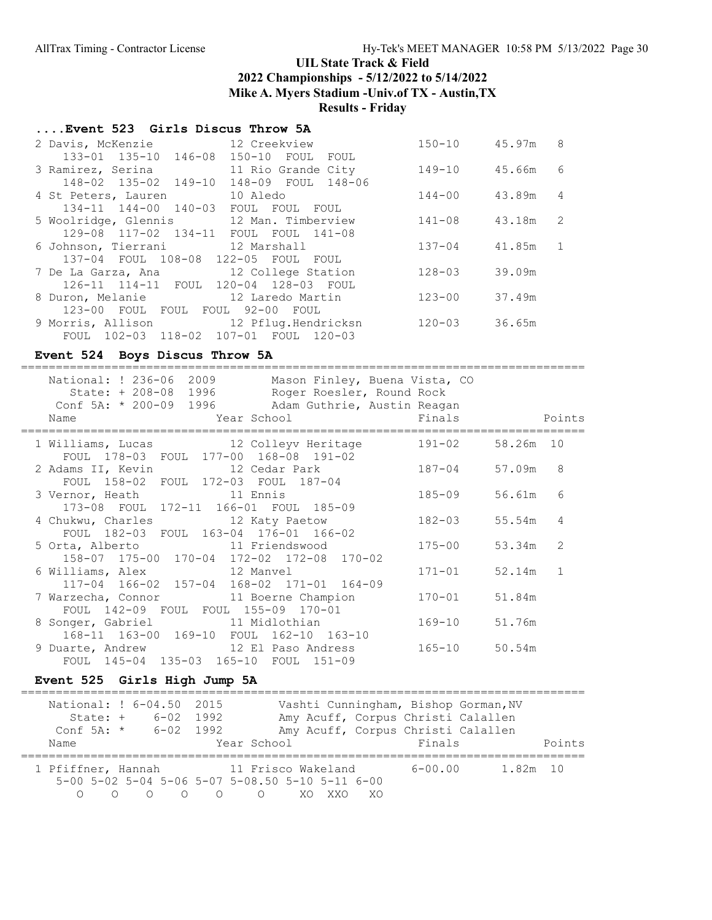Results - Friday

# ....Event 523 Girls Discus Throw 5A

| 2 Davis, McKenzie 12 Creekview          |                    | $150 - 10$ | 45.97m   | 8              |
|-----------------------------------------|--------------------|------------|----------|----------------|
| 133-01 135-10 146-08 150-10 FOUL FOUL   |                    |            |          |                |
| 3 Ramirez, Serina                       | 11 Rio Grande City | 149-10     | 45.66m   | - 6            |
| 148-02 135-02 149-10                    | 148-09 FOUL 148-06 |            |          |                |
| 4 St Peters, Lauren                     | 10 Aledo           | 144-00     | 43.89m   | $\overline{4}$ |
| 134-11 144-00 140-03 FOUL FOUL FOUL     |                    |            |          |                |
| 5 Woolridge, Glennis 12 Man. Timberview |                    | 141-08     | 43.18m   | $\overline{2}$ |
| 129-08 117-02 134-11 FOUL FOUL 141-08   |                    |            |          |                |
| 6 Johnson, Tierrani 12 Marshall         |                    | $137 - 04$ | 41.85m 1 |                |
| 137-04 FOUL 108-08 122-05 FOUL FOUL     |                    |            |          |                |
| 7 De La Garza, Ana 12 College Station   |                    | $128 - 03$ | 39.09m   |                |
| 126-11 114-11 FOUL 120-04 128-03 FOUL   |                    |            |          |                |
| 8 Duron, Melanie 12 Laredo Martin       |                    | $123 - 00$ | 37.49m   |                |
| 123-00 FOUL FOUL FOUL 92-00 FOUL        |                    |            |          |                |
| 9 Morris, Allison 12 Pflug. Hendricksn  |                    | $120 - 03$ | 36.65m   |                |
| FOUL 102-03 118-02 107-01 FOUL          | $120 - 03$         |            |          |                |

# Event 524 Boys Discus Throw 5A

| National: ! 236-06 2009<br>Mason Finley, Buena Vista, CO<br>State: + 208-08 1996 Roger Roesler, Round Rock<br>Conf 5A: * 200-09 1996 Adam Guthrie, Austin Reagan<br>Year School<br>Name | Finals     |           | Points        |
|-----------------------------------------------------------------------------------------------------------------------------------------------------------------------------------------|------------|-----------|---------------|
| 1 Williams, Lucas 12 Colleyv Heritage                                                                                                                                                   | 191-02     | 58.26m 10 |               |
| FOUL 178-03 FOUL 177-00 168-08 191-02<br>2 Adams II, Kevin 12 Cedar Park                                                                                                                | 187-04     | 57.09m    | 8             |
| FOUL 158-02 FOUL 172-03 FOUL 187-04<br>3 Vernor, Heath 11 Ennis<br>173-08 FOUL 172-11 166-01 FOUL 185-09                                                                                | 185-09     | 56.61m    | 6             |
| 4 Chukwu, Charles 12 Katy Paetow<br>FOUL 182-03 FOUL 163-04 176-01 166-02                                                                                                               | 182-03     | 55.54m    | 4             |
| 5 Orta, Alberto 11 Friendswood<br>158-07 175-00 170-04 172-02 172-08 170-02                                                                                                             | $175 - 00$ | 53.34m    | $\mathcal{L}$ |
| 6 Williams, Alex 12 Manvel<br>117-04 166-02 157-04 168-02 171-01 164-09                                                                                                                 | $171 - 01$ | 52.14m    | $\mathbf{1}$  |
| 7 Warzecha, Connor 11 Boerne Champion<br>FOUL 142-09 FOUL FOUL 155-09 170-01                                                                                                            | $170 - 01$ | 51.84m    |               |
| 8 Songer, Gabriel 11 Midlothian<br>168-11 163-00 169-10 FOUL 162-10 163-10                                                                                                              | 169-10     | 51.76m    |               |
| 9 Duarte, Andrew 12 El Paso Andress<br>FOUL 145-04 135-03 165-10 FOUL<br>$151 - 09$                                                                                                     | 165-10     | 50.54m    |               |

## Event 525 Girls High Jump 5A

|                    | National: ! 6-04.50 2015   |                                                                       | Vashti Cunningham, Bishop Gorman, NV |          |
|--------------------|----------------------------|-----------------------------------------------------------------------|--------------------------------------|----------|
|                    | State: + 6-02 1992         |                                                                       | Amy Acuff, Corpus Christi Calallen   |          |
|                    | Conf 5A: $\star$ 6-02 1992 |                                                                       | Amy Acuff, Corpus Christi Calallen   |          |
| Name               |                            | Year School                                                           | Finals                               | Points   |
|                    |                            |                                                                       |                                      |          |
| 1 Pfiffner, Hannah |                            | 11 Frisco Wakeland                                                    | $6 - 00.00$                          | 1.82m 10 |
|                    |                            | $5-00$ $5-02$ $5-04$ $5-06$ $5-07$ $5-08$ , $50$ $5-10$ $5-11$ $6-00$ |                                      |          |
|                    | $\cap$<br>$\bigcap$        | $\bigcap$<br>$\circ$ xo                                               | XX V<br>-XO                          |          |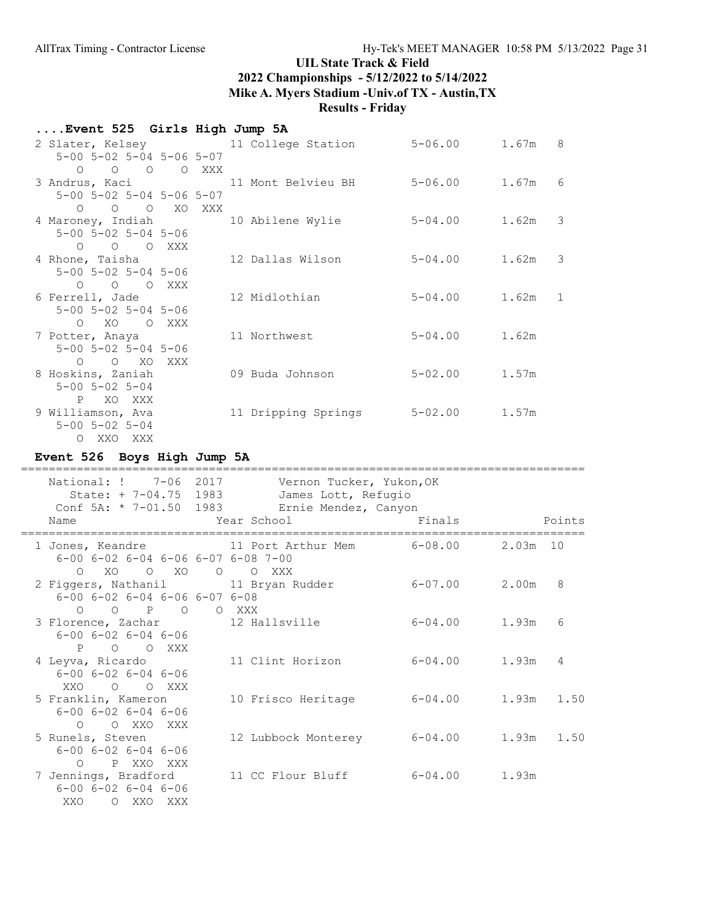| Event 525  Girls High Jump 5A                   |                                                     |                     |  |
|-------------------------------------------------|-----------------------------------------------------|---------------------|--|
|                                                 | 2 Slater, Kelsey 11 College Station 5-06.00 1.67m 8 |                     |  |
| $5 - 00$ $5 - 02$ $5 - 04$ $5 - 06$ $5 - 07$    |                                                     |                     |  |
| $O$ $O$ $O$ $O$ $XXX$                           |                                                     |                     |  |
|                                                 | 3 Andrus, Kaci 11 Mont Belvieu BH 5-06.00 1.67m 6   |                     |  |
| $5 - 00$ $5 - 02$ $5 - 04$ $5 - 06$ $5 - 07$    |                                                     |                     |  |
| O O O XO XXX                                    |                                                     |                     |  |
| 4 Maroney, Indiah 10 Abilene Wylie              |                                                     | $5 - 04.00$ 1.62m 3 |  |
| $5 - 00$ $5 - 02$ $5 - 04$ $5 - 06$             |                                                     |                     |  |
| O O O XXX                                       |                                                     |                     |  |
| 4 Rhone, Taisha                                 | 12 Dallas Wilson                                    | $5 - 04.00$ 1.62m 3 |  |
| $5 - 00$ $5 - 02$ $5 - 04$ $5 - 06$             |                                                     |                     |  |
| O O O XXX                                       |                                                     |                     |  |
| 6 Ferrell, Jade                                 | 12 Midlothian                                       | $5-04.00$ 1.62m 1   |  |
| $5 - 00$ $5 - 02$ $5 - 04$ $5 - 06$             |                                                     |                     |  |
| O XO O XXX                                      |                                                     |                     |  |
| 7 Potter, Anaya                                 | 11 Northwest                                        | $5 - 04.00$ 1.62m   |  |
| $5 - 00$ $5 - 02$ $5 - 04$ $5 - 06$             |                                                     |                     |  |
| O O XO XXX                                      |                                                     |                     |  |
| 8 Hoskins, Zaniah<br>$5 - 00$ $5 - 02$ $5 - 04$ | 09 Buda Johnson                                     | $5 - 02.00$ 1.57m   |  |
|                                                 |                                                     |                     |  |
| P XO XXX                                        |                                                     |                     |  |
| 9 Williamson, Ava                               | 11 Dripping Springs 5-02.00 1.57m                   |                     |  |
| $5 - 00$ $5 - 02$ $5 - 04$                      |                                                     |                     |  |

# Event 526 Boys High Jump 5A

O XXO XXX

| National: ! 7-06 2017<br>State: + 7-04.75 1983                                                                                                         |       | Vernon Tucker, Yukon, OK<br>James Lott, Refugio<br>Conf 5A: * 7-01.50 1983 Ernie Mendez, Canyon |                   |                |   |
|--------------------------------------------------------------------------------------------------------------------------------------------------------|-------|-------------------------------------------------------------------------------------------------|-------------------|----------------|---|
| Name                                                                                                                                                   |       | Year School                                                                                     | Finals            | Points         |   |
| 1 Jones, Keandre                 11 Port Arthur Mem           6-08.00<br>$6 - 00$ $6 - 02$ $6 - 04$ $6 - 06$ $6 - 07$ $6 - 08$ $7 - 00$<br>O XO O XO O |       | O XXX                                                                                           |                   | $2.03m$ 10     |   |
| 2 Figgers, Nathanil 11 Bryan Rudder<br>$6 - 00$ $6 - 02$ $6 - 04$ $6 - 06$ $6 - 07$ $6 - 08$<br>$O$ $O$ $P$ $O$                                        | O XXX |                                                                                                 | $6 - 07.00$ 2.00m |                | 8 |
| 3 Florence, Zachar 12 Hallsville<br>$6 - 00$ $6 - 02$ $6 - 04$ $6 - 06$<br>P O O XXX                                                                   |       |                                                                                                 | 6-04.00 1.93m     |                | 6 |
| 4 Leyva, Ricardo<br>$6 - 00$ $6 - 02$ $6 - 04$ $6 - 06$<br>XXO O O XXX                                                                                 |       | 11 Clint Horizon                                                                                | 6-04.00 1.93m     |                | 4 |
| 5 Franklin, Kameron<br>$6 - 00$ $6 - 02$ $6 - 04$ $6 - 06$<br>O OXXOXXX                                                                                |       | 10 Frisco Heritage                                                                              | $6 - 04.00$       | $1.93m$ $1.50$ |   |
| 5 Runels, Steven<br>$6 - 00$ $6 - 02$ $6 - 04$ $6 - 06$<br>P XXO XXX<br>$\cap$                                                                         |       | 12 Lubbock Monterey                                                                             | $6 - 04.00$       | $1.93m$ $1.50$ |   |
| 7 Jennings, Bradford<br>$6 - 00$ $6 - 02$ $6 - 04$ $6 - 06$<br>XXO<br>O XXO XXX                                                                        |       | 11 CC Flour Bluff                                                                               | 6-04.00           | 1.93m          |   |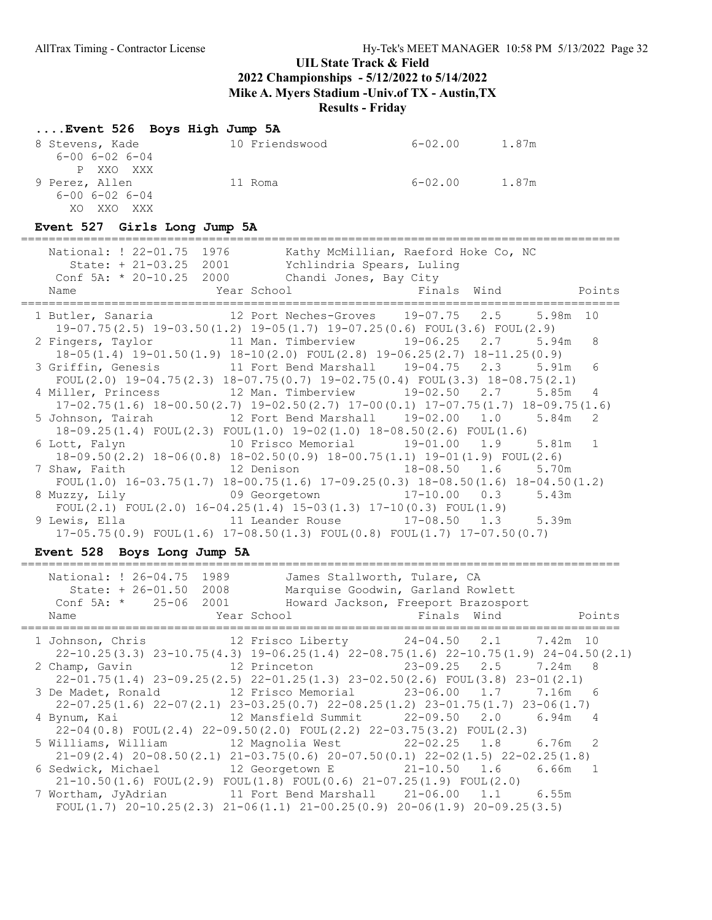# ....Event 526 Boys High Jump 5A

| 8 Stevens, Kade<br>$6 - 00$ $6 - 02$ $6 - 04$ | 10 Friendswood | 6-02.00 | 1.87m |
|-----------------------------------------------|----------------|---------|-------|
| P XXO XXX                                     |                |         |       |
| 9 Perez, Allen                                | 11 Roma        | 6-02.00 | 1.87m |
| $6 - 00$ $6 - 02$ $6 - 04$                    |                |         |       |
| XXO.<br>XXX X<br>XΟ                           |                |         |       |

# Event 527 Girls Long Jump 5A

| National: ! 22-01.75 1976<br>Kathy McMillian, Raeford Hoke Co, NC<br>State: + 21-03.25 2001 Ychlindria Spears, Luling<br>Conf $5A: * 20-10.25$ 2000 Chandi Jones, Bay City<br>Name                                                     |                 |
|----------------------------------------------------------------------------------------------------------------------------------------------------------------------------------------------------------------------------------------|-----------------|
| 1 Butler, Sanaria 12 Port Neches-Groves 19-07.75 2.5 5.98m 10                                                                                                                                                                          |                 |
| $19-07.75(2.5)$ $19-03.50(1.2)$ $19-05(1.7)$ $19-07.25(0.6)$ FOUL(3.6) FOUL(2.9)<br>2 Fingers, Taylor 11 Man. Timberview 19-06.25 2.7 5.94m 8<br>$18-05(1.4)$ $19-01.50(1.9)$ $18-10(2.0)$ $FOUT(2.8)$ $19-06.25(2.7)$ $18-11.25(0.9)$ |                 |
| 3 Griffin, Genesis 3 11 Fort Bend Marshall 19-04.75 2.3 5.91m<br>FOUL(2.0) $19-04.75(2.3)$ $18-07.75(0.7)$ $19-02.75(0.4)$ FOUL(3.3) $18-08.75(2.1)$                                                                                   | $6\overline{6}$ |
| 4 Miller, Princess 32 Man. Timberview 39-02.50 2.7 5.85m<br>$17-02.75(1.6)$ $18-00.50(2.7)$ $19-02.50(2.7)$ $17-00(0.1)$ $17-07.75(1.7)$ $18-09.75(1.6)$                                                                               | 4               |
| 5 Johnson, Tairah 12 Fort Bend Marshall 19-02.00 1.0 5.84m<br>$18-09.25(1.4)$ FOUL $(2.3)$ FOUL $(1.0)$ $19-02(1.0)$ $18-08.50(2.6)$ FOUL $(1.6)$                                                                                      | 2               |
| 10 Frisco Memorial 19-01.00 1.9 5.81m 1<br>6 Lott, Falyn<br>$18-09.50(2.2)$ $18-06(0.8)$ $18-02.50(0.9)$ $18-00.75(1.1)$ $19-01(1.9)$ FOUL(2.6)                                                                                        |                 |
| 12 Denison 18-08.50 1.6 5.70m<br>7 Shaw, Faith<br>FOUL(1.0) $16-03.75(1.7)$ $18-00.75(1.6)$ $17-09.25(0.3)$ $18-08.50(1.6)$ $18-04.50(1.2)$                                                                                            |                 |
| 8 Muzzy, Lily 69 Georgetown 17-10.00 0.3<br>5.43m<br>FOUL(2.1) FOUL(2.0) $16-04.25(1.4)$ $15-03(1.3)$ $17-10(0.3)$ FOUL(1.9)                                                                                                           |                 |
| $17-05.75(0.9)$ FOUL $(1.6)$ 17-08.50 $(1.3)$ FOUL $(0.8)$ FOUL $(1.7)$ 17-07.50 $(0.7)$                                                                                                                                               |                 |

# Event 528 Boys Long Jump 5A

| National: ! 26-04.75 1989<br>State: + 26-01.50 2008<br>Name | James Stallworth, Tulare, CA<br>Marquise Goodwin, Garland Rowlett<br>Conf 5A: * 25-06 2001 Howard Jackson, Freeport Brazosport<br>Year School Tinals Wind<br>Points |
|-------------------------------------------------------------|---------------------------------------------------------------------------------------------------------------------------------------------------------------------|
|                                                             | 1 Johnson, Chris             12 Frisco Liberty         24-04.50   2.1     7.42m 10                                                                                  |
|                                                             | $22-10.25(3.3)$ $23-10.75(4.3)$ $19-06.25(1.4)$ $22-08.75(1.6)$ $22-10.75(1.9)$ $24-04.50(2.1)$                                                                     |
|                                                             | 2 Champ, Gavin 12 Princeton 23-09.25 2.5 7.24m 8                                                                                                                    |
|                                                             | $22-01.75(1.4)$ $23-09.25(2.5)$ $22-01.25(1.3)$ $23-02.50(2.6)$ FOUL(3.8) $23-01(2.1)$                                                                              |
|                                                             | 3 De Madet, Ronald 12 Frisco Memorial 23-06.00 1.7 7.16m 6                                                                                                          |
|                                                             | $22-07.25(1.6)$ $22-07(2.1)$ $23-03.25(0.7)$ $22-08.25(1.2)$ $23-01.75(1.7)$ $23-06(1.7)$                                                                           |
|                                                             | 4 Bynum, Kai               12 Mansfield Summit       22-09.50     2.0     6.94m     4                                                                               |
|                                                             | $22-04(0.8)$ FOUL $(2.4)$ $22-09.50(2.0)$ FOUL $(2.2)$ $22-03.75(3.2)$ FOUL $(2.3)$                                                                                 |
|                                                             |                                                                                                                                                                     |
|                                                             | $21-09(2.4)$ $20-08.50(2.1)$ $21-03.75(0.6)$ $20-07.50(0.1)$ $22-02(1.5)$ $22-02.25(1.8)$                                                                           |
|                                                             | 6 Sedwick, Michael 12 Georgetown E 21-10.50 1.6 6.66m 1                                                                                                             |
|                                                             | $21-10.50(1.6)$ FOUL $(2.9)$ FOUL $(1.8)$ FOUL $(0.6)$ $21-07.25(1.9)$ FOUL $(2.0)$                                                                                 |
|                                                             | 7 Wortham, JyAdrian 11 Fort Bend Marshall 21-06.00 1.1 6.55m                                                                                                        |
|                                                             | FOUL $(1.7)$ 20-10.25 $(2.3)$ 21-06 $(1.1)$ 21-00.25 $(0.9)$ 20-06 $(1.9)$ 20-09.25 $(3.5)$                                                                         |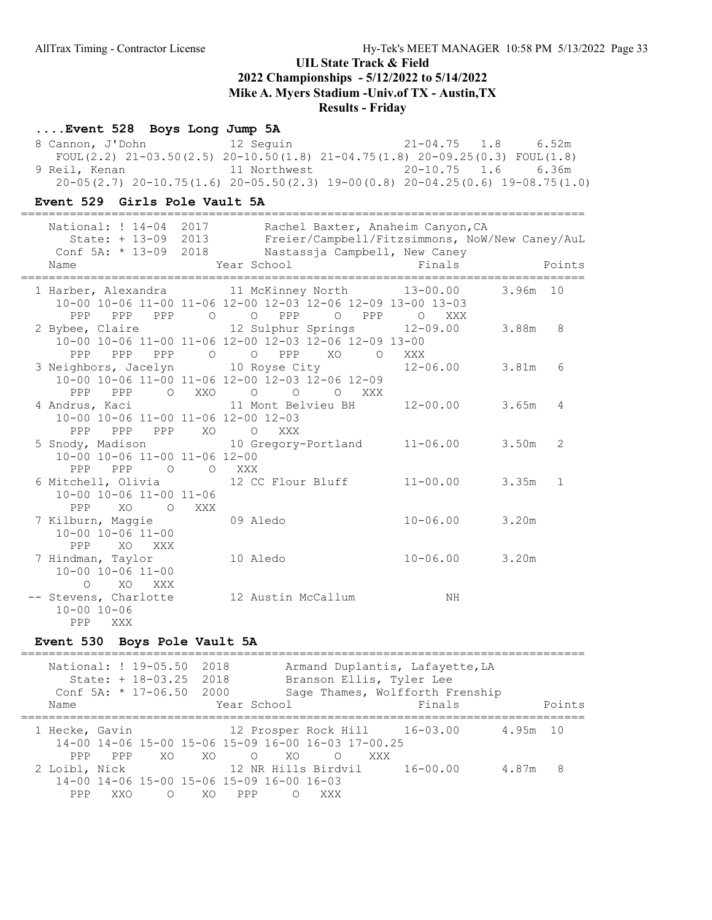#### ....Event 528 Boys Long Jump 5A

 8 Cannon, J'Dohn 12 Seguin 21-04.75 1.8 6.52m FOUL(2.2) 21-03.50(2.5) 20-10.50(1.8) 21-04.75(1.8) 20-09.25(0.3) FOUL(1.8) 9 Reil, Kenan 11 Northwest 20-10.75 1.6 6.36m 20-05(2.7) 20-10.75(1.6) 20-05.50(2.3) 19-00(0.8) 20-04.25(0.6) 19-08.75(1.0)

#### Event 529 Girls Pole Vault 5A

|  |                                                                              | ========= |                                                                                                                                                                   |                    |            |
|--|------------------------------------------------------------------------------|-----------|-------------------------------------------------------------------------------------------------------------------------------------------------------------------|--------------------|------------|
|  | State: + 13-09 2013                                                          |           | National: ! 14-04 2017 Rachel Baxter, Anaheim Canyon, CA<br>Freier/Campbell/Fitzsimmons, NoW/New Caney/AuL<br>Conf 5A: * 13-09 2018 Nastassja Campbell, New Caney |                    |            |
|  | Name                                                                         |           | Year School                                                                                                                                                       | Finals             | Points     |
|  | PPP PPP<br>PPP                                                               |           | 1 Harber, Alexandra 11 McKinney North 13-00.00<br>10-00 10-06 11-00 11-06 12-00 12-03 12-06 12-09 13-00 13-03<br>O O PPP<br>PPP<br>$\overline{O}$                 | O XXX              | 3.96m 10   |
|  | PPP PPP<br>PPP                                                               | $\circ$   | 2 Bybee, Claire               12 Sulphur Springs         12-09.00<br>10-00 10-06 11-00 11-06 12-00 12-03 12-06 12-09 13-00<br>O PPP<br>XO                         |                    | 3.88m<br>8 |
|  | PPP<br>PPP                                                                   |           | $\overline{O}$<br>3 Neighbors, Jacelyn 10 Royse City 12-06.00 3.81m<br>10-00 10-06 11-00 11-06 12-00 12-03 12-06 12-09<br>O XXO O O O XXX                         | XXX                | 6          |
|  | 4 Andrus, Kaci<br>10-00 10-06 11-00 11-06 12-00 12-03<br>PPP PPP PPP XO OXXX |           | 11 Mont Belvieu BH                                                                                                                                                | $12 - 00.00$ 3.65m | 4          |
|  | 10-00 10-06 11-00 11-06 12-00<br>PPP PPP 0 0 XXX                             |           |                                                                                                                                                                   |                    | 2          |
|  | 6 Mitchell, Olivia<br>10-00 10-06 11-00 11-06<br>PPP<br>XO                   | O XXX     |                                                                                                                                                                   |                    | 1          |
|  | 7 Kilburn, Maggie 69 Aledo<br>$10 - 00$ $10 - 06$ $11 - 00$<br>PPP<br>XO XXX |           |                                                                                                                                                                   | $10 - 06.00$ 3.20m |            |
|  | 7 Hindman, Taylor<br>$10 - 00$ $10 - 06$ $11 - 00$<br>$\circ$<br>XO<br>XXX   |           | 10 Aledo                                                                                                                                                          | $10 - 06.00$ 3.20m |            |
|  | $10 - 00$ $10 - 06$<br>PPP XXX                                               |           | -- Stevens, Charlotte 12 Austin McCallum                                                                                                                          | ΝH                 |            |

#### Event 530 Boys Pole Vault 5A

================================================================================= National: ! 19-05.50 2018 Armand Duplantis, Lafayette, LA State: + 18-03.25 2018 Branson Ellis, Tyler Lee Conf 5A: \* 17-06.50 2000 Sage Thames, Wolfforth Frenship Name **School Finals** Points ================================================================================= 1 Hecke, Gavin 12 Prosper Rock Hill 16-03.00 4.95m 10 14-00 14-06 15-00 15-06 15-09 16-00 16-03 17-00.25 PPP PPP XO XO O XO O XXX<br>2 Loibl, Nick 12 NR Hills Birdvil 12 NR Hills Birdvil 16-00.00 4.87m 8 14-00 14-06 15-00 15-06 15-09 16-00 16-03 PPP XXO O XO PPP O XXX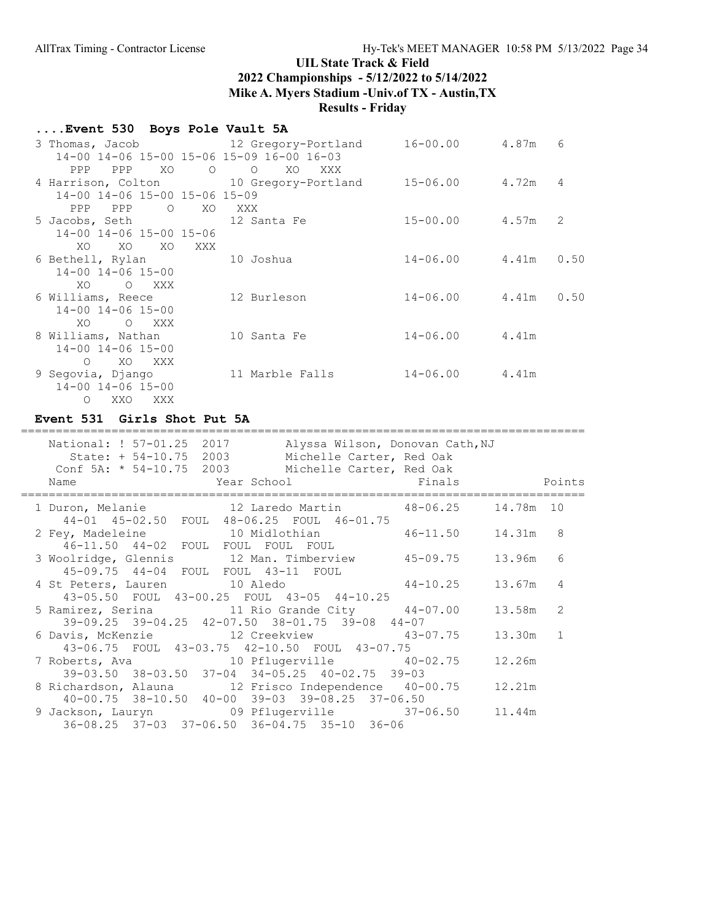# ....Event 530 Boys Pole Vault 5A

| 3 Thomas, Jacob 12 Gregory-Portland                   |                       | $16 - 00.00$       | 4.87m<br>6                |
|-------------------------------------------------------|-----------------------|--------------------|---------------------------|
| 14-00 14-06 15-00 15-06 15-09 16-00 16-03             |                       |                    |                           |
| PPP<br>XO O<br>PPP                                    | $\circ$<br>XO.<br>XXX |                    |                           |
| 4 Harrison, Colton 10 Gregory-Portland 15-06.00 4.72m |                       |                    | 4                         |
| 14-00 14-06 15-00 15-06 15-09                         |                       |                    |                           |
| PPP<br>$\overline{O}$<br>XO.<br>PPP                   | XXX X                 |                    |                           |
| 5 Jacobs, Seth 12 Santa Fe                            |                       | $15 - 00.00$ 4.57m | $\mathcal{L}$             |
| 14-00 14-06 15-00 15-06                               |                       |                    |                           |
| XO<br>XO<br>XO<br>XXX                                 |                       |                    |                           |
| 6 Bethell, Rylan 10 Joshua                            |                       |                    | $14 - 06.00$ $4.41m$ 0.50 |
| 14-00 14-06 15-00                                     |                       |                    |                           |
| XO.<br>O XXX                                          |                       |                    |                           |
| 6 Williams, Reece                                     | 12 Burleson           |                    | $14 - 06.00$ $4.41m$ 0.50 |
| $14 - 00$ $14 - 06$ $15 - 00$                         |                       |                    |                           |
| O XXX<br>XO.                                          |                       |                    |                           |
| 8 Williams, Nathan                                    | 10 Santa Fe           | $14 - 06.00$ 4.41m |                           |
| 14-00 14-06 15-00                                     |                       |                    |                           |
| XO XXX<br>$\circ$                                     |                       |                    |                           |
| 9 Segovia, Django                                     | 11 Marble Falls       | $14 - 06.00$ 4.41m |                           |
| 14-00 14-06 15-00                                     |                       |                    |                           |
| XXO<br>XXX<br>$\circ$                                 |                       |                    |                           |

### Event 531 Girls Shot Put 5A

| National: ! 57-01.25 2017<br>Alyssa Wilson, Donovan Cath, NJ<br>State: + 54-10.75 2003 Michelle Carter, Red Oak<br>Conf 5A: * 54-10.75 2003 Michelle Carter, Red Oak<br><b>Example 2</b> Year School <b>Example 2 Secure 2 Year School</b><br>Name |          |                |
|----------------------------------------------------------------------------------------------------------------------------------------------------------------------------------------------------------------------------------------------------|----------|----------------|
| 1 Duron, Melanie 12 Laredo Martin 48-06.25 14.78m 10                                                                                                                                                                                               |          |                |
| 44-01 45-02.50 FOUL 48-06.25 FOUL 46-01.75<br>2 Fey, Madeleine 10 Midlothian 46-11.50 14.31m 8<br>46-11.50 44-02 FOUL FOUL FOUL FOUL                                                                                                               |          |                |
| 3 Woolridge, Glennis 12 Man. Timberview 45-09.75 13.96m<br>45-09.75 44-04 FOUL FOUL 43-11 FOUL                                                                                                                                                     |          | 6              |
| $44 - 10.25$ 13.67m<br>4 St Peters, Lauren 10 Aledo<br>43-05.50 FOUL 43-00.25 FOUL 43-05 44-10.25                                                                                                                                                  |          | $\overline{4}$ |
| 5 Ramirez, Serina 11 Rio Grande City 44-07.00 13.58m 2<br>39-09.25 39-04.25 42-07.50 38-01.75 39-08 44-07                                                                                                                                          |          |                |
| 43-06.75 FOUL 43-03.75 42-10.50 FOUL 43-07.75                                                                                                                                                                                                      | 13.30m 1 |                |
| $39-03.50$ $38-03.50$ $37-04$ $34-05.25$ $40-02.75$ $39-03$                                                                                                                                                                                        |          |                |
| 8 Richardson, Alauna 12 Frisco Independence 40-00.75 12.21m<br>40-00.75 38-10.50 40-00 39-03 39-08.25 37-06.50                                                                                                                                     |          |                |
| 9 Jackson, Lauryn 69 Pflugerville 37-06.50 11.44m<br>36-08.25 37-03 37-06.50 36-04.75 35-10 36-06                                                                                                                                                  |          |                |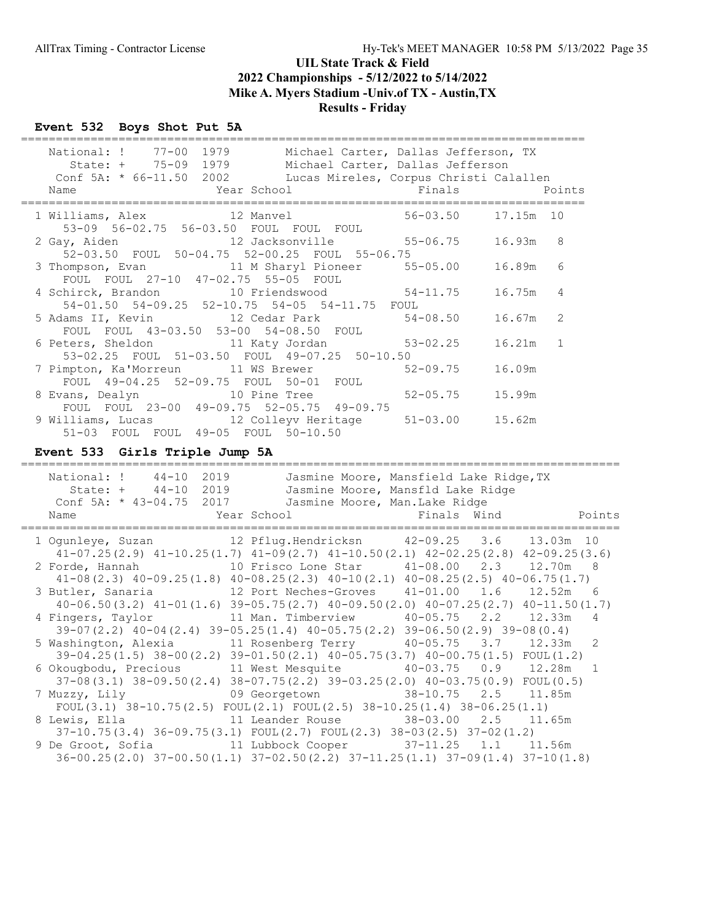## Event 532 Boys Shot Put 5A

| National: ! 77-00 1979 Michael Carter, Dallas Jefferson, TX<br>State: + 75-09 1979 Michael Carter, Dallas Jefferson<br>Conf 5A: * 66-11.50 2002 Lucas Mireles, Corpus Christi Calallen<br><b>Example 2</b> Year School School Finals<br>Name |                     |            | Points |
|----------------------------------------------------------------------------------------------------------------------------------------------------------------------------------------------------------------------------------------------|---------------------|------------|--------|
| 1 Williams, Alex 12 Manvel                                                                                                                                                                                                                   | 56-03.50            | 17.15m 10  |        |
| 53-09 56-02.75 56-03.50 FOUL FOUL FOUL<br>52-03.50 FOUL 50-04.75 52-00.25 FOUL 55-06.75                                                                                                                                                      |                     | 16.93m 8   |        |
| FOUL FOUL 27-10 47-02.75 55-05 FOUL                                                                                                                                                                                                          |                     | 16.89m     | - 6    |
| 4 Schirck, Brandon 10 Friendswood 54-11.75<br>54-01.50 54-09.25 52-10.75 54-05 54-11.75 FOUL                                                                                                                                                 |                     | $16.75m$ 4 |        |
| 5 Adams II, Kevin 12 Cedar Park 54-08.50<br>FOUL FOUL 43-03.50 53-00 54-08.50 FOUL                                                                                                                                                           |                     | $16.67m$ 2 |        |
| 6 Peters, Sheldon 11 Katy Jordan 53-02.25<br>53-02.25 FOUL 51-03.50 FOUL 49-07.25 50-10.50                                                                                                                                                   |                     | 16.21m 1   |        |
| 7 Pimpton, Ka'Morreun 11 WS Brewer<br>FOUL 49-04.25 52-09.75 FOUL 50-01 FOUL                                                                                                                                                                 | 52-09.75            | 16.09m     |        |
| 8 Evans, Dealyn 10 Pine Tree<br>FOUL FOUL 23-00 49-09.75 52-05.75 49-09.75                                                                                                                                                                   | 52-05.75            | 15.99m     |        |
| 9 Williams, Lucas 12 Colleyv Heritage<br>51-03 FOUL FOUL 49-05 FOUL 50-10.50                                                                                                                                                                 | $51 - 03.00$ 15.62m |            |        |

## Event 533 Girls Triple Jump 5A

| National: !<br>$44 - 10$                                                                     | 2019 |                                | Jasmine Moore, Mansfield Lake Ridge, TX |                       |
|----------------------------------------------------------------------------------------------|------|--------------------------------|-----------------------------------------|-----------------------|
| State: + 44-10 2019                                                                          |      |                                | Jasmine Moore, Mansfld Lake Ridge       |                       |
| Conf 5A: * 43-04.75 2017                                                                     |      | Jasmine Moore, Man.Lake Ridge  |                                         |                       |
| Name                                                                                         |      | Year School is the Finals Wind |                                         | Points                |
| 1 Ogunleye, Suzan 12 Pflug. Hendricksn 42-09.25 3.6 13.03m 10                                |      |                                |                                         |                       |
| $41-07.25(2.9)$ $41-10.25(1.7)$ $41-09(2.7)$ $41-10.50(2.1)$ $42-02.25(2.8)$ $42-09.25(3.6)$ |      |                                |                                         |                       |
| 2 Forde, Hannah 10 Frisco Lone Star 41-08.00 2.3 12.70m                                      |      |                                |                                         | -8                    |
| $41-08(2.3)$ $40-09.25(1.8)$ $40-08.25(2.3)$ $40-10(2.1)$ $40-08.25(2.5)$ $40-06.75(1.7)$    |      |                                |                                         |                       |
| 3 Butler, Sanaria 12 Port Neches-Groves 41-01.00                                             |      |                                |                                         | $1.6$ $12.52m$<br>- 6 |
| $40-06.50(3.2)$ $41-01(1.6)$ $39-05.75(2.7)$ $40-09.50(2.0)$ $40-07.25(2.7)$ $40-11.50(1.7)$ |      |                                |                                         |                       |
| 4 Fingers, Taylor 11 Man. Timberview 40-05.75 2.2 12.33m                                     |      |                                |                                         | $\overline{4}$        |
| $39-07(2.2)$ $40-04(2.4)$ $39-05.25(1.4)$ $40-05.75(2.2)$ $39-06.50(2.9)$ $39-08(0.4)$       |      |                                |                                         |                       |
| 5 Washington, Alexia 11 Rosenberg Terry 40-05.75 3.7 12.33m                                  |      |                                |                                         | -2                    |
| $39-04.25(1.5)$ $38-00(2.2)$ $39-01.50(2.1)$ $40-05.75(3.7)$ $40-00.75(1.5)$ FOUL $(1.2)$    |      |                                |                                         |                       |
| 6 Okougbodu, Precious 11 West Mesquite 40-03.75 0.9 12.28m                                   |      |                                |                                         |                       |
| $37-08(3.1)$ $38-09.50(2.4)$ $38-07.75(2.2)$ $39-03.25(2.0)$ $40-03.75(0.9)$ FOUL $(0.5)$    |      |                                |                                         |                       |
| 7 Muzzy, Lily 69 Georgetown 38-10.75 2.5 11.85m                                              |      |                                |                                         |                       |
| FOUL $(3.1)$ $38-10.75(2.5)$ FOUL $(2.1)$ FOUL $(2.5)$ $38-10.25(1.4)$ $38-06.25(1.1)$       |      |                                |                                         |                       |
| 8 Lewis, Ella                 11 Leander Rouse           38-03.00     2.5     11.65m         |      |                                |                                         |                       |
| $37-10.75(3.4)$ $36-09.75(3.1)$ $FOUL(2.7)$ $FOUL(2.3)$ $38-03(2.5)$ $37-02(1.2)$            |      |                                |                                         |                       |
| 9 De Groot, Sofia 11 Lubbock Cooper 37-11.25                                                 |      |                                |                                         | 1.1 11.56m            |
| $36-00.25(2.0)$ $37-00.50(1.1)$ $37-02.50(2.2)$ $37-11.25(1.1)$ $37-09(1.4)$ $37-10(1.8)$    |      |                                |                                         |                       |
|                                                                                              |      |                                |                                         |                       |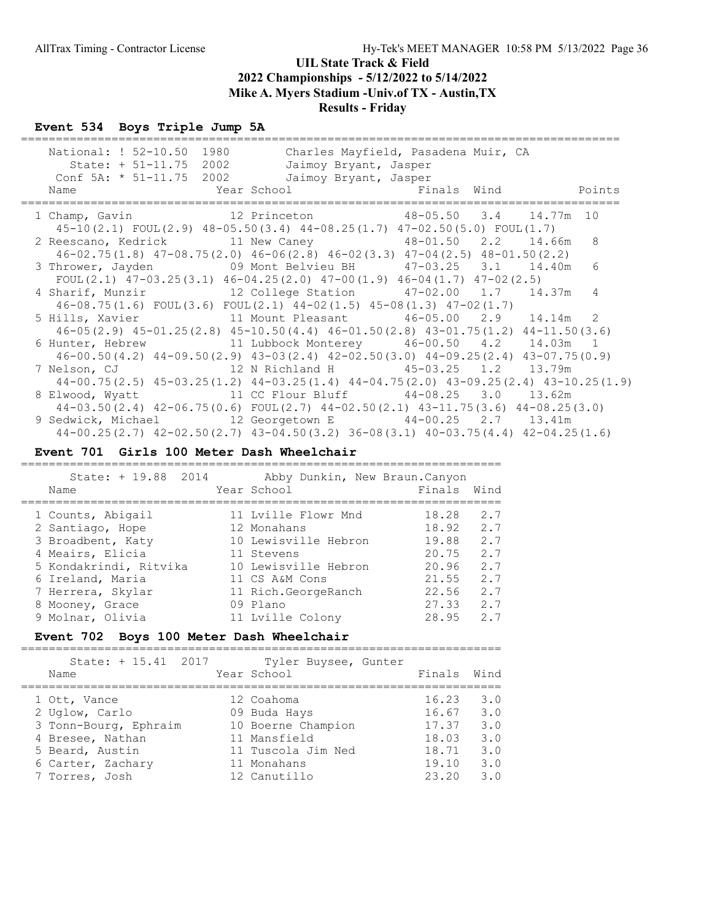#### Event 534 Boys Triple Jump 5A

| National: ! 52-10.50 1980<br>State: + 51-11.75 2002<br>Conf 5A: * 51-11.75 2002 Jaimoy Bryant, Jasper<br>Year School New Pinals Wind Points<br>Name                                                                                                    | Charles Mayfield, Pasadena Muir, CA<br>Jaimoy Bryant, Jasper |  |    |
|--------------------------------------------------------------------------------------------------------------------------------------------------------------------------------------------------------------------------------------------------------|--------------------------------------------------------------|--|----|
| 1 Champ, Gavin 12 Princeton 48-05.50 3.4 14.77m 10<br>$45-10(2.1)$ FOUL(2.9) $48-05.50(3.4)$ $44-08.25(1.7)$ $47-02.50(5.0)$ FOUL(1.7)                                                                                                                 |                                                              |  |    |
| 2 Reescano, Kedrick 11 New Caney 48-01.50 2.2 14.66m<br>$46-02.75(1.8)$ $47-08.75(2.0)$ $46-06(2.8)$ $46-02(3.3)$ $47-04(2.5)$ $48-01.50(2.2)$                                                                                                         |                                                              |  | -8 |
| 3 Thrower, Jayden 69 Mont Belvieu BH 47-03.25 3.1 14.40m<br>FOUL $(2.1)$ 47-03.25 $(3.1)$ 46-04.25 $(2.0)$ 47-00 $(1.9)$ 46-04 $(1.7)$ 47-02 $(2.5)$                                                                                                   |                                                              |  | 6  |
| 4 Sharif, Munzir 12 College Station 47-02.00 1.7 14.37m                                                                                                                                                                                                |                                                              |  | 4  |
| $46-08.75(1.6)$ FOUL $(3.6)$ FOUL $(2.1)$ $44-02(1.5)$ $45-08(1.3)$ $47-02(1.7)$<br>5 Hills, Xavier 11 Mount Pleasant 46-05.00 2.9 14.14m 2                                                                                                            |                                                              |  |    |
| $46-05(2.9)$ $45-01.25(2.8)$ $45-10.50(4.4)$ $46-01.50(2.8)$ $43-01.75(1.2)$ $44-11.50(3.6)$<br>6 Hunter, Hebrew 11 Lubbock Monterey 46-00.50 4.2 14.03m 1                                                                                             |                                                              |  |    |
| $46-00.50(4.2)$ $44-09.50(2.9)$ $43-03(2.4)$ $42-02.50(3.0)$ $44-09.25(2.4)$ $43-07.75(0.9)$<br>7 Nelson, CJ                 12 N Richland H           45-03.25   1.2     13.79m                                                                       |                                                              |  |    |
| $44-00.75(2.5)$ $45-03.25(1.2)$ $44-03.25(1.4)$ $44-04.75(2.0)$ $43-09.25(2.4)$ $43-10.25(1.9)$<br>8 Elwood, Wyatt 11 CC Flour Bluff 44-08.25 3.0 13.62m                                                                                               |                                                              |  |    |
| $44-03.50(2.4)$ $42-06.75(0.6)$ FOUL $(2.7)$ $44-02.50(2.1)$ $43-11.75(3.6)$ $44-08.25(3.0)$<br>9 Sedwick, Michael 12 Georgetown E 44-00.25 2.7 13.41m<br>$44-00.25(2.7)$ $42-02.50(2.7)$ $43-04.50(3.2)$ $36-08(3.1)$ $40-03.75(4.4)$ $42-04.25(1.6)$ |                                                              |  |    |

#### Event 701 Girls 100 Meter Dash Wheelchair

| State: + 19.88 2014<br>Name | Abby Dunkin, New Braun. Canyon<br>Year School | Finals<br>Wind |
|-----------------------------|-----------------------------------------------|----------------|
| 1 Counts, Abigail           | 11 Lyille Flowr Mnd                           | 2.7<br>18.28   |
| 2 Santiago, Hope            | 12 Monahans                                   | 18.92<br>2.7   |
| 3 Broadbent, Katy           | 10 Lewisville Hebron                          | 19.88<br>2.7   |
| 4 Meairs, Elicia            | 11 Stevens                                    | 20.75<br>2.7   |
| 5 Kondakrindi, Ritvika      | 10 Lewisville Hebron                          | 2.7<br>20.96   |
| 6 Ireland, Maria            | 11 CS A&M Cons                                | 2.7<br>21.55   |
| 7 Herrera, Skylar           | 11 Rich.GeorgeRanch                           | 2.7<br>22.56   |
| 8 Mooney, Grace             | 09 Plano                                      | 27.33<br>2.7   |
| 9 Molnar, Olivia            | 11 Lyille Colony                              | 28.95<br>2.7   |

### Event 702 Boys 100 Meter Dash Wheelchair

=====================================================================

| State: + 15.41 2017   | Tyler Buysee, Gunter |        |      |
|-----------------------|----------------------|--------|------|
| Name                  | Year School          | Finals | Wind |
| 1 Ott, Vance          | 12 Coahoma           | 16.23  | 3.0  |
| 2 Uglow, Carlo        | 09 Buda Hays         | 16.67  | 3.0  |
| 3 Tonn-Bourg, Ephraim | 10 Boerne Champion   | 17.37  | 3.0  |
| 4 Bresee, Nathan      | 11 Mansfield         | 18.03  | 3.0  |
| 5 Beard, Austin       | 11 Tuscola Jim Ned   | 18.71  | 3.0  |
| 6 Carter, Zachary     | 11 Monahans          | 19.10  | 3.0  |
| 7 Torres, Josh        | 12 Canutillo         | 23.20  | 3.0  |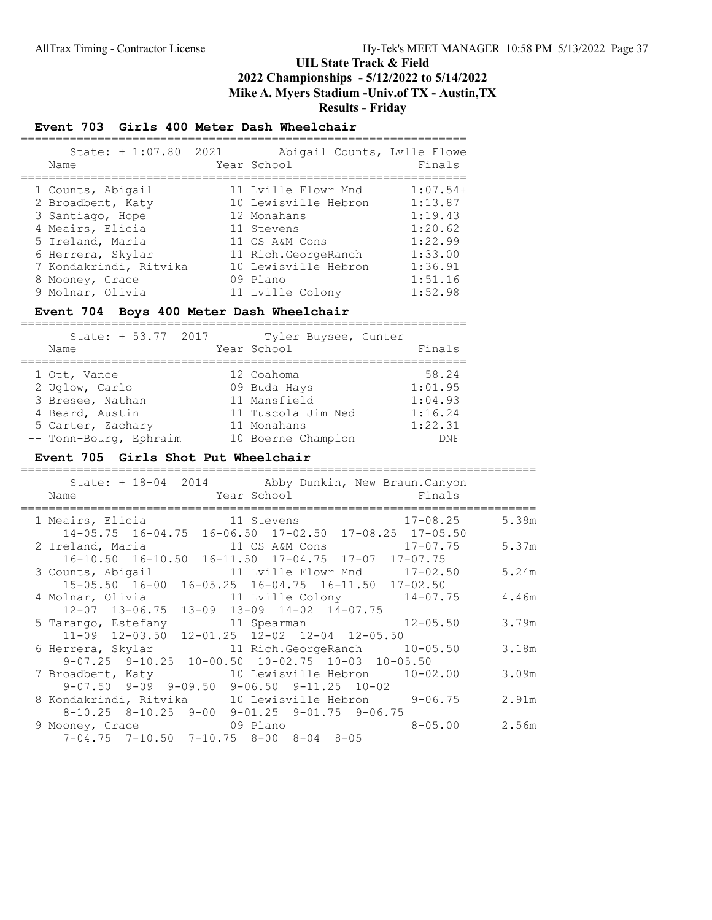# Results - Friday

## Event 703 Girls 400 Meter Dash Wheelchair

| State: + 1:07.80 2021<br>Name | Abigail Counts, Lylle Flowe<br>Year School | Finals     |
|-------------------------------|--------------------------------------------|------------|
| 1 Counts, Abigail             | 11 Lyille Flowr Mnd                        | $1:07.54+$ |
| 2 Broadbent, Katy             | 10 Lewisville Hebron                       | 1:13.87    |
| 3 Santiago, Hope              | 12 Monahans                                | 1:19.43    |
| 4 Meairs, Elicia              | 11 Stevens                                 | 1:20.62    |
| 5 Ireland, Maria              | 11 CS A&M Cons                             | 1:22.99    |
| 6 Herrera, Skylar             | 11 Rich.GeorgeRanch                        | 1:33.00    |
| 7 Kondakrindi, Ritvika        | 10 Lewisville Hebron                       | 1:36.91    |
| 8 Mooney, Grace               | 09 Plano                                   | 1:51.16    |
| 9 Molnar, Olivia              | 11 Lyille Colony                           | 1:52.98    |

#### Event 704 Boys 400 Meter Dash Wheelchair

| State: + 53.77 2017<br>Name | Tyler Buysee, Gunter<br>Year School | Finals     |
|-----------------------------|-------------------------------------|------------|
|                             |                                     |            |
|                             |                                     |            |
| 1 Ott, Vance                | 12 Coahoma                          | 58.24      |
| 2 Uglow, Carlo              | 09 Buda Hays                        | 1:01.95    |
| 3 Bresee, Nathan            | 11 Mansfield                        | 1:04.93    |
| 4 Beard, Austin             | 11 Tuscola Jim Ned                  | 1:16.24    |
| 5 Carter, Zachary           | 11 Monahans                         | 1:22.31    |
| -- Tonn-Bourg, Ephraim      | 10 Boerne Champion                  | <b>DNF</b> |

#### Event 705 Girls Shot Put Wheelchair

| State: + 18-04 2014 Abby Dunkin, New Braun.Canyon<br><b>Example 2</b> Year School <b>Example 2</b> School <b>Primals</b><br>Name |       |
|----------------------------------------------------------------------------------------------------------------------------------|-------|
| 1 Meairs, Elicia and 11 Stevens 17-08.25<br>14-05.75 16-04.75 16-06.50 17-02.50 17-08.25 17-05.50                                | 5.39m |
| 16-10.50  16-10.50  16-11.50  17-04.75  17-07  17-07.75                                                                          | 5.37m |
| 3 Counts, Abigail 11 Lville Flowr Mnd 17-02.50<br>15-05.50 16-00 16-05.25 16-04.75 16-11.50 17-02.50                             | 5.24m |
| $12-07$ $13-06.75$ $13-09$ $13-09$ $14-02$ $14-07.75$                                                                            | 4.46m |
| 5 Tarango, Estefany 11 Spearman 12-05.50<br>11-09 12-03.50 12-01.25 12-02 12-04 12-05.50                                         | 3.79m |
| 6 Herrera, Skylar 11 Rich.GeorgeRanch 10-05.50<br>$9-07.25$ $9-10.25$ $10-00.50$ $10-02.75$ $10-03$ $10-05.50$                   | 3.18m |
| 7 Broadbent, Katy 10 Lewisville Hebron 10-02.00<br>$9-07.50$ $9-09$ $9-09.50$ $9-06.50$ $9-11.25$ $10-02$                        | 3.09m |
| 8 Kondakrindi, Ritvika 10 Lewisville Hebron 9-06.75<br>$8-10.25$ $8-10.25$ $9-00$ $9-01.25$ $9-01.75$ $9-06.75$                  | 2.91m |
| 9 Mooney, Grace 69 Plano<br>$8 - 05.00$<br>$7-04.75$ $7-10.50$ $7-10.75$ $8-00$ $8-04$ $8-05$                                    | 2.56m |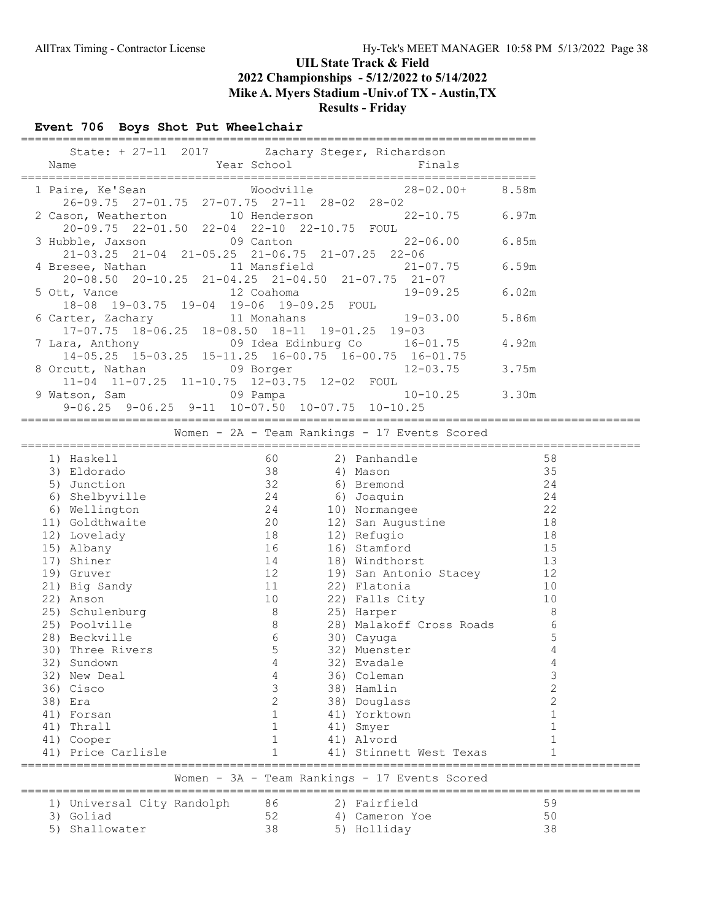# Results - Friday

### Event 706 Boys Shot Put Wheelchair

| Name | State: + 27-11 2017 Zachary Steger, Richardson<br><b>Example 2018</b> Year School                                    | Finals               |       |
|------|----------------------------------------------------------------------------------------------------------------------|----------------------|-------|
|      | Woodville<br>1 Paire, Ke'Sean<br>$26-09.75$ $27-01.75$ $27-07.75$ $27-11$ $28-02$ $28-02$                            | $28 - 02.00 + 8.58m$ |       |
|      | 2 Cason, Weatherton 10 Henderson 22-10.75 6.97m<br>20-09.75 22-01.50 22-04 22-10 22-10.75 FOUL                       |                      |       |
|      | $22 - 06.00$<br>3 Hubble, Jaxson 09 Canton<br>$21-03.25$ $21-04$ $21-05.25$ $21-06.75$ $21-07.25$ $22-06$            |                      | 6.85m |
|      | 4 Bresee, Nathan 11 Mansfield 21-07.75<br>$20-08.50$ $20-10.25$ $21-04.25$ $21-04.50$ $21-07.75$ $21-07$             |                      | 6.59m |
|      | 12 Coahoma<br>5 Ott, Vance<br>18-08 19-03.75 19-04 19-06 19-09.25 FOUL                                               | 19-09.25             | 6.02m |
|      | 6 Carter, Zachary 11 Monahans 19-03.00<br>$17-07.75$ $18-06.25$ $18-08.50$ $18-11$ $19-01.25$ $19-03$                |                      | 5.86m |
|      | 09 Idea Edinburg Co 16-01.75<br>7 Lara, Anthony<br>$14-05.25$ $15-03.25$ $15-11.25$ $16-00.75$ $16-00.75$ $16-01.75$ |                      | 4.92m |
|      | 8 Orcutt, Nathan 09 Borger<br>11-04 11-07.25 11-10.75 12-03.75 12-02 FOUL                                            | 12-03.75             | 3.75m |
|      | $9-06.25$ $9-06.25$ $9-11$ $10-07.50$ $10-07.75$ $10-10.25$                                                          |                      | 3.30m |

#### ========================================================================================= Women - 2A - Team Rankings - 17 Events Scored

|     | 1) Haskell                 | 60             | 2) Panhandle                                  | 58             |
|-----|----------------------------|----------------|-----------------------------------------------|----------------|
| 3)  | Eldorado                   | 38             | 4) Mason                                      | 35             |
| 5)  | Junction                   | 32             | 6) Bremond                                    | 24             |
| 6)  | Shelbyville                | 24             | 6) Joaquin                                    | 24             |
| 6)  | Wellington                 | 24             | 10) Normangee                                 | 22             |
| 11) | Goldthwaite                | 20             | 12) San Augustine                             | 18             |
| 12) | Lovelady                   | 18             | 12) Refugio                                   | 18             |
| 15) | Albany                     | 16             | 16) Stamford                                  | 15             |
| 17) | Shiner                     | 14             | 18) Windthorst                                | 13             |
|     | 19) Gruver                 | 12             | 19) San Antonio Stacey                        | 12             |
|     | 21) Big Sandy              | 11             | 22) Flatonia                                  | 10             |
|     | 22) Anson                  | 10             | 22) Falls City                                | 10             |
| 25) | Schulenburg                | 8              | 25) Harper                                    | 8              |
|     | 25) Poolville              | $\,8\,$        | 28) Malakoff Cross Roads                      | 6              |
|     | 28) Beckville              | 6              | 30) Cayuga                                    | 5              |
| 30) | Three Rivers               | 5              | 32) Muenster                                  | 4              |
| 32) | Sundown                    | 4              | 32) Evadale                                   | 4              |
|     | 32) New Deal               | 4              | 36) Coleman                                   | 3              |
|     | 36) Cisco                  | 3              | 38) Hamlin                                    | $\overline{2}$ |
| 38) | Era                        | $\overline{c}$ | 38) Douglass                                  | $\overline{2}$ |
| 41) | Forsan                     | $\mathbf{1}$   | 41) Yorktown                                  |                |
| 41) | Thrall                     | $\mathbf{1}$   | 41) Smyer                                     | $\mathbf{1}$   |
|     | 41) Cooper                 | $\mathbf{1}$   | 41) Alvord                                    |                |
|     | 41) Price Carlisle         |                | 41) Stinnett West Texas                       |                |
|     |                            |                | Women - 3A - Team Rankings - 17 Events Scored |                |
|     | 1) Universal City Randolph | 86             | 2) Fairfield                                  | 59             |
| 3)  | Goliad                     | 52             | 4) Cameron Yoe                                | 50             |
| 5)  | Shallowater                | 38             | 5) Holliday                                   | 38             |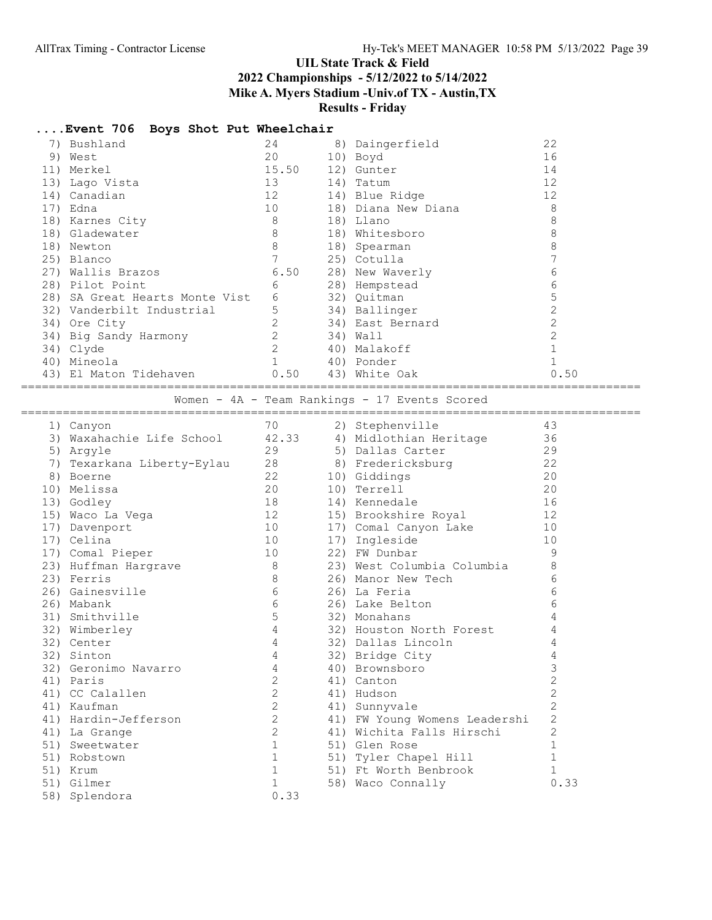## ....Event 706 Boys Shot Put Wheelchair

| 7) Bushland                    | 24             | 8) Daingerfield     | 22   |
|--------------------------------|----------------|---------------------|------|
| 9) West                        | 20             | 10) Boyd            | 16   |
| 11) Merkel                     | 15.50          | 12) Gunter          | 14   |
| 13) Lago Vista                 | 13             | 14) Tatum           | 12   |
| 14) Canadian                   | 12             | 14) Blue Ridge      | 12   |
| 17) Edna                       | 10             | 18) Diana New Diana | 8    |
| 18) Karnes City                | 8              | 18) Llano           | 8    |
| 18) Gladewater                 | 8              | 18) Whitesboro      | 8    |
| 18) Newton                     | 8              | 18) Spearman        | 8    |
| 25) Blanco                     |                | 25) Cotulla         |      |
| 27) Wallis Brazos              | 6.50           | 28) New Waverly     | 6    |
| 28) Pilot Point                | 6              | 28) Hempstead       | 6    |
| 28) SA Great Hearts Monte Vist | 6              | 32) Quitman         | 5    |
| 32) Vanderbilt Industrial      | 5              | 34) Ballinger       |      |
| 34) Ore City                   | 2              | 34) East Bernard    |      |
| 34) Big Sandy Harmony          | $\overline{2}$ | 34) Wall            |      |
| 34) Clyde                      | $\overline{2}$ | 40) Malakoff        |      |
| 40) Mineola                    |                | 40) Ponder          |      |
| 43) El Maton Tidehaven         | 0.50           | 43) White Oak       | 0.50 |
|                                |                |                     |      |

Women - 4A - Team Rankings - 17 Events Scored

| =================          |                 | ================================= |                |
|----------------------------|-----------------|-----------------------------------|----------------|
| 1) Canyon                  | 70              | 2) Stephenville                   | 43             |
| 3) Waxahachie Life School  | 42.33           | 4) Midlothian Heritage            | 36             |
| 5) Argyle                  | 29              | 5) Dallas Carter                  | 29             |
| 7) Texarkana Liberty-Eylau | 28              | 8) Fredericksburg                 | 22             |
| 8) Boerne                  | 22              | 10) Giddings                      | 20             |
| 10) Melissa                | 20              | 10) Terrell                       | 20             |
| 13) Godley                 | 18              | 14) Kennedale                     | 16             |
| 15) Waco La Vega           | 12              | 15) Brookshire Royal              | 12             |
| 17) Davenport              | 10              | 17) Comal Canyon Lake             | 10             |
| 17) Celina                 | 10              | 17) Ingleside                     | 10             |
| 17) Comal Pieper           | 10              | 22) FW Dunbar                     | 9              |
| 23) Huffman Hargrave       | - 8             | 23) West Columbia Columbia        | 8              |
| 23) Ferris                 | $8\,$           | 26) Manor New Tech                | 6              |
| 26) Gainesville            | $6\,$           | 26) La Feria                      | 6              |
| 26) Mabank                 | $6\overline{6}$ | 26) Lake Belton                   | 6              |
| 31) Smithville             | 5               | 32) Monahans                      | 4              |
| 32) Wimberley              | $\overline{4}$  | 32) Houston North Forest          | 4              |
| 32) Center                 | $\overline{4}$  | 32) Dallas Lincoln                | 4              |
| 32) Sinton                 | $4\overline{ }$ | 32) Bridge City                   | $\sqrt{4}$     |
| 32) Geronimo Navarro       | 4               | 40) Brownsboro                    | 3              |
| 41) Paris                  | 2               | 41) Canton                        | $\overline{2}$ |
| 41) CC Calallen            | $\overline{2}$  | 41) Hudson                        | $\overline{c}$ |
| 41) Kaufman                | $\mathbf{2}$    | 41) Sunnyvale                     | $\overline{2}$ |
| 41) Hardin-Jefferson       | $\overline{2}$  | 41) FW Young Womens Leadershi     | $\overline{c}$ |
| 41) La Grange              | $\mathbf{2}$    | 41) Wichita Falls Hirschi         | $\overline{2}$ |
| 51) Sweetwater             | $\mathbf{1}$    | 51) Glen Rose                     | $1\,$          |
| 51) Robstown               | $\mathbf{1}$    | 51) Tyler Chapel Hill             | $\mathbf{1}$   |
| 51) Krum                   | $\mathbf{1}$    | 51) Ft Worth Benbrook             | $\mathbf{1}$   |
| 51) Gilmer                 | $\mathbf{1}$    | 58) Waco Connally                 | 0.33           |
| 58) Splendora              | 0.33            |                                   |                |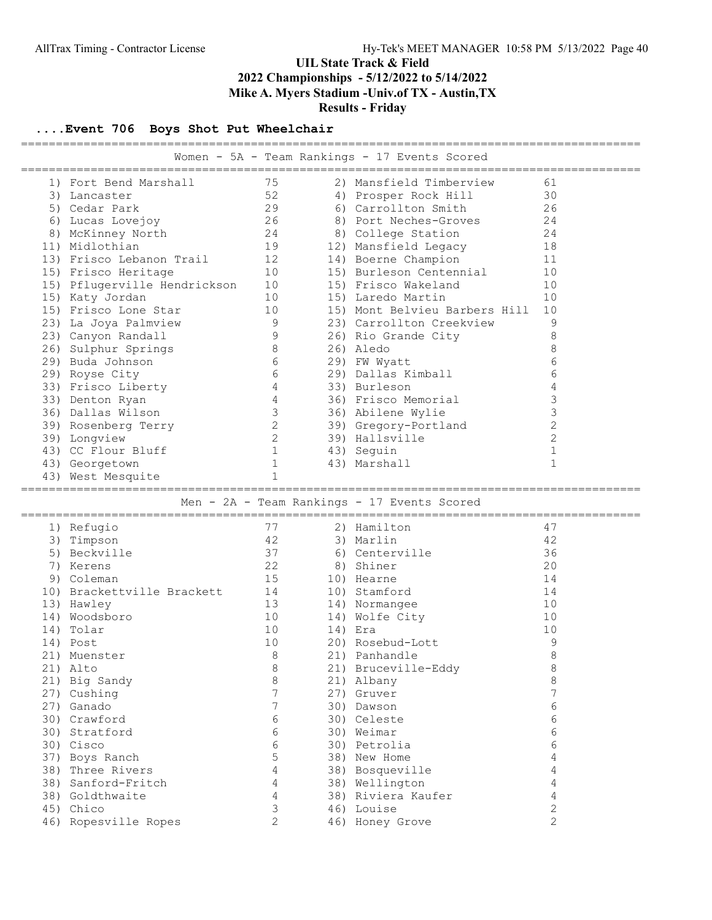# ....Event 706 Boys Shot Put Wheelchair

|                                             |                                |                |                   | Women - 5A - Team Rankings - 17 Events Scored |                |  |  |  |  |  |
|---------------------------------------------|--------------------------------|----------------|-------------------|-----------------------------------------------|----------------|--|--|--|--|--|
|                                             | ============================== |                |                   |                                               |                |  |  |  |  |  |
|                                             | 1) Fort Bend Marshall          | 75             |                   | 2) Mansfield Timberview                       | 61             |  |  |  |  |  |
|                                             | 3) Lancaster                   | 52             |                   | 4) Prosper Rock Hill                          | 30             |  |  |  |  |  |
|                                             | 5) Cedar Park                  | 29             |                   | 6) Carrollton Smith                           | 26             |  |  |  |  |  |
|                                             | 6) Lucas Lovejoy               | 26             |                   | 8) Port Neches-Groves                         | 24             |  |  |  |  |  |
|                                             | 8) McKinney North              | 24             |                   | 8) College Station                            | 24             |  |  |  |  |  |
|                                             | 11) Midlothian                 | 19             |                   | 12) Mansfield Legacy                          | 18             |  |  |  |  |  |
|                                             | 13) Frisco Lebanon Trail       | 12             |                   | 14) Boerne Champion                           | 11             |  |  |  |  |  |
|                                             | 15) Frisco Heritage            | 10             |                   | 15) Burleson Centennial                       | 10             |  |  |  |  |  |
|                                             | 15) Pflugerville Hendrickson   | 10             |                   | 15) Frisco Wakeland                           | 10             |  |  |  |  |  |
|                                             | 15) Katy Jordan                | 10             |                   | 15) Laredo Martin                             | 10             |  |  |  |  |  |
|                                             | 15) Frisco Lone Star           | 10             |                   | 15) Mont Belvieu Barbers Hill                 | 10             |  |  |  |  |  |
|                                             | 23) La Joya Palmview           | 9              |                   | 23) Carrollton Creekview                      | 9              |  |  |  |  |  |
|                                             | 23) Canyon Randall             | 9              |                   | 26) Rio Grande City                           | 8              |  |  |  |  |  |
|                                             | 26) Sulphur Springs            | 8              |                   | 26) Aledo                                     | $\,8\,$        |  |  |  |  |  |
|                                             | 29) Buda Johnson               | 6              |                   | 29) FW Wyatt                                  | 6              |  |  |  |  |  |
|                                             | 29) Royse City                 | 6              |                   | 29) Dallas Kimball                            | 6              |  |  |  |  |  |
|                                             | 33) Frisco Liberty             | 4              |                   | 33) Burleson                                  | 4              |  |  |  |  |  |
|                                             | 33) Denton Ryan                | 4              |                   | 36) Frisco Memorial                           | 3              |  |  |  |  |  |
|                                             | 36) Dallas Wilson              | $\mathcal{S}$  |                   | 36) Abilene Wylie                             | 3              |  |  |  |  |  |
|                                             | 39) Rosenberg Terry            | 2              |                   | 39) Gregory-Portland                          | $\overline{c}$ |  |  |  |  |  |
|                                             | 39) Longview                   | 2              |                   | 39) Hallsville                                | $\overline{2}$ |  |  |  |  |  |
|                                             | 43) CC Flour Bluff             | $\mathbf{1}$   |                   |                                               | $\mathbf{1}$   |  |  |  |  |  |
|                                             |                                | $\mathbf{1}$   |                   | 43) Seguin                                    | $\mathbf{1}$   |  |  |  |  |  |
|                                             | 43) Georgetown                 | $\mathbf{1}$   |                   | 43) Marshall                                  |                |  |  |  |  |  |
|                                             | 43) West Mesquite              |                |                   |                                               |                |  |  |  |  |  |
|                                             |                                |                | ================= |                                               |                |  |  |  |  |  |
| Men - 2A - Team Rankings - 17 Events Scored |                                |                |                   |                                               |                |  |  |  |  |  |
|                                             |                                |                |                   |                                               |                |  |  |  |  |  |
|                                             |                                |                |                   |                                               |                |  |  |  |  |  |
|                                             | 1) Refugio                     | 77             |                   | 2) Hamilton                                   | 47             |  |  |  |  |  |
|                                             | 3) Timpson                     | 42             |                   | 3) Marlin                                     | 42             |  |  |  |  |  |
|                                             | 5) Beckville                   | 37             |                   | 6) Centerville                                | 36             |  |  |  |  |  |
|                                             | 7) Kerens                      | 22             |                   | 8) Shiner                                     | 20             |  |  |  |  |  |
|                                             | 9) Coleman                     | 15             |                   | 10) Hearne                                    | 14             |  |  |  |  |  |
|                                             | 10) Brackettville Brackett     | 14             |                   | 10) Stamford                                  | 14             |  |  |  |  |  |
|                                             | 13) Hawley                     | 13             |                   | 14) Normangee                                 | 10             |  |  |  |  |  |
|                                             | 14) Woodsboro                  | 10             |                   | 14) Wolfe City                                | 10             |  |  |  |  |  |
|                                             | 14) Tolar                      | 10             |                   | 14) Era                                       | 10             |  |  |  |  |  |
|                                             | 14) Post                       | 10             |                   | 20) Rosebud-Lott                              | 9              |  |  |  |  |  |
|                                             | 21) Muenster                   | 8              |                   | 21) Panhandle                                 | 8              |  |  |  |  |  |
|                                             | 21) Alto                       | 8              |                   | 21) Bruceville-Eddy                           | 8              |  |  |  |  |  |
|                                             | 21) Big Sandy                  | 8              |                   | 21) Albany                                    | 8              |  |  |  |  |  |
|                                             | 27) Cushing                    | 7              |                   | 27) Gruver                                    | 7              |  |  |  |  |  |
|                                             | 27) Ganado                     | 7              |                   | 30) Dawson                                    | 6              |  |  |  |  |  |
|                                             | 30) Crawford                   | 6              |                   | 30) Celeste                                   | 6              |  |  |  |  |  |
|                                             | 30) Stratford                  | 6              |                   | 30) Weimar                                    | 6              |  |  |  |  |  |
|                                             | 30) Cisco                      | 6              |                   | 30) Petrolia                                  | 6              |  |  |  |  |  |
|                                             | 37) Boys Ranch                 | 5              |                   | 38) New Home                                  | 4              |  |  |  |  |  |
|                                             | 38) Three Rivers               | 4              |                   | 38) Bosqueville                               | 4              |  |  |  |  |  |
|                                             | 38) Sanford-Fritch             | 4              |                   | 38) Wellington                                | 4              |  |  |  |  |  |
|                                             | 38) Goldthwaite                | $\overline{4}$ |                   | 38) Riviera Kaufer                            | $\overline{4}$ |  |  |  |  |  |
|                                             | 45) Chico                      | $\mathfrak{Z}$ |                   | 46) Louise                                    | $\overline{2}$ |  |  |  |  |  |
|                                             | 46) Ropesville Ropes           | $\overline{2}$ |                   | 46) Honey Grove                               | 2              |  |  |  |  |  |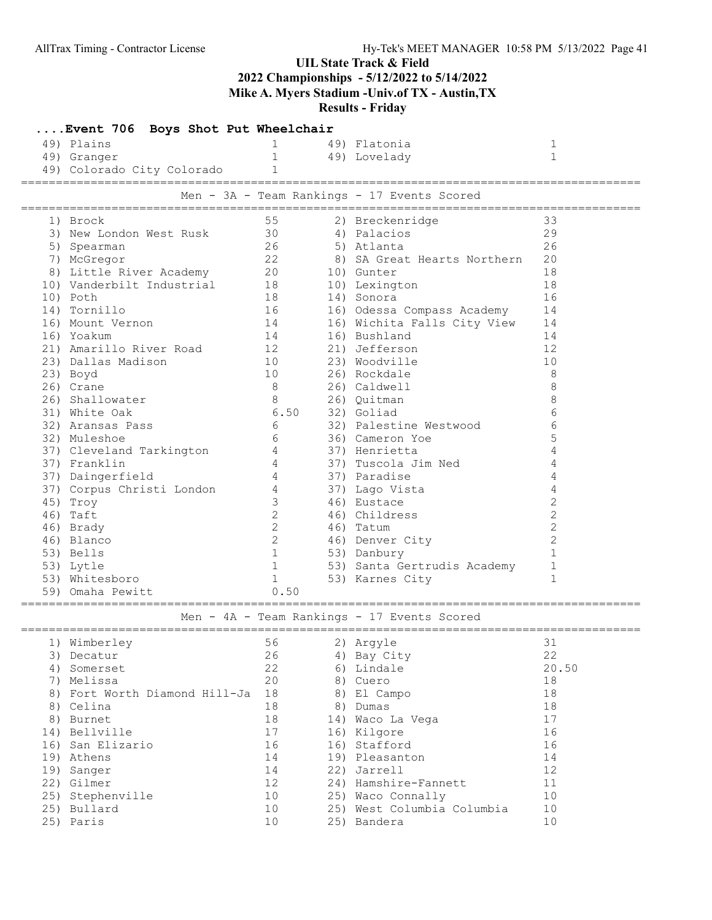# UIL State Track & Field

2022 Championships - 5/12/2022 to 5/14/2022

Mike A. Myers Stadium -Univ.of TX - Austin,TX

Results - Friday

| Event 706 Boys Shot Put Wheelchair |                |                                             |                |
|------------------------------------|----------------|---------------------------------------------|----------------|
| 49) Plains                         | $\mathbf 1$    | 49) Flatonia                                | 1              |
| 49) Granger                        | $\mathbf{1}$   | 49) Lovelady                                | $\mathbf 1$    |
| 49) Colorado City Colorado         | 1.             |                                             |                |
|                                    |                |                                             |                |
|                                    |                | Men - 3A - Team Rankings - 17 Events Scored |                |
| 1) Brock                           | 55             | 2) Breckenridge                             | 33             |
| 3) New London West Rusk            | 30             | 4) Palacios                                 | 29             |
| 5) Spearman                        | 26             | 5) Atlanta                                  | 26             |
| 7) McGregor                        | 22             | 8) SA Great Hearts Northern                 | 20             |
| 8) Little River Academy 20         |                | 10) Gunter                                  | 18             |
| 10) Vanderbilt Industrial          | 18             | 10) Lexington                               | 18             |
| 10) Poth                           | 18             | 14) Sonora                                  | 16             |
| 14) Tornillo                       | 16             | 16) Odessa Compass Academy                  | 14             |
| 16) Mount Vernon                   | 14             | 16) Wichita Falls City View                 | 14             |
| 16) Yoakum                         | 14             | 16) Bushland                                | 14             |
| 21) Amarillo River Road<br>12      |                | 21) Jefferson                               | 12             |
| 23) Dallas Madison                 | 10             | 23) Woodville                               | 10             |
| 23) Boyd                           | 10             | 26) Rockdale                                | 8              |
| 26) Crane                          | 8              | 26) Caldwell                                | 8              |
| 26) Shallowater                    | 8              | 26) Quitman                                 | 8              |
| 31) White Oak                      | 6.50           | 32) Goliad                                  | 6              |
|                                    | 6              | 32) Palestine Westwood                      | 6              |
| 32) Aransas Pass                   |                |                                             |                |
| 32) Muleshoe                       | 6              | 36) Cameron Yoe                             | 5              |
| 37) Cleveland Tarkington           | $4\degree$     | 37) Henrietta                               | 4              |
| 37) Franklin                       | 4              | 37) Tuscola Jim Ned                         | 4              |
| 37) Daingerfield                   | $\overline{4}$ | 37) Paradise                                | 4              |
| 37) Corpus Christi London          | 4              | 37) Lago Vista                              | 4              |
| 45) Troy                           | 3              | 46) Eustace                                 | $\mathbf{2}$   |
| 46) Taft                           | $\mathbf{2}$   | 46) Childress                               | $\overline{c}$ |
| 46) Brady                          | $\overline{2}$ | 46) Tatum                                   | $\overline{c}$ |
| 46) Blanco                         | 2              | 46) Denver City                             | $\mathbf{2}$   |
| 53) Bells                          | $\mathbf{1}$   | 53) Danbury                                 | $\mathbf{1}$   |
| 53) Lytle                          | $\mathbf{1}$   | 53) Santa Gertrudis Academy                 | $\mathbf 1$    |
| 53) Whitesboro                     | $\mathbf{1}$   | 53) Karnes City                             | $\mathbf{1}$   |
| 59) Omaha Pewitt                   | 0.50           |                                             |                |
|                                    |                | Men - 4A - Team Rankings - 17 Events Scored |                |
| 1) Wimberley                       |                | 56<br>2) Argyle                             | 31             |
| 3) Decatur                         | 26             | 4) Bay City                                 | 22             |
| 4) Somerset                        | 22             | 6) Lindale                                  | 20.50          |
| 7) Melissa                         | 20             | 8) Cuero                                    | 18             |
| 8) Fort Worth Diamond Hill-Ja 18   |                | 8) El Campo                                 | 18             |
| 8) Celina                          | 18             | 8) Dumas                                    | 18             |
| 8) Burnet                          | 18             | 14) Waco La Vega                            | 17             |
| 14) Bellville                      | 17             | 16) Kilgore                                 | 16             |
| 16) San Elizario                   | 16             | 16) Stafford                                | 16             |
| 19) Athens                         | 14             | 19) Pleasanton                              | 14             |
| 19) Sanger                         | 14             | 22) Jarrell                                 | 12             |
| 22) Gilmer                         | 12             | 24) Hamshire-Fannett                        | 11             |
| 25) Stephenville                   | 10             | 25) Waco Connally                           | 10             |
|                                    | 10             | 25) West Columbia Columbia                  | 10             |
| 25) Bullard                        |                |                                             |                |
| 25) Paris                          | 10             | 25) Bandera                                 | 10             |